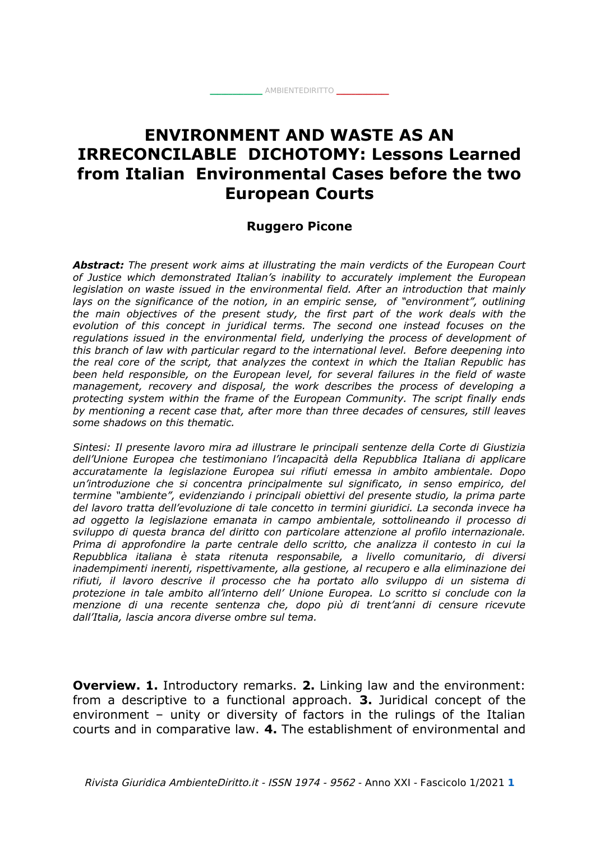# **ENVIRONMENT AND WASTE AS AN IRRECONCILABLE DICHOTOMY: Lessons Learned from Italian Environmental Cases before the two European Courts**

 $\_$  [AMBIENTEDIRITTO](http://www.AMBIENTEDIRITTO.it/)  $\_$ 

# **Ruggero Picone**

*Abstract: The present work aims at illustrating the main verdicts of the European Court of Justice which demonstrated Italian's inability to accurately implement the European legislation on waste issued in the environmental field. After an introduction that mainly lays on the significance of the notion, in an empiric sense, of "environment", outlining the main objectives of the present study, the first part of the work deals with the evolution of this concept in juridical terms. The second one instead focuses on the regulations issued in the environmental field, underlying the process of development of this branch of law with particular regard to the international level. Before deepening into the real core of the script, that analyzes the context in which the Italian Republic has been held responsible, on the European level, for several failures in the field of waste management, recovery and disposal, the work describes the process of developing a protecting system within the frame of the European Community. The script finally ends by mentioning a recent case that, after more than three decades of censures, still leaves some shadows on this thematic.*

*Sintesi: Il presente lavoro mira ad illustrare le principali sentenze della Corte di Giustizia dell'Unione Europea che testimoniano l'incapacità della Repubblica Italiana di applicare accuratamente la legislazione Europea sui rifiuti emessa in ambito ambientale. Dopo un'introduzione che si concentra principalmente sul significato, in senso empirico, del termine "ambiente", evidenziando i principali obiettivi del presente studio, la prima parte del lavoro tratta dell'evoluzione di tale concetto in termini giuridici. La seconda invece ha ad oggetto la legislazione emanata in campo ambientale, sottolineando il processo di sviluppo di questa branca del diritto con particolare attenzione al profilo internazionale. Prima di approfondire la parte centrale dello scritto, che analizza il contesto in cui la Repubblica italiana è stata ritenuta responsabile, a livello comunitario, di diversi inadempimenti inerenti, rispettivamente, alla gestione, al recupero e alla eliminazione dei rifiuti, il lavoro descrive il processo che ha portato allo sviluppo di un sistema di protezione in tale ambito all'interno dell' Unione Europea. Lo scritto si conclude con la menzione di una recente sentenza che, dopo più di trent'anni di censure ricevute dall'Italia, lascia ancora diverse ombre sul tema.*

**Overview. 1.** Introductory remarks. 2. Linking law and the environment: from a descriptive to a functional approach. **3.** Juridical concept of the environment – unity or diversity of factors in the rulings of the Italian courts and in comparative law. **4.** The establishment of environmental and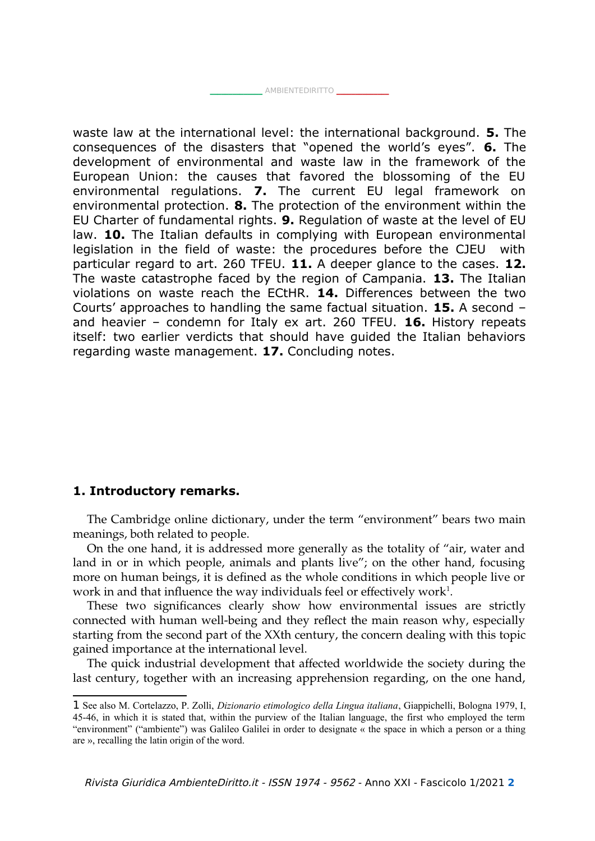waste law at the international level: the international background. **5.** The consequences of the disasters that "opened the world's eyes". **6.** The development of environmental and waste law in the framework of the European Union: the causes that favored the blossoming of the EU environmental regulations. **7.** The current EU legal framework on environmental protection. **8.** The protection of the environment within the EU Charter of fundamental rights. **9.** Regulation of waste at the level of EU law. **10.** The Italian defaults in complying with European environmental legislation in the field of waste: the procedures before the CJEU with particular regard to art. 260 TFEU. **11.** A deeper glance to the cases. **12.** The waste catastrophe faced by the region of Campania. **13.** The Italian violations on waste reach the ECtHR. **14.** Differences between the two Courts' approaches to handling the same factual situation. **15.** A second – and heavier – condemn for Italy ex art. 260 TFEU. **16.** History repeats itself: two earlier verdicts that should have guided the Italian behaviors regarding waste management. **17.** Concluding notes.

#### **1. Introductory remarks.**

The Cambridge online dictionary, under the term "environment" bears two main meanings, both related to people.

On the one hand, it is addressed more generally as the totality of "air, water and land in or in which people, animals and plants live"; on the other hand, focusing more on human beings, it is defined as the whole conditions in which people live or work in and that influence the way individuals feel or effectively work<sup>[1](#page-1-0)</sup>.

These two significances clearly show how environmental issues are strictly connected with human well-being and they reflect the main reason why, especially starting from the second part of the XXth century, the concern dealing with this topic gained importance at the international level.

The quick industrial development that affected worldwide the society during the last century, together with an increasing apprehension regarding, on the one hand,

<span id="page-1-0"></span><sup>1</sup> See also M. Cortelazzo, P. Zolli, *Dizionario etimologico della Lingua italiana*, Giappichelli, Bologna 1979, I, 45-46, in which it is stated that, within the purview of the Italian language, the first who employed the term "environment" ("ambiente") was Galileo Galilei in order to designate « the space in which a person or a thing are », recalling the latin origin of the word.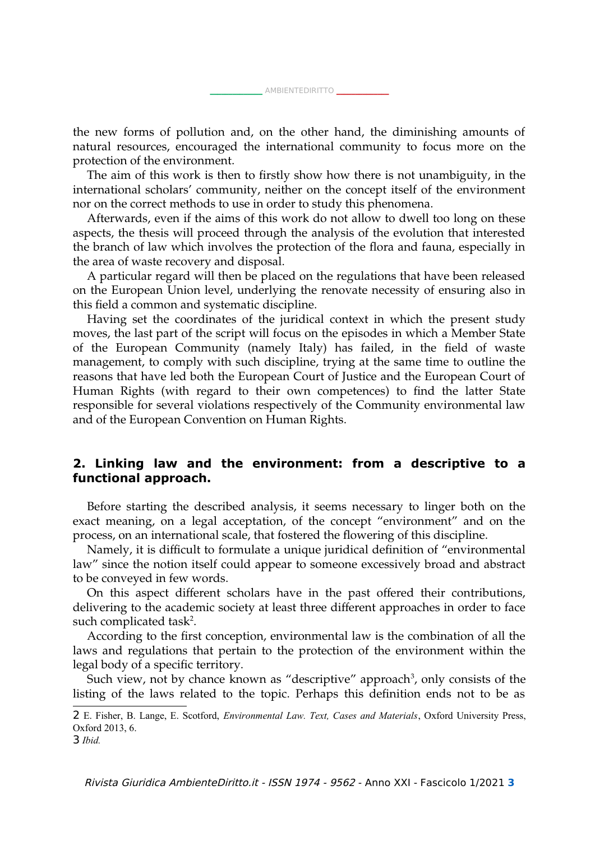the new forms of pollution and, on the other hand, the diminishing amounts of natural resources, encouraged the international community to focus more on the protection of the environment.

The aim of this work is then to firstly show how there is not unambiguity, in the international scholars' community, neither on the concept itself of the environment nor on the correct methods to use in order to study this phenomena.

Afterwards, even if the aims of this work do not allow to dwell too long on these aspects, the thesis will proceed through the analysis of the evolution that interested the branch of law which involves the protection of the flora and fauna, especially in the area of waste recovery and disposal.

A particular regard will then be placed on the regulations that have been released on the European Union level, underlying the renovate necessity of ensuring also in this field a common and systematic discipline.

Having set the coordinates of the juridical context in which the present study moves, the last part of the script will focus on the episodes in which a Member State of the European Community (namely Italy) has failed, in the field of waste management, to comply with such discipline, trying at the same time to outline the reasons that have led both the European Court of Justice and the European Court of Human Rights (with regard to their own competences) to find the latter State responsible for several violations respectively of the Community environmental law and of the European Convention on Human Rights.

## **2. Linking law and the environment: from a descriptive to a functional approach.**

Before starting the described analysis, it seems necessary to linger both on the exact meaning, on a legal acceptation, of the concept "environment" and on the process, on an international scale, that fostered the flowering of this discipline.

Namely, it is difficult to formulate a unique juridical definition of "environmental law" since the notion itself could appear to someone excessively broad and abstract to be conveyed in few words.

On this aspect different scholars have in the past offered their contributions, delivering to the academic society at least three different approaches in order to face such complicated task<sup>[2](#page-2-0)</sup>.

According to the first conception, environmental law is the combination of all the laws and regulations that pertain to the protection of the environment within the legal body of a specific territory.

Such view, not by chance known as "descriptive" approach<sup>[3](#page-2-1)</sup>, only consists of the listing of the laws related to the topic. Perhaps this definition ends not to be as

<span id="page-2-0"></span><sup>2</sup> E. Fisher, B. Lange, E. Scotford, *Environmental Law. Text, Cases and Materials*, Oxford University Press, Oxford 2013, 6.

<span id="page-2-1"></span><sup>3</sup> *Ibid.*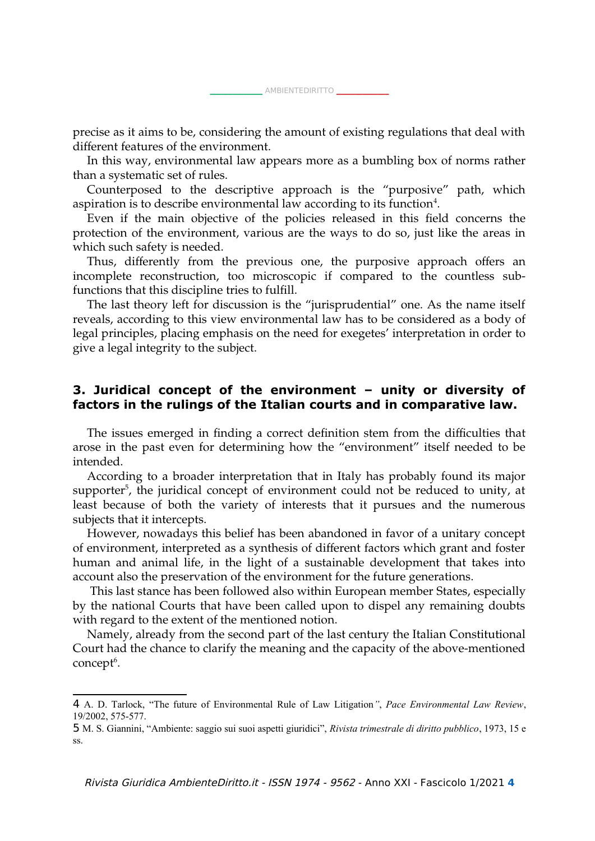precise as it aims to be, considering the amount of existing regulations that deal with different features of the environment.

In this way, environmental law appears more as a bumbling box of norms rather than a systematic set of rules.

Counterposed to the descriptive approach is the "purposive" path, which aspiration is to describe environmental law according to its function $^4\!$  $^4\!$  $^4\!$ .

Even if the main objective of the policies released in this field concerns the protection of the environment, various are the ways to do so, just like the areas in which such safety is needed.

Thus, differently from the previous one, the purposive approach offers an incomplete reconstruction, too microscopic if compared to the countless subfunctions that this discipline tries to fulfill.

The last theory left for discussion is the "jurisprudential" one. As the name itself reveals, according to this view environmental law has to be considered as a body of legal principles, placing emphasis on the need for exegetes' interpretation in order to give a legal integrity to the subject.

## **3. Juridical concept of the environment – unity or diversity of factors in the rulings of the Italian courts and in comparative law.**

The issues emerged in finding a correct definition stem from the difficulties that arose in the past even for determining how the "environment" itself needed to be intended.

According to a broader interpretation that in Italy has probably found its major supporter<sup>[5](#page-3-1)</sup>, the juridical concept of environment could not be reduced to unity, at least because of both the variety of interests that it pursues and the numerous subjects that it intercepts.

However, nowadays this belief has been abandoned in favor of a unitary concept of environment, interpreted as a synthesis of different factors which grant and foster human and animal life, in the light of a sustainable development that takes into account also the preservation of the environment for the future generations.

 This last stance has been followed also within European member States, especially by the national Courts that have been called upon to dispel any remaining doubts with regard to the extent of the mentioned notion.

Namely, already from the second part of the last century the Italian Constitutional Court had the chance to clarify the meaning and the capacity of the above-mentioned concept<sup>6</sup>.

<span id="page-3-0"></span><sup>4</sup> A. D. Tarlock, "The future of Environmental Rule of Law Litigation*"*, *Pace Environmental Law Review*, 19/2002, 575-577.

<span id="page-3-1"></span><sup>5</sup> M. S. Giannini, "Ambiente: saggio sui suoi aspetti giuridici", *Rivista trimestrale di diritto pubblico*, 1973, 15 e ss.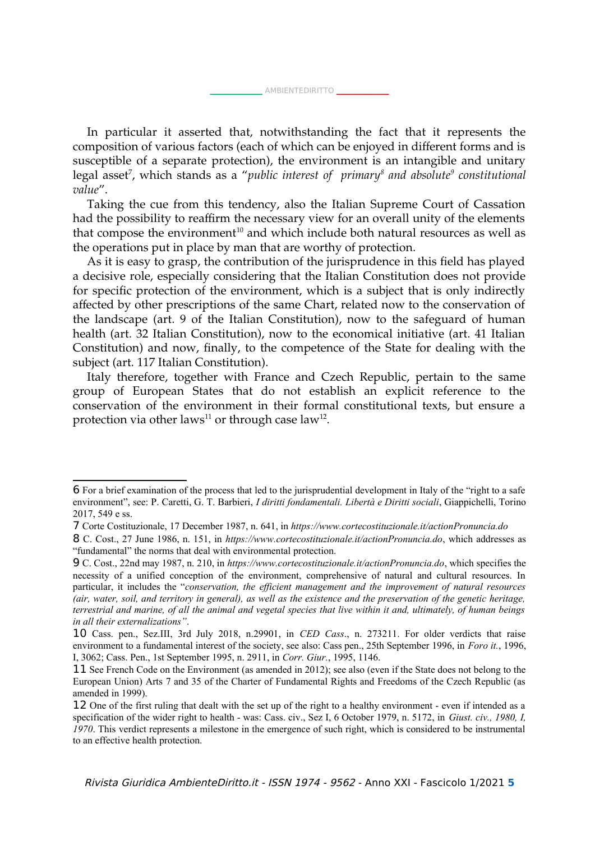In particular it asserted that, notwithstanding the fact that it represents the composition of various factors (each of which can be enjoyed in different forms and is susceptible of a separate protection), the environment is an intangible and unitary legal asset[7](#page-4-0) , which stands as a "*public interest of primary[8](#page-4-1) and absolute[9](#page-4-2) constitutional value*".

\_[AMBIENTEDIRITTO](http://www.AMBIENTEDIRITTO.it/) \_

Taking the cue from this tendency, also the Italian Supreme Court of Cassation had the possibility to reaffirm the necessary view for an overall unity of the elements that compose the environment<sup>[10](#page-4-3)</sup> and which include both natural resources as well as the operations put in place by man that are worthy of protection.

As it is easy to grasp, the contribution of the jurisprudence in this field has played a decisive role, especially considering that the Italian Constitution does not provide for specific protection of the environment, which is a subject that is only indirectly affected by other prescriptions of the same Chart, related now to the conservation of the landscape (art. 9 of the Italian Constitution), now to the safeguard of human health (art. 32 Italian Constitution), now to the economical initiative (art. 41 Italian Constitution) and now, finally, to the competence of the State for dealing with the subject (art. 117 Italian Constitution).

Italy therefore, together with France and Czech Republic, pertain to the same group of European States that do not establish an explicit reference to the conservation of the environment in their formal constitutional texts, but ensure a protection via other laws $^{\rm 11}$  $^{\rm 11}$  $^{\rm 11}$  or through case law $^{\rm 12}.$  $^{\rm 12}.$  $^{\rm 12}.$ 

<sup>6</sup> For a brief examination of the process that led to the jurisprudential development in Italy of the "right to a safe environment", see: P. Caretti, G. T. Barbieri, *I diritti fondamentali. Libertà e Diritti sociali*, Giappichelli, Torino 2017, 549 e ss.

<span id="page-4-0"></span><sup>7</sup> Corte Costituzionale, 17 December 1987, n. 641, in *https://www.cortecostituzionale.it/actionPronuncia.do*

<span id="page-4-1"></span><sup>8</sup> C. Cost., 27 June 1986, n. 151, in *<https://www.cortecostituzionale.it/actionPronuncia.do>*, which addresses as "fundamental" the norms that deal with environmental protection.

<span id="page-4-2"></span><sup>9</sup> C. Cost., 22nd may 1987, n. 210, in *<https://www.cortecostituzionale.it/actionPronuncia.do>*, which specifies the necessity of a unified conception of the environment, comprehensive of natural and cultural resources. In particular, it includes the "*conservation, the efficient management and the improvement of natural resources (air, water, soil, and territory in general), as well as the existence and the preservation of the genetic heritage, terrestrial and marine, of all the animal and vegetal species that live within it and, ultimately, of human beings in all their externalizations"*.

<span id="page-4-3"></span><sup>10</sup> Cass. pen., Sez.III, 3rd July 2018, n.29901, in *CED Cass*., n. 273211. For older verdicts that raise environment to a fundamental interest of the society, see also: Cass pen., 25th September 1996, in *Foro it.*, 1996, I, 3062; Cass. Pen., 1st September 1995, n. 2911, in *Corr. Giur.*, 1995, 1146.

<span id="page-4-4"></span><sup>11</sup> See French Code on the Environment (as amended in 2012); see also (even if the State does not belong to the European Union) Arts 7 and 35 of the Charter of Fundamental Rights and Freedoms of the Czech Republic (as amended in 1999).

<span id="page-4-5"></span><sup>12</sup> One of the first ruling that dealt with the set up of the right to a healthy environment - even if intended as a specification of the wider right to health - was: Cass. civ., Sez I, 6 October 1979, n. 5172, in *Giust. civ., 1980, I, 1970*. This verdict represents a milestone in the emergence of such right, which is considered to be instrumental to an effective health protection.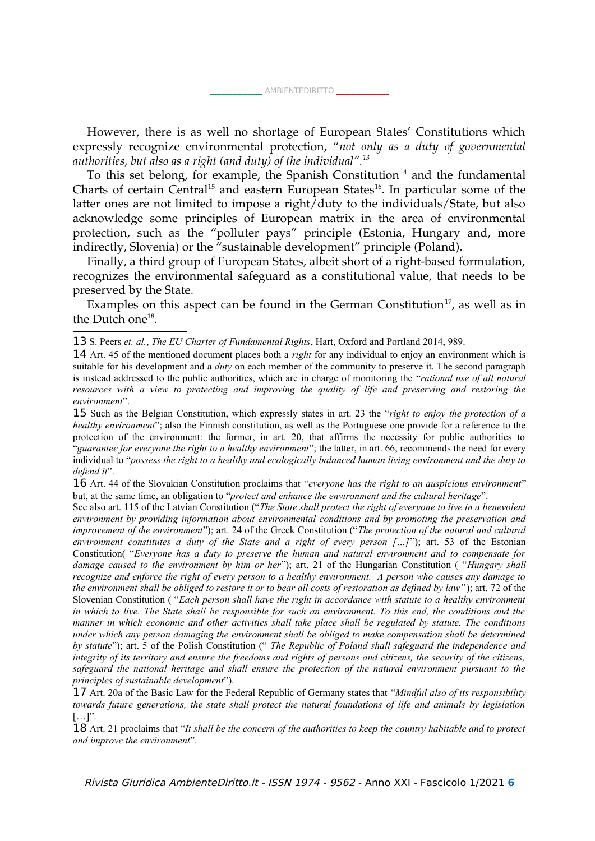However, there is as well no shortage of European States' Constitutions which expressly recognize environmental protection, "*not only as a duty of governmental authorities, but also as a right (and duty) of the individual".[13](#page-5-0)*

To this set belong, for example, the Spanish Constitution<sup>[14](#page-5-1)</sup> and the fundamental Charts of certain Central<sup>[15](#page-5-2)</sup> and eastern European States<sup>[16](#page-5-3)</sup>. In particular some of the latter ones are not limited to impose a right/duty to the individuals/State, but also acknowledge some principles of European matrix in the area of environmental protection, such as the "polluter pays" principle (Estonia, Hungary and, more indirectly, Slovenia) or the "sustainable development" principle (Poland).

Finally, a third group of European States, albeit short of a right-based formulation, recognizes the environmental safeguard as a constitutional value, that needs to be preserved by the State.

Examples on this aspect can be found in the German Constitution<sup>[17](#page-5-4)</sup>, as well as in the Dutch one $^{18}$  $^{18}$  $^{18}$ .

<span id="page-5-2"></span>15 Such as the Belgian Constitution, which expressly states in art. 23 the "*right to enjoy the protection of a healthy environment*"; also the Finnish constitution, as well as the Portuguese one provide for a reference to the protection of the environment: the former, in art. 20, that affirms the necessity for public authorities to "*guarantee for everyone the right to a healthy environment*"; the latter, in art. 66, recommends the need for every individual to "*possess the right to a healthy and ecologically balanced human living environment and the duty to defend it*".

<span id="page-5-3"></span>16 Art. 44 of the Slovakian Constitution proclaims that "*everyone has the right to an auspicious environment*" but, at the same time, an obligation to "*protect and enhance the environment and the cultural heritage*".

See also art. 115 of the Latvian Constitution ("*The State shall protect the right of everyone to live in a benevolent environment by providing information about environmental conditions and by promoting the preservation and improvement of the environment*"); art. 24 of the Greek Constitution ("*The protection of the natural and cultural environment constitutes a duty of the State and a right of every person […]*"); art. 53 of the Estonian Constitution( "*Everyone has a duty to preserve the human and natural environment and to compensate for damage caused to the environment by him or her*"); art. 21 of the Hungarian Constitution ( "*Hungary shall recognize and enforce the right of every person to a healthy environment. A person who causes any damage to the environment shall be obliged to restore it or to bear all costs of restoration as defined by law"*); art. 72 of the Slovenian Constitution ( "*Each person shall have the right in accordance with statute to a healthy environment in which to live. The State shall be responsible for such an environment. To this end, the conditions and the manner in which economic and other activities shall take place shall be regulated by statute. The conditions under which any person damaging the environment shall be obliged to make compensation shall be determined by statute*"); art. 5 of the Polish Constitution (" *The Republic of Poland shall safeguard the independence and integrity of its territory and ensure the freedoms and rights of persons and citizens, the security of the citizens, safeguard the national heritage and shall ensure the protection of the natural environment pursuant to the principles of sustainable development*").

<span id="page-5-4"></span>17 Art. 20a of the Basic Law for the Federal Republic of Germany states that "*Mindful also of its responsibility towards future generations, the state shall protect the natural foundations of life and animals by legislation* […]".

<span id="page-5-5"></span>18 Art. 21 proclaims that "*It shall be the concern of the authorities to keep the country habitable and to protect and improve the environment*".

[Rivista Giuridica AmbienteDiritto.it - ISSN 1974 - 9562](http://www.ambientediritto.it/) [- Anno X](http://www.ambientediritto.it/)XI - Fascicolo 1[/2021](http://www.ambientediritto.it/) **6**

<span id="page-5-0"></span><sup>13</sup> S. Peers *et. al.*, *The EU Charter of Fundamental Rights*, Hart, Oxford and Portland 2014, 989.

<span id="page-5-1"></span><sup>14</sup> Art. 45 of the mentioned document places both a *right* for any individual to enjoy an environment which is suitable for his development and a *duty* on each member of the community to preserve it. The second paragraph is instead addressed to the public authorities, which are in charge of monitoring the "*rational use of all natural resources with a view to protecting and improving the quality of life and preserving and restoring the environment*".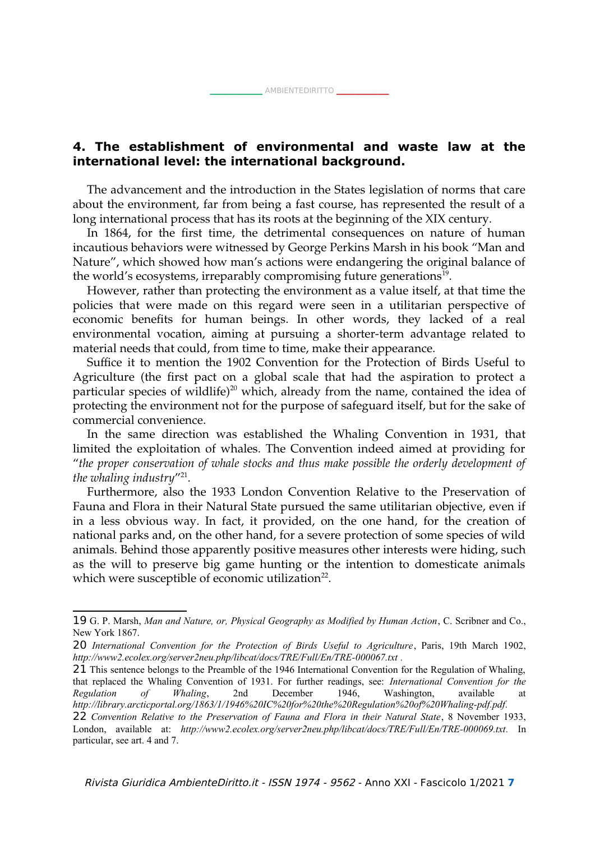## **4. The establishment of environmental and waste law at the international level: the international background.**

The advancement and the introduction in the States legislation of norms that care about the environment, far from being a fast course, has represented the result of a long international process that has its roots at the beginning of the XIX century.

In 1864, for the first time, the detrimental consequences on nature of human incautious behaviors were witnessed by George Perkins Marsh in his book "Man and Nature", which showed how man's actions were endangering the original balance of the world's ecosystems, irreparably compromising future generations<sup>[19](#page-6-0)</sup>.

However, rather than protecting the environment as a value itself, at that time the policies that were made on this regard were seen in a utilitarian perspective of economic benefits for human beings. In other words, they lacked of a real environmental vocation, aiming at pursuing a shorter-term advantage related to material needs that could, from time to time, make their appearance.

Suffice it to mention the 1902 Convention for the Protection of Birds Useful to Agriculture (the first pact on a global scale that had the aspiration to protect a particular species of wildlife)<sup>[20](#page-6-1)</sup> which, already from the name, contained the idea of protecting the environment not for the purpose of safeguard itself, but for the sake of commercial convenience.

In the same direction was established the Whaling Convention in 1931, that limited the exploitation of whales. The Convention indeed aimed at providing for "*the proper conservation of whale stocks and thus make possible the orderly development of the whaling industry*" [21](#page-6-2) .

Furthermore, also the 1933 London Convention Relative to the Preservation of Fauna and Flora in their Natural State pursued the same utilitarian objective, even if in a less obvious way. In fact, it provided, on the one hand, for the creation of national parks and, on the other hand, for a severe protection of some species of wild animals. Behind those apparently positive measures other interests were hiding, such as the will to preserve big game hunting or the intention to domesticate animals which were susceptible of economic utilization $^{22}$  $^{22}$  $^{22}$ .

<span id="page-6-0"></span><sup>19</sup> G. P. Marsh, *Man and Nature, or, Physical Geography as Modified by Human Action*, C. Scribner and Co., New York 1867.

<span id="page-6-1"></span><sup>20</sup> *International Convention for the Protection of Birds Useful to Agriculture*, Paris, 19th March 1902, *<http://www2.ecolex.org/server2neu.php/libcat/docs/TRE/Full/En/TRE-000067.txt> .*

<span id="page-6-2"></span><sup>21</sup> This sentence belongs to the Preamble of the 1946 International Convention for the Regulation of Whaling, that replaced the Whaling Convention of 1931. For further readings, see: *International Convention for the Regulation of Whaling*, 2nd December 1946, Washington, available at *[http://library.arcticportal.org/1863/1/1946%20IC%20for%20the%20Regulation%20of%20Whaling-pdf.pdf.](http://library.arcticportal.org/1863/1/1946%25252520IC%25252520for%25252520the%25252520Regulation%25252520of%25252520Whaling-pdf.pdf)*

<span id="page-6-3"></span><sup>22</sup> *Convention Relative to the Preservation of Fauna and Flora in their Natural State*, 8 November 1933, London, available at: *<http://www2.ecolex.org/server2neu.php/libcat/docs/TRE/Full/En/TRE-000069.txt>.* In particular, see art. 4 and 7.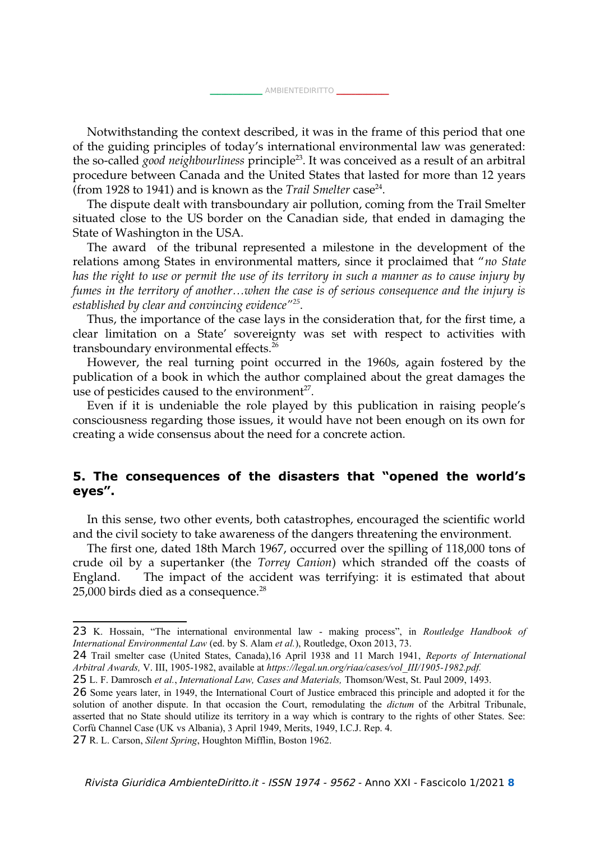\_\_\_\_\_\_\_\_\_\_\_\_\_\_ [AMBIENTEDIRITTO](http://www.AMBIENTEDIRITTO.it/) \_\_\_\_\_\_\_\_\_\_\_\_\_\_

Notwithstanding the context described, it was in the frame of this period that one of the guiding principles of today's international environmental law was generated: the so-called *good neighbourliness* principle[23](#page-7-0). It was conceived as a result of an arbitral procedure between Canada and the United States that lasted for more than 12 years (from 1928 to 1941) and is known as the *Trail Smelter* case<sup>[24](#page-7-1)</sup>.

The dispute dealt with transboundary air pollution, coming from the Trail Smelter situated close to the US border on the Canadian side, that ended in damaging the State of Washington in the USA.

The award of the tribunal represented a milestone in the development of the relations among States in environmental matters, since it proclaimed that "*no State has the right to use or permit the use of its territory in such a manner as to cause injury by fumes in the territory of another…when the case is of serious consequence and the injury is established by clear and convincing evidence"[25](#page-7-2)* .

Thus, the importance of the case lays in the consideration that, for the first time, a clear limitation on a State' sovereignty was set with respect to activities with transboundary environmental effects.<sup>[26](#page-7-3)</sup>

However, the real turning point occurred in the 1960s, again fostered by the publication of a book in which the author complained about the great damages the use of pesticides caused to the environment $^{27}$  $^{27}$  $^{27}$ .

Even if it is undeniable the role played by this publication in raising people's consciousness regarding those issues, it would have not been enough on its own for creating a wide consensus about the need for a concrete action.

### **5. The consequences of the disasters that "opened the world's eyes".**

In this sense, two other events, both catastrophes, encouraged the scientific world and the civil society to take awareness of the dangers threatening the environment.

The first one, dated 18th March 1967, occurred over the spilling of 118,000 tons of crude oil by a supertanker (the *Torrey Canion*) which stranded off the coasts of England. The impact of the accident was terrifying: it is estimated that about  $25,000$  birds died as a consequence.<sup>28</sup>

<span id="page-7-0"></span><sup>23</sup> K. Hossain, "The international environmental law - making process", in *Routledge Handbook of International Environmental Law* (ed. by S. Alam *et al.*), Routledge, Oxon 2013, 73.

<span id="page-7-1"></span><sup>24</sup> Trail smelter case (United States, Canada),16 April 1938 and 11 March 1941, *Reports of International Arbitral Awards,* V. III, 1905-1982, available at *https://legal.un.org/riaa/cases/vol\_III/1905-1982.pdf.*

<span id="page-7-2"></span><sup>25</sup> L. F. Damrosch *et al.*, *International Law, Cases and Materials,* Thomson/West, St. Paul 2009, 1493.

<span id="page-7-3"></span><sup>26</sup> Some years later, in 1949, the International Court of Justice embraced this principle and adopted it for the solution of another dispute. In that occasion the Court, remodulating the *dictum* of the Arbitral Tribunale, asserted that no State should utilize its territory in a way which is contrary to the rights of other States. See: Corfù Channel Case (UK vs Albania), 3 April 1949, Merits, 1949, I.C.J. Rep. 4.

<span id="page-7-4"></span><sup>27</sup> R. L. Carson, *Silent Spring*, Houghton Mifflin, Boston 1962.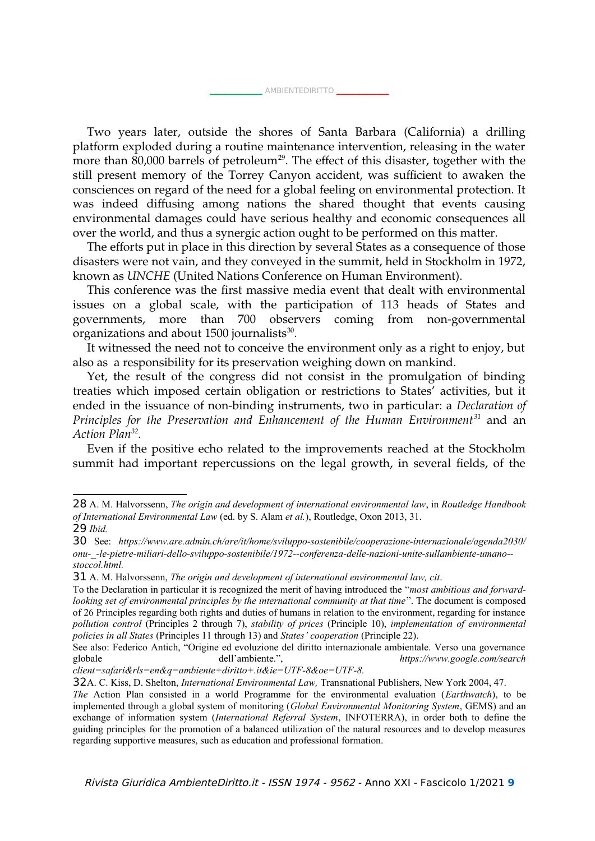Two years later, outside the shores of Santa Barbara (California) a drilling platform exploded during a routine maintenance intervention, releasing in the water more than  $80,000$  barrels of petroleum<sup>[29](#page-8-0)</sup>. The effect of this disaster, together with the still present memory of the Torrey Canyon accident, was sufficient to awaken the consciences on regard of the need for a global feeling on environmental protection. It was indeed diffusing among nations the shared thought that events causing environmental damages could have serious healthy and economic consequences all over the world, and thus a synergic action ought to be performed on this matter.

The efforts put in place in this direction by several States as a consequence of those disasters were not vain, and they conveyed in the summit, held in Stockholm in 1972, known as *UNCHE* (United Nations Conference on Human Environment).

This conference was the first massive media event that dealt with environmental issues on a global scale, with the participation of 113 heads of States and governments, more than 700 observers coming from non-governmental organizations and about 1500 journalists $^{30}$  $^{30}$  $^{30}$ .

It witnessed the need not to conceive the environment only as a right to enjoy, but also as a responsibility for its preservation weighing down on mankind.

Yet, the result of the congress did not consist in the promulgation of binding treaties which imposed certain obligation or restrictions to States' activities, but it ended in the issuance of non-binding instruments, two in particular: a *Declaration of Principles for the Preservation and Enhancement of the Human Environment[31](#page-8-2)* and an *Action Plan[32](#page-8-3) .*

Even if the positive echo related to the improvements reached at the Stockholm summit had important repercussions on the legal growth, in several fields, of the

*client=safari&rls=en&q=ambiente+diritto+.it&ie=UTF-8&oe=UTF-8.*

<sup>28</sup> A. M. Halvorssenn, *The origin and development of international environmental law*, in *Routledge Handbook of International Environmental Law* (ed. by S. Alam *et al.*), Routledge, Oxon 2013, 31. 29 *Ibid.*

<span id="page-8-1"></span><span id="page-8-0"></span><sup>30</sup> See: *[https://www.are.admin.ch/are/it/home/sviluppo-sostenibile/cooperazione-internazionale/agenda2030/](https://www.are.admin.ch/are/it/home/sviluppo-sostenibile/cooperazione-internazionale/agenda2030/onu-_-le-pietre-miliari-dello-sviluppo-sostenibile/1972--conferenza-delle-nazioni-unite-sullambiente-umano--stoccol.html) [onu-\\_-le-pietre-miliari-dello-sviluppo-sostenibile/1972--conferenza-delle-nazioni-unite-sullambiente-umano-](https://www.are.admin.ch/are/it/home/sviluppo-sostenibile/cooperazione-internazionale/agenda2030/onu-_-le-pietre-miliari-dello-sviluppo-sostenibile/1972--conferenza-delle-nazioni-unite-sullambiente-umano--stoccol.html) [stoccol.html](https://www.are.admin.ch/are/it/home/sviluppo-sostenibile/cooperazione-internazionale/agenda2030/onu-_-le-pietre-miliari-dello-sviluppo-sostenibile/1972--conferenza-delle-nazioni-unite-sullambiente-umano--stoccol.html).*

<span id="page-8-2"></span><sup>31</sup> A. M. Halvorssenn, *The origin and development of international environmental law, cit*.

To the Declaration in particular it is recognized the merit of having introduced the "*most ambitious and forwardlooking set of environmental principles by the international community at that time*". The document is composed of 26 Principles regarding both rights and duties of humans in relation to the environment, regarding for instance *pollution control* (Principles 2 through 7), *stability of prices* (Principle 10), *implementation of environmental policies in all States* (Principles 11 through 13) and *States' cooperation* (Principle 22).

See also: Federico Antich, "Origine ed evoluzione del diritto internazionale ambientale. Verso una governance globale dell'ambiente.", *<https://www.google.com/search>*

<span id="page-8-3"></span><sup>32</sup>A. C. Kiss, D. Shelton, *International Environmental Law,* Transnational Publishers, New York 2004, 47.

*The* Action Plan consisted in a world Programme for the environmental evaluation (*Earthwatch*), to be implemented through a global system of monitoring (*Global Environmental Monitoring System*, GEMS) and an exchange of information system (*International Referral System*, INFOTERRA), in order both to define the guiding principles for the promotion of a balanced utilization of the natural resources and to develop measures regarding supportive measures, such as education and professional formation.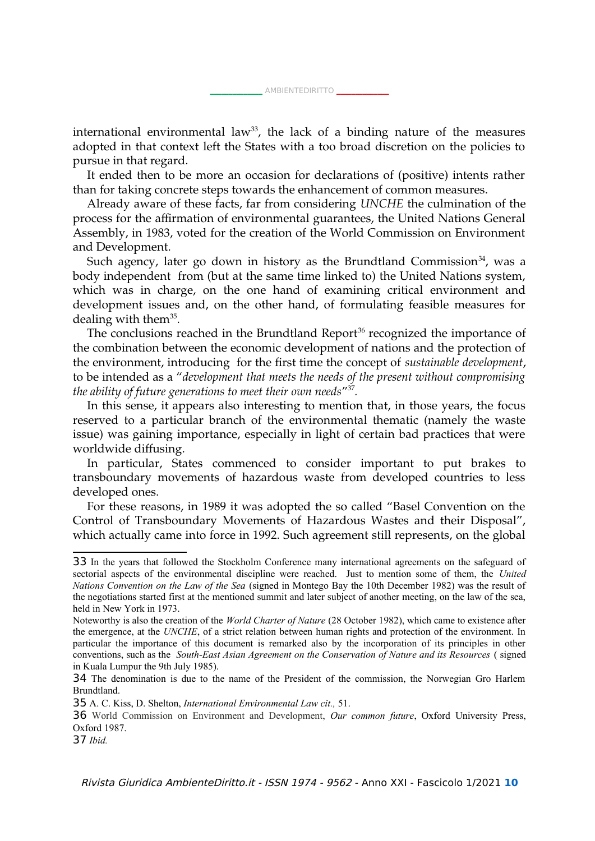international environmental law<sup>[33](#page-9-0)</sup>, the lack of a binding nature of the measures adopted in that context left the States with a too broad discretion on the policies to pursue in that regard.

It ended then to be more an occasion for declarations of (positive) intents rather than for taking concrete steps towards the enhancement of common measures.

Already aware of these facts, far from considering *UNCHE* the culmination of the process for the affirmation of environmental guarantees, the United Nations General Assembly, in 1983, voted for the creation of the World Commission on Environment and Development.

Such agency, later go down in history as the Brundtland Commission<sup>[34](#page-9-1)</sup>, was a body independent from (but at the same time linked to) the United Nations system, which was in charge, on the one hand of examining critical environment and development issues and, on the other hand, of formulating feasible measures for dealing with them $^{35}$  $^{35}$  $^{35}$ .

The conclusions reached in the Brundtland Report $36$  recognized the importance of the combination between the economic development of nations and the protection of the environment, introducing for the first time the concept of *sustainable development*, to be intended as a "*development that meets the needs of the present without compromising the ability of future generations to meet their own needs*" [37](#page-9-4) *.* 

In this sense, it appears also interesting to mention that, in those years, the focus reserved to a particular branch of the environmental thematic (namely the waste issue) was gaining importance, especially in light of certain bad practices that were worldwide diffusing.

In particular, States commenced to consider important to put brakes to transboundary movements of hazardous waste from developed countries to less developed ones.

For these reasons, in 1989 it was adopted the so called "Basel Convention on the Control of Transboundary Movements of Hazardous Wastes and their Disposal", which actually came into force in 1992. Such agreement still represents, on the global

<span id="page-9-0"></span><sup>33</sup> In the years that followed the Stockholm Conference many international agreements on the safeguard of sectorial aspects of the environmental discipline were reached. Just to mention some of them, the *United Nations Convention on the Law of the Sea* (signed in Montego Bay the 10th December 1982) was the result of the negotiations started first at the mentioned summit and later subject of another meeting, on the law of the sea, held in New York in 1973.

Noteworthy is also the creation of the *World Charter of Nature* (28 October 1982), which came to existence after the emergence, at the *UNCHE*, of a strict relation between human rights and protection of the environment. In particular the importance of this document is remarked also by the incorporation of its principles in other conventions, such as the *South-East Asian Agreement on the Conservation of Nature and its Resources* ( signed in Kuala Lumpur the 9th July 1985).

<span id="page-9-1"></span><sup>34</sup> The denomination is due to the name of the President of the commission, the Norwegian Gro Harlem Brundtland.

<span id="page-9-2"></span><sup>35</sup> A. C. Kiss, D. Shelton, *International Environmental Law cit.,* 51.

<span id="page-9-3"></span><sup>36</sup> World Commission on Environment and Development, *Our common future*, Oxford University Press, Oxford 1987.

<span id="page-9-4"></span><sup>37</sup> *Ibid.*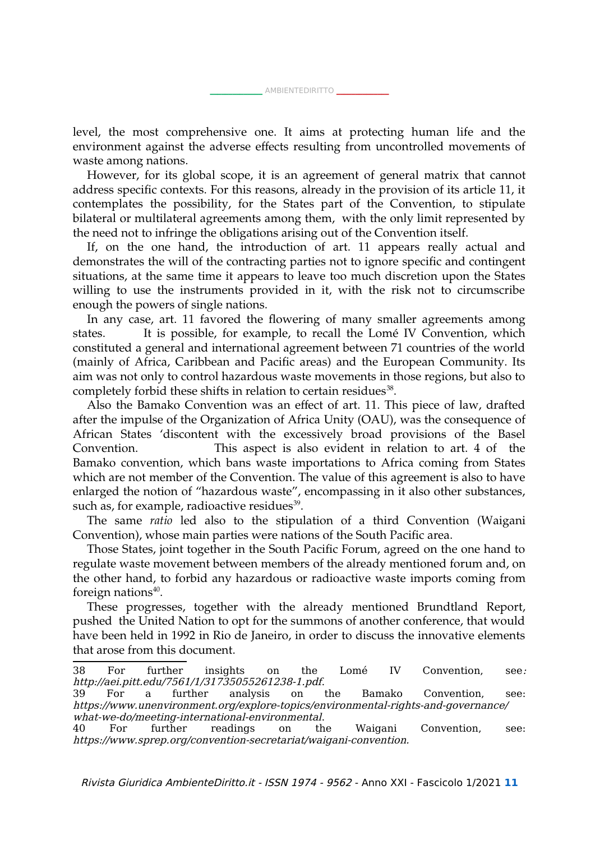level, the most comprehensive one. It aims at protecting human life and the environment against the adverse effects resulting from uncontrolled movements of waste among nations.

However, for its global scope, it is an agreement of general matrix that cannot address specific contexts. For this reasons, already in the provision of its article 11, it contemplates the possibility, for the States part of the Convention, to stipulate bilateral or multilateral agreements among them, with the only limit represented by the need not to infringe the obligations arising out of the Convention itself.

If, on the one hand, the introduction of art. 11 appears really actual and demonstrates the will of the contracting parties not to ignore specific and contingent situations, at the same time it appears to leave too much discretion upon the States willing to use the instruments provided in it, with the risk not to circumscribe enough the powers of single nations.

In any case, art. 11 favored the flowering of many smaller agreements among states. It is possible, for example, to recall the Lomé IV Convention, which constituted a general and international agreement between 71 countries of the world (mainly of Africa, Caribbean and Pacific areas) and the European Community. Its aim was not only to control hazardous waste movements in those regions, but also to completely forbid these shifts in relation to certain residues $^{38}$  $^{38}$  $^{38}$ .

Also the Bamako Convention was an effect of art. 11. This piece of law, drafted after the impulse of the Organization of Africa Unity (OAU), was the consequence of African States 'discontent with the excessively broad provisions of the Basel Convention. This aspect is also evident in relation to art. 4 of the Bamako convention, which bans waste importations to Africa coming from States which are not member of the Convention. The value of this agreement is also to have enlarged the notion of "hazardous waste", encompassing in it also other substances, such as, for example, radioactive residues $^{39}$  $^{39}$  $^{39}$ .

The same *ratio* led also to the stipulation of a third Convention (Waigani Convention), whose main parties were nations of the South Pacific area.

Those States, joint together in the South Pacific Forum, agreed on the one hand to regulate waste movement between members of the already mentioned forum and, on the other hand, to forbid any hazardous or radioactive waste imports coming from foreign nations $^{40}$  $^{40}$  $^{40}$ .

These progresses, together with the already mentioned Brundtland Report, pushed the United Nation to opt for the summons of another conference, that would have been held in 1992 in Rio de Janeiro, in order to discuss the innovative elements that arose from this document.

<span id="page-10-1"></span>39 For a further analysis on the Bamako Convention, see: [https://www.unenvironment.org/explore-topics/environmental-rights-and-governance/](https://www.unenvironment.org/explore-topics/environmental-rights-and-governance/what-we-do/meeting-international-environmental) [what-we-do/meeting-international-environmental](https://www.unenvironment.org/explore-topics/environmental-rights-and-governance/what-we-do/meeting-international-environmental).

<span id="page-10-0"></span><sup>38</sup> For further insights on the Lomé IV Convention, see: http://aei.pitt.edu/7561/1/31735055261238-1.pdf.

<span id="page-10-2"></span><sup>40</sup> For further readings on the Waigani Convention, see: https://www.sprep.org/convention-secretariat/waigani-convention.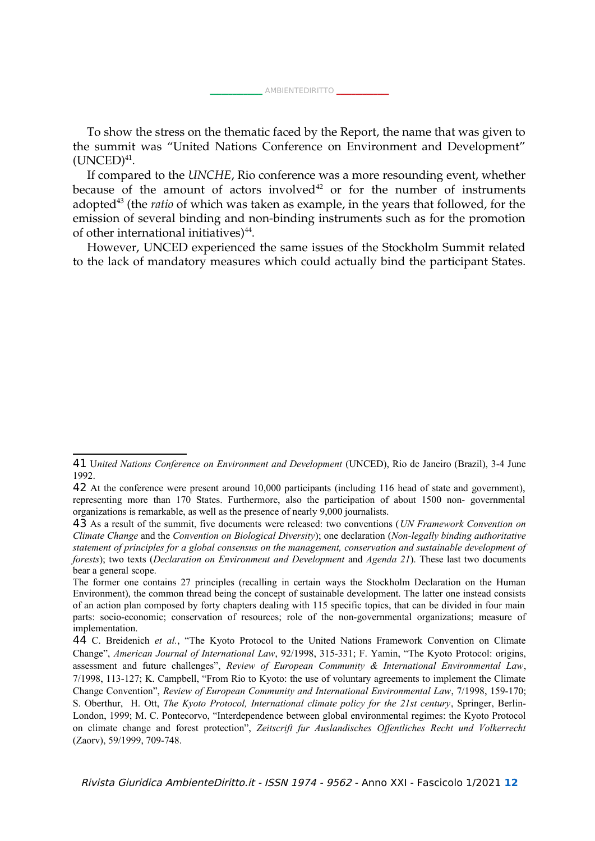

To show the stress on the thematic faced by the Report, the name that was given to the summit was "United Nations Conference on Environment and Development"  $(UNCED)^{41}.$  $(UNCED)^{41}.$  $(UNCED)^{41}.$ 

If compared to the *UNCHE*, Rio conference was a more resounding event, whether because of the amount of actors involved $42$  or for the number of instruments adopted<sup>[43](#page-11-2)</sup> (the *ratio* of which was taken as example, in the years that followed, for the emission of several binding and non-binding instruments such as for the promotion of other international initiatives) $44$ .

However, UNCED experienced the same issues of the Stockholm Summit related to the lack of mandatory measures which could actually bind the participant States.

<span id="page-11-0"></span><sup>41</sup> United Nations Conference on Environment and Development (UNCED), Rio de Janeiro (Brazil), 3-4 June 1992.

<span id="page-11-1"></span><sup>42</sup> At the conference were present around 10,000 participants (including 116 head of state and government), representing more than 170 States. Furthermore, also the participation of about 1500 non- governmental organizations is remarkable, as well as the presence of nearly 9,000 journalists.

<span id="page-11-2"></span><sup>43</sup> As a result of the summit, five documents were released: two conventions (*UN Framework Convention on Climate Change* and the *Convention on Biological Diversity*); one declaration (*Non-legally binding authoritative statement of principles for a global consensus on the management, conservation and sustainable development of forests*); two texts (*Declaration on Environment and Development* and *Agenda 21*). These last two documents bear a general scope.

The former one contains 27 principles (recalling in certain ways the Stockholm Declaration on the Human Environment), the common thread being the concept of sustainable development. The latter one instead consists of an action plan composed by forty chapters dealing with 115 specific topics, that can be divided in four main parts: socio-economic; conservation of resources; role of the non-governmental organizations; measure of implementation.

<span id="page-11-3"></span><sup>44</sup> C. Breidenich *et al.*, "The Kyoto Protocol to the United Nations Framework Convention on Climate Change", *American Journal of International Law*, 92/1998, 315-331; F. Yamin, "The Kyoto Protocol: origins, assessment and future challenges", *Review of European Community & International Environmental Law*, 7/1998, 113-127; K. Campbell, "From Rio to Kyoto: the use of voluntary agreements to implement the Climate Change Convention", *Review of European Community and International Environmental Law*, 7/1998, 159-170; S. Oberthur, H. Ott, *The Kyoto Protocol, International climate policy for the 21st century*, Springer, Berlin-London, 1999; M. C. Pontecorvo, "Interdependence between global environmental regimes: the Kyoto Protocol on climate change and forest protection", *Zeitscrift fur Auslandisches Offentliches Recht und Volkerrecht* (Zaorv), 59/1999, 709-748.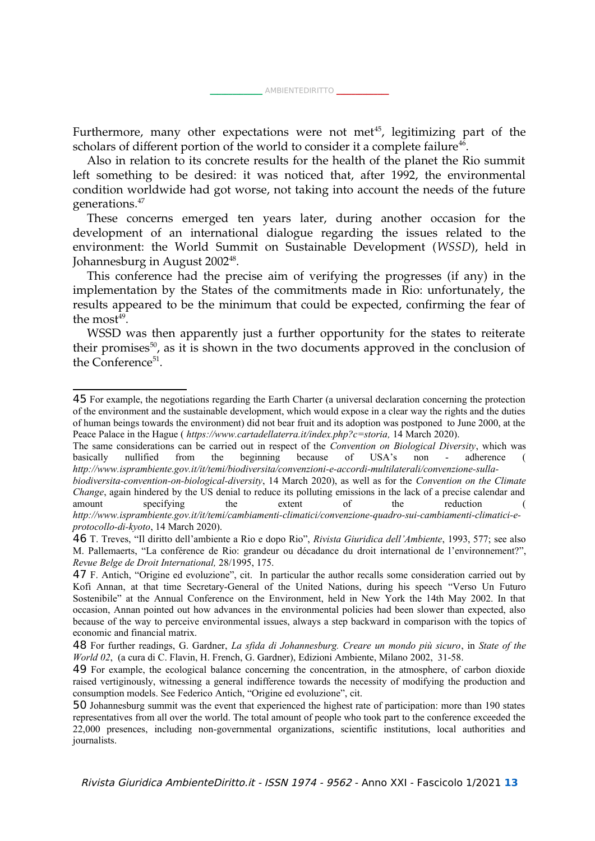Furthermore, many other expectations were not met<sup> $45$ </sup>, legitimizing part of the scholars of different portion of the world to consider it a complete failure $^{46}$  $^{46}$  $^{46}$ .

Also in relation to its concrete results for the health of the planet the Rio summit left something to be desired: it was noticed that, after 1992, the environmental condition worldwide had got worse, not taking into account the needs of the future generations.[47](#page-12-2)

These concerns emerged ten years later, during another occasion for the development of an international dialogue regarding the issues related to the environment: the World Summit on Sustainable Development (*WSSD*), held in Johannesburg in August 2002 $^{48}$  $^{48}$  $^{48}$ .

This conference had the precise aim of verifying the progresses (if any) in the implementation by the States of the commitments made in Rio: unfortunately, the results appeared to be the minimum that could be expected, confirming the fear of the most $49$ .

WSSD was then apparently just a further opportunity for the states to reiterate their promises $50$ , as it is shown in the two documents approved in the conclusion of the Conference<sup>51</sup>.

<span id="page-12-0"></span><sup>45</sup> For example, the negotiations regarding the Earth Charter (a universal declaration concerning the protection of the environment and the sustainable development, which would expose in a clear way the rights and the duties of human beings towards the environment) did not bear fruit and its adoption was postponed to June 2000, at the Peace Palace in the Hague ( *<https://www.cartadellaterra.it/index.php?c=storia>,* 14 March 2020).

The same considerations can be carried out in respect of the *Convention on Biological Diversity*, which was basically nullified from the beginning because of USA's non - adherence ( *[http://www.isprambiente.gov.it/it/temi/biodiversita/convenzioni-e-accordi-multilaterali/convenzione-sulla-](http://www.isprambiente.gov.it/it/temi/biodiversita/convenzioni-e-accordi-multilaterali/convenzione-sulla-biodiversita-convention-on-biological-diversity)*

*[biodiversita-convention-on-biological-diversity](http://www.isprambiente.gov.it/it/temi/biodiversita/convenzioni-e-accordi-multilaterali/convenzione-sulla-biodiversita-convention-on-biological-diversity)*, 14 March 2020), as well as for the *Convention on the Climate Change*, again hindered by the US denial to reduce its polluting emissions in the lack of a precise calendar and amount specifying the extent of the reduction ( *[http://www.isprambiente.gov.it/it/temi/cambiamenti-climatici/convenzione-quadro-sui-cambiamenti-climatici-e-](http://www.isprambiente.gov.it/it/temi/cambiamenti-climatici/convenzione-quadro-sui-cambiamenti-climatici-e-protocollo-di-kyoto)*

*[protocollo-di-kyoto](http://www.isprambiente.gov.it/it/temi/cambiamenti-climatici/convenzione-quadro-sui-cambiamenti-climatici-e-protocollo-di-kyoto)*, 14 March 2020). 46 T. Treves, "Il diritto dell'ambiente a Rio e dopo Rio", *Rivista Giuridica dell'Ambiente*, 1993, 577; see also

<span id="page-12-1"></span>M. Pallemaerts, "La conférence de Rio: grandeur ou décadance du droit international de l'environnement?", *Revue Belge de Droit International,* 28/1995, 175.

<span id="page-12-2"></span><sup>47</sup> F. Antich, "Origine ed evoluzione", cit. In particular the author recalls some consideration carried out by Kofi Annan, at that time Secretary-General of the United Nations, during his speech "Verso Un Futuro Sostenibile" at the Annual Conference on the Environment, held in New York the 14th May 2002. In that occasion, Annan pointed out how advances in the environmental policies had been slower than expected, also because of the way to perceive environmental issues, always a step backward in comparison with the topics of economic and financial matrix.

<span id="page-12-3"></span><sup>48</sup> For further readings, G. Gardner, *La sfida di Johannesburg. Creare un mondo più sicuro*, in *State of the World 02*, (a cura di C. Flavin, H. French, G. Gardner), Edizioni Ambiente, Milano 2002, 31-58.

<span id="page-12-4"></span><sup>49</sup> For example, the ecological balance concerning the concentration, in the atmosphere, of carbon dioxide raised vertiginously, witnessing a general indifference towards the necessity of modifying the production and consumption models. See Federico Antich, "Origine ed evoluzione", cit.

<span id="page-12-5"></span><sup>50</sup> Johannesburg summit was the event that experienced the highest rate of participation: more than 190 states representatives from all over the world. The total amount of people who took part to the conference exceeded the 22,000 presences, including non-governmental organizations, scientific institutions, local authorities and journalists.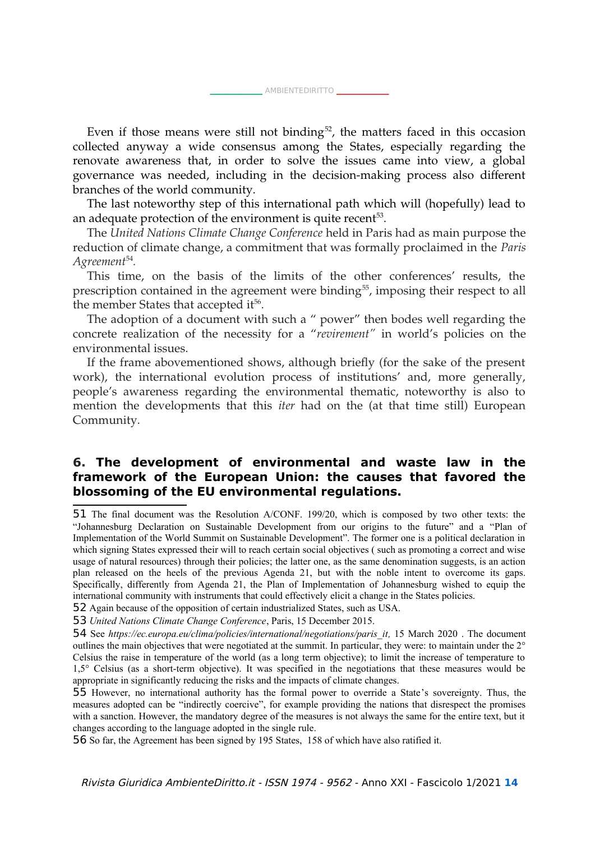Even if those means were still not binding $52$ , the matters faced in this occasion collected anyway a wide consensus among the States, especially regarding the renovate awareness that, in order to solve the issues came into view, a global governance was needed, including in the decision-making process also different branches of the world community.

The last noteworthy step of this international path which will (hopefully) lead to an adequate protection of the environment is quite recent $^{53}$  $^{53}$  $^{53}$ .

The *United Nations Climate Change Conference* held in Paris had as main purpose the reduction of climate change, a commitment that was formally proclaimed in the *Paris Agreement*[54](#page-13-2) *.*

This time, on the basis of the limits of the other conferences' results, the prescription contained in the agreement were binding<sup>[55](#page-13-3)</sup>, imposing their respect to all the member States that accepted it<sup>[56](#page-13-4)</sup>.

The adoption of a document with such a " power" then bodes well regarding the concrete realization of the necessity for a "*revirement"* in world's policies on the environmental issues.

If the frame abovementioned shows, although briefly (for the sake of the present work), the international evolution process of institutions' and, more generally, people's awareness regarding the environmental thematic, noteworthy is also to mention the developments that this *iter* had on the (at that time still) European Community.

## **6. The development of environmental and waste law in the framework of the European Union: the causes that favored the blossoming of the EU environmental regulations.**

<sup>51</sup> The final document was the Resolution A/CONF. 199/20, which is composed by two other texts: the "Johannesburg Declaration on Sustainable Development from our origins to the future" and a "Plan of Implementation of the World Summit on Sustainable Development". The former one is a political declaration in which signing States expressed their will to reach certain social objectives ( such as promoting a correct and wise usage of natural resources) through their policies; the latter one, as the same denomination suggests, is an action plan released on the heels of the previous Agenda 21, but with the noble intent to overcome its gaps. Specifically, differently from Agenda 21, the Plan of Implementation of Johannesburg wished to equip the international community with instruments that could effectively elicit a change in the States policies.

<span id="page-13-0"></span><sup>52</sup> Again because of the opposition of certain industrialized States, such as USA.

<span id="page-13-1"></span><sup>53</sup> *United Nations Climate Change Conference*, Paris, 15 December 2015.

<span id="page-13-2"></span><sup>54</sup> See *[https://ec.europa.eu/clima/policies/international/negotiations/paris\\_it,](https://ec.europa.eu/clima/policies/international/negotiations/paris_it)* 15 March 2020 . The document outlines the main objectives that were negotiated at the summit. In particular, they were: to maintain under the 2° Celsius the raise in temperature of the world (as a long term objective); to limit the increase of temperature to 1,5° Celsius (as a short-term objective). It was specified in the negotiations that these measures would be appropriate in significantly reducing the risks and the impacts of climate changes.

<span id="page-13-3"></span><sup>55</sup> However, no international authority has the formal power to override a State's sovereignty. Thus, the measures adopted can be "indirectly coercive", for example providing the nations that disrespect the promises with a sanction. However, the mandatory degree of the measures is not always the same for the entire text, but it changes according to the language adopted in the single rule.

<span id="page-13-4"></span><sup>56</sup> So far, the Agreement has been signed by 195 States, 158 of which have also ratified it.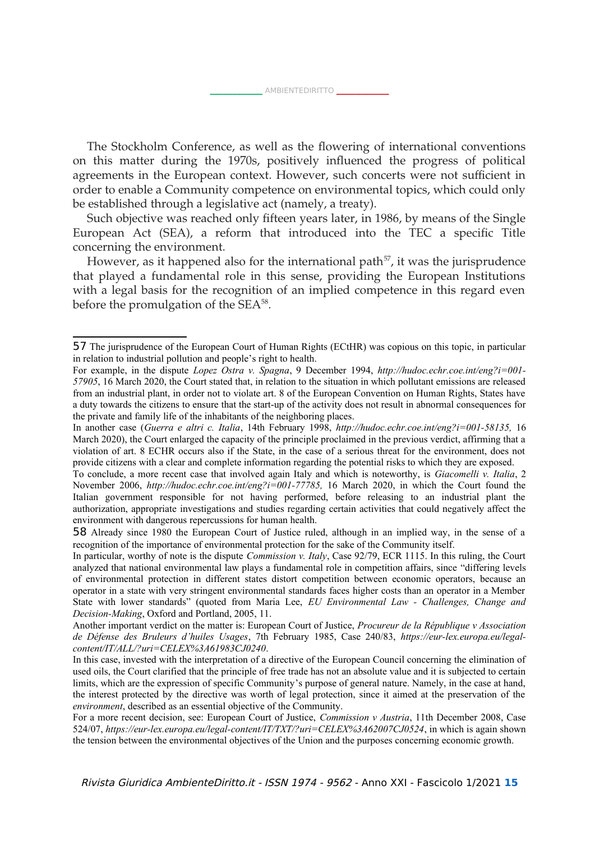The Stockholm Conference, as well as the flowering of international conventions on this matter during the 1970s, positively influenced the progress of political agreements in the European context. However, such concerts were not sufficient in order to enable a Community competence on environmental topics, which could only be established through a legislative act (namely, a treaty).

Such objective was reached only fifteen years later, in 1986, by means of the Single European Act (SEA), a reform that introduced into the TEC a specific Title concerning the environment.

However, as it happened also for the international path<sup>[57](#page-14-0)</sup>, it was the jurisprudence that played a fundamental role in this sense, providing the European Institutions with a legal basis for the recognition of an implied competence in this regard even before the promulgation of the SEA $^{58}$  $^{58}$  $^{58}$ .

<span id="page-14-0"></span><sup>57</sup> The jurisprudence of the European Court of Human Rights (ECtHR) was copious on this topic, in particular in relation to industrial pollution and people's right to health.

For example, in the dispute *Lopez Ostra v. Spagna*, 9 December 1994, *[http://hudoc.echr.coe.int/eng?i=001-](http://hudoc.echr.coe.int/eng?i=001-57905) [57905](http://hudoc.echr.coe.int/eng?i=001-57905)*, 16 March 2020, the Court stated that, in relation to the situation in which pollutant emissions are released from an industrial plant, in order not to violate art. 8 of the European Convention on Human Rights, States have a duty towards the citizens to ensure that the start-up of the activity does not result in abnormal consequences for the private and family life of the inhabitants of the neighboring places.

In another case (*Guerra e altri c. Italia*, 14th February 1998, *[http://hudoc.echr.coe.int/eng?i=001-58135,](http://hudoc.echr.coe.int/eng?i=001-58135)* 16 March 2020), the Court enlarged the capacity of the principle proclaimed in the previous verdict, affirming that a violation of art. 8 ECHR occurs also if the State, in the case of a serious threat for the environment, does not provide citizens with a clear and complete information regarding the potential risks to which they are exposed.

To conclude, a more recent case that involved again Italy and which is noteworthy, is *Giacomelli v. Italia*, 2 November 2006, *[http://hudoc.echr.coe.int/eng?i=001-77785,](http://hudoc.echr.coe.int/eng?i=001-77785)* 16 March 2020, in which the Court found the Italian government responsible for not having performed, before releasing to an industrial plant the authorization, appropriate investigations and studies regarding certain activities that could negatively affect the environment with dangerous repercussions for human health.

<span id="page-14-1"></span><sup>58</sup> Already since 1980 the European Court of Justice ruled, although in an implied way, in the sense of a recognition of the importance of environmental protection for the sake of the Community itself.

In particular, worthy of note is the dispute *Commission v. Italy*, Case 92/79, ECR 1115. In this ruling, the Court analyzed that national environmental law plays a fundamental role in competition affairs, since "differing levels of environmental protection in different states distort competition between economic operators, because an operator in a state with very stringent environmental standards faces higher costs than an operator in a Member State with lower standards" (quoted from Maria Lee, *EU Environmental Law - Challenges, Change and Decision-Making*, Oxford and Portland, 2005, 11.

Another important verdict on the matter is: European Court of Justice, *Procureur de la République v Association de Défense des Bruleurs d'huiles Usages*, 7th February 1985, Case 240/83, *[https://eur-lex.europa.eu/legal](https://eur-lex.europa.eu/legal-content/IT/ALL/?uri=CELEX%2525253A61983CJ0240)[content/IT/ALL/?uri=CELEX%3A61983CJ0240](https://eur-lex.europa.eu/legal-content/IT/ALL/?uri=CELEX%2525253A61983CJ0240)*.

In this case, invested with the interpretation of a directive of the European Council concerning the elimination of used oils, the Court clarified that the principle of free trade has not an absolute value and it is subjected to certain limits, which are the expression of specific Community's purpose of general nature. Namely, in the case at hand, the interest protected by the directive was worth of legal protection, since it aimed at the preservation of the *environment*, described as an essential objective of the Community.

For a more recent decision, see: European Court of Justice, *Commission v Austria*, 11th December 2008, Case 524/07, *[https://eur-lex.europa.eu/legal-content/IT/TXT/?uri=CELEX%3A62007CJ0524](https://eur-lex.europa.eu/legal-content/IT/TXT/?uri=CELEX%2525253A62007CJ0524)*, in which is again shown the tension between the environmental objectives of the Union and the purposes concerning economic growth.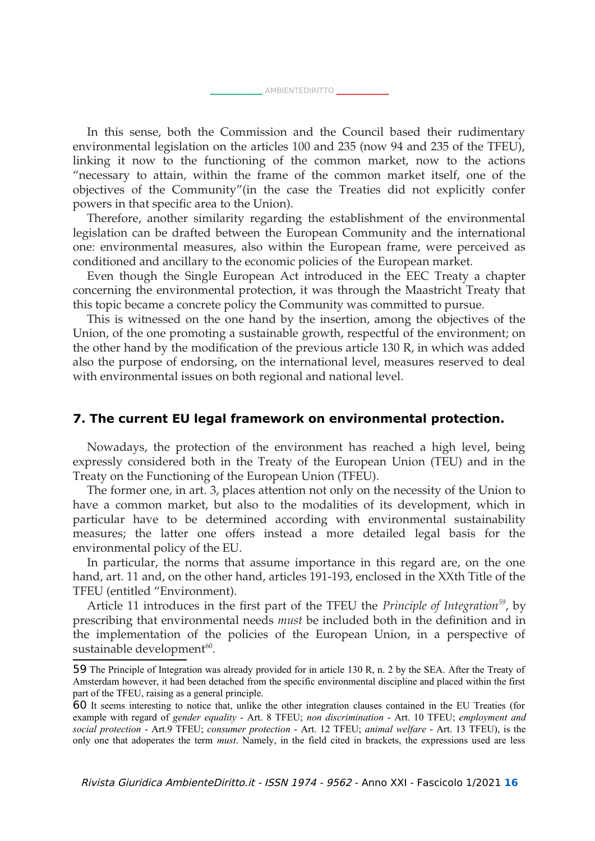In this sense, both the Commission and the Council based their rudimentary environmental legislation on the articles 100 and 235 (now 94 and 235 of the TFEU), linking it now to the functioning of the common market, now to the actions "necessary to attain, within the frame of the common market itself, one of the objectives of the Community"(in the case the Treaties did not explicitly confer powers in that specific area to the Union).

Therefore, another similarity regarding the establishment of the environmental legislation can be drafted between the European Community and the international one: environmental measures, also within the European frame, were perceived as conditioned and ancillary to the economic policies of the European market.

Even though the Single European Act introduced in the EEC Treaty a chapter concerning the environmental protection, it was through the Maastricht Treaty that this topic became a concrete policy the Community was committed to pursue.

This is witnessed on the one hand by the insertion, among the objectives of the Union, of the one promoting a sustainable growth, respectful of the environment; on the other hand by the modification of the previous article 130 R, in which was added also the purpose of endorsing, on the international level, measures reserved to deal with environmental issues on both regional and national level.

#### **7. The current EU legal framework on environmental protection.**

Nowadays, the protection of the environment has reached a high level, being expressly considered both in the Treaty of the European Union (TEU) and in the Treaty on the Functioning of the European Union (TFEU).

The former one, in art. 3, places attention not only on the necessity of the Union to have a common market, but also to the modalities of its development, which in particular have to be determined according with environmental sustainability measures; the latter one offers instead a more detailed legal basis for the environmental policy of the EU.

In particular, the norms that assume importance in this regard are, on the one hand, art. 11 and, on the other hand, articles 191-193, enclosed in the XXth Title of the TFEU (entitled "Environment).

Article 11 introduces in the first part of the TFEU the *Principle of Integration[59](#page-15-0)*, by prescribing that environmental needs *must* be included both in the definition and in the implementation of the policies of the European Union, in a perspective of sustainable development $\rm ^{60}$  $\rm ^{60}$  $\rm ^{60}$ .

<span id="page-15-0"></span><sup>59</sup> The Principle of Integration was already provided for in article 130 R, n. 2 by the SEA. After the Treaty of Amsterdam however, it had been detached from the specific environmental discipline and placed within the first part of the TFEU, raising as a general principle.

<span id="page-15-1"></span><sup>60</sup> It seems interesting to notice that, unlike the other integration clauses contained in the EU Treaties (for example with regard of *gender equality* - Art. 8 TFEU; *non discrimination* - Art. 10 TFEU; *employment and social protection* - Art.9 TFEU; *consumer protection* - Art. 12 TFEU; *animal welfare* - Art. 13 TFEU), is the only one that adoperates the term *must*. Namely, in the field cited in brackets, the expressions used are less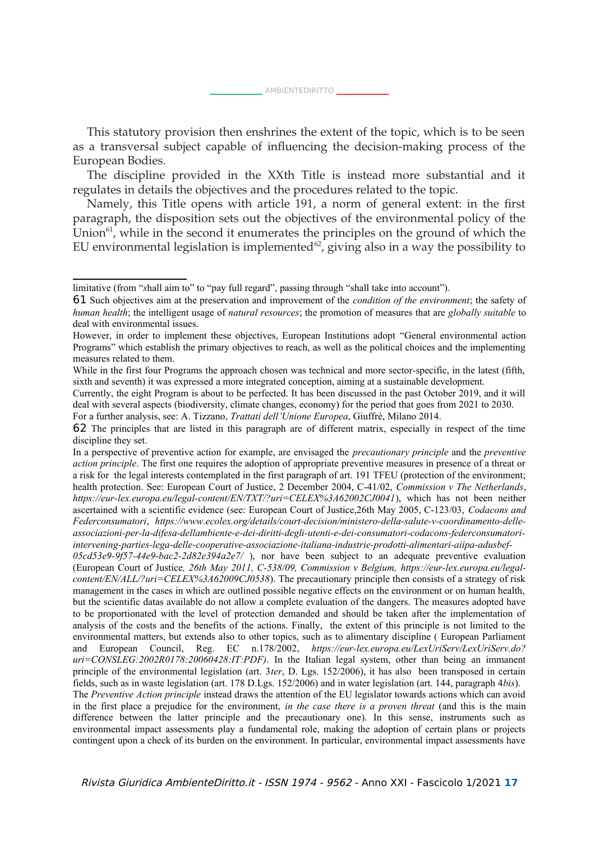\_\_\_\_\_\_\_\_\_\_\_\_\_\_ [AMBIENTEDIRITTO](http://www.AMBIENTEDIRITTO.it/) \_\_\_\_\_\_\_\_\_\_\_\_\_\_

This statutory provision then enshrines the extent of the topic, which is to be seen as a transversal subject capable of influencing the decision-making process of the European Bodies.

The discipline provided in the XXth Title is instead more substantial and it regulates in details the objectives and the procedures related to the topic.

Namely, this Title opens with article 191, a norm of general extent: in the first paragraph, the disposition sets out the objectives of the environmental policy of the Union $61$ , while in the second it enumerates the principles on the ground of which the EU environmental legislation is implemented $62$ , giving also in a way the possibility to

Currently, the eight Program is about to be perfected. It has been discussed in the past October 2019, and it will deal with several aspects (biodiversity, climate changes, economy) for the period that goes from 2021 to 2030. For a further analysis, see: A. Tizzano, *Trattati dell'Unione Europea*, Giuffrè, Milano 2014.

*05cd53e9-9f57-44e9-bac2-2d82e394a2e7/* ), nor have been subject to an adequate preventive evaluation (European Court of Justice*, 26th May 2011, C-538/09, Commission v Belgium, [https://eur-lex.europa.eu/legal](https://eur-lex.europa.eu/legal-content/EN/ALL/?uri=CELEX%2525253A62009CJ0538)[content/EN/ALL/?uri=CELEX%3A62009CJ0538](https://eur-lex.europa.eu/legal-content/EN/ALL/?uri=CELEX%2525253A62009CJ0538)*). The precautionary principle then consists of a strategy of risk management in the cases in which are outlined possible negative effects on the environment or on human health, but the scientific datas available do not allow a complete evaluation of the dangers. The measures adopted have to be proportionated with the level of protection demanded and should be taken after the implementation of analysis of the costs and the benefits of the actions. Finally, the extent of this principle is not limited to the environmental matters, but extends also to other topics, such as to alimentary discipline ( European Parliament and European Council, Reg. EC n.178/2002, *[https://eur-lex.europa.eu/LexUriServ/LexUriServ.do?](https://eur-lex.europa.eu/LexUriServ/LexUriServ.do?uri=CONSLEG:2002R0178:20060428:IT:PDF) [uri=CONSLEG:2002R0178:20060428:IT:PDF](https://eur-lex.europa.eu/LexUriServ/LexUriServ.do?uri=CONSLEG:2002R0178:20060428:IT:PDF))*. In the Italian legal system, other than being an immanent principle of the environmental legislation (art. 3*ter*, D. Lgs. 152/2006), it has also been transposed in certain fields, such as in waste legislation (art. 178 D.Lgs. 152/2006) and in water legislation (art. 144, paragraph 4*bis*).

The *Preventive Action principle* instead draws the attention of the EU legislator towards actions which can avoid in the first place a prejudice for the environment, *in the case there is a proven threat* (and this is the main difference between the latter principle and the precautionary one). In this sense, instruments such as environmental impact assessments play a fundamental role, making the adoption of certain plans or projects contingent upon a check of its burden on the environment. In particular, environmental impact assessments have

limitative (from "*s*hall aim to" to "pay full regard", passing through "shall take into account").

<span id="page-16-0"></span><sup>61</sup> Such objectives aim at the preservation and improvement of the *condition of the environment*; the safety of *human health*; the intelligent usage of *natural resources*; the promotion of measures that are *globally suitable* to deal with environmental issues.

However, in order to implement these objectives, European Institutions adopt "General environmental action Programs" which establish the primary objectives to reach, as well as the political choices and the implementing measures related to them.

While in the first four Programs the approach chosen was technical and more sector-specific, in the latest (fifth, sixth and seventh) it was expressed a more integrated conception, aiming at a sustainable development.

<span id="page-16-1"></span><sup>62</sup> The principles that are listed in this paragraph are of different matrix, especially in respect of the time discipline they set.

In a perspective of preventive action for example, are envisaged the *precautionary principle* and the *preventive action principle*. The first one requires the adoption of appropriate preventive measures in presence of a threat or a risk for the legal interests contemplated in the first paragraph of art. 191 TFEU (protection of the environment; health protection. See: European Court of Justice, 2 December 2004, C-41/02, *Commission v The Netherlands*, *[https://eur-lex.europa.eu/legal-content/EN/TXT/?uri=CELEX%3A62002CJ0041](https://eur-lex.europa.eu/legal-content/EN/TXT/?uri=CELEX%2525253A62002CJ0041)*), which has not been neither ascertained with a scientific evidence (see: European Court of Justice,26th May 2005, C-123/03, *Codacons and Federconsumatori*, *https://www.ecolex.org/details/court-decision/ministero-della-salute-v-coordinamento-delleassociazioni-per-la-difesa-dellambiente-e-dei-diritti-degli-utenti-e-dei-consumatori-codacons-federconsumatoriintervening-parties-lega-delle-cooperative-associazione-italiana-industrie-prodotti-alimentari-aiipa-adusbef-*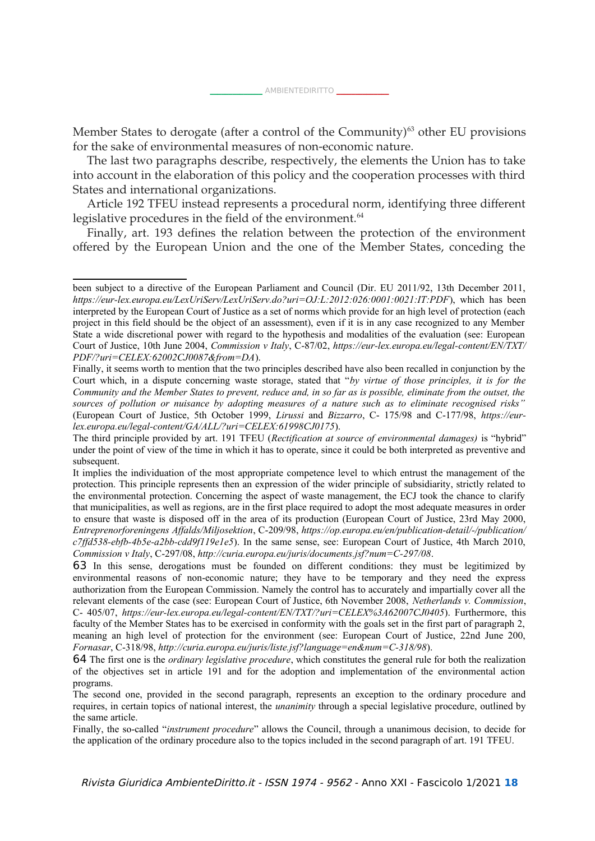Member States to derogate (after a control of the Community) $63$  other EU provisions for the sake of environmental measures of non-economic nature.

The last two paragraphs describe, respectively, the elements the Union has to take into account in the elaboration of this policy and the cooperation processes with third States and international organizations.

Article 192 TFEU instead represents a procedural norm, identifying three different legislative procedures in the field of the environment.<sup>[64](#page-17-1)</sup>

Finally, art. 193 defines the relation between the protection of the environment offered by the European Union and the one of the Member States, conceding the

been subject to a directive of the European Parliament and Council (Dir. EU 2011/92, 13th December 2011, *<https://eur-lex.europa.eu/LexUriServ/LexUriServ.do?uri=OJ:L:2012:026:0001:0021:IT:PDF>*), which has been interpreted by the European Court of Justice as a set of norms which provide for an high level of protection (each project in this field should be the object of an assessment), even if it is in any case recognized to any Member State a wide discretional power with regard to the hypothesis and modalities of the evaluation (see: European Court of Justice, 10th June 2004, *Commission v Italy*, C-87/02, *[https://eur-lex.europa.eu/legal-content/EN/TXT/](https://eur-lex.europa.eu/legal-content/EN/TXT/PDF/?uri=CELEX:62002CJ0087&from=DA) [PDF/?uri=CELEX:62002CJ0087&from=DA](https://eur-lex.europa.eu/legal-content/EN/TXT/PDF/?uri=CELEX:62002CJ0087&from=DA)*).

Finally, it seems worth to mention that the two principles described have also been recalled in conjunction by the Court which, in a dispute concerning waste storage, stated that "*by virtue of those principles, it is for the Community and the Member States to prevent, reduce and, in so far as is possible, eliminate from the outset, the sources of pollution or nuisance by adopting measures of a nature such as to eliminate recognised risks"* (European Court of Justice, 5th October 1999, *Lirussi* and *Bizzarro*, C- 175/98 and C-177/98, *[https://eur](https://eur-lex.europa.eu/legal-content/GA/ALL/?uri=CELEX:61998CJ0175)[lex.europa.eu/legal-content/GA/ALL/?uri=CELEX:61998CJ0175](https://eur-lex.europa.eu/legal-content/GA/ALL/?uri=CELEX:61998CJ0175)*).

The third principle provided by art. 191 TFEU (*Rectification at source of environmental damages)* is "hybrid" under the point of view of the time in which it has to operate, since it could be both interpreted as preventive and subsequent.

It implies the individuation of the most appropriate competence level to which entrust the management of the protection. This principle represents then an expression of the wider principle of subsidiarity, strictly related to the environmental protection. Concerning the aspect of waste management, the ECJ took the chance to clarify that municipalities, as well as regions, are in the first place required to adopt the most adequate measures in order to ensure that waste is disposed off in the area of its production (European Court of Justice, 23rd May 2000, *Entreprenorforeningens Affalds/Miljosektion*, C-209/98, *[https://op.europa.eu/en/publication-detail/-/publication/](https://op.europa.eu/en/publication-detail/-/publication/c7ffd538-ebfb-4b5e-a2bb-cdd9f119e1e5) [c7ffd538-ebfb-4b5e-a2bb-cdd9f119e1e5](https://op.europa.eu/en/publication-detail/-/publication/c7ffd538-ebfb-4b5e-a2bb-cdd9f119e1e5)*). In the same sense, see: European Court of Justice, 4th March 2010, *Commission v Italy*, C-297/08, *<http://curia.europa.eu/juris/documents.jsf?num=C-297/08>*.

<span id="page-17-0"></span><sup>63</sup> In this sense, derogations must be founded on different conditions: they must be legitimized by environmental reasons of non-economic nature; they have to be temporary and they need the express authorization from the European Commission. Namely the control has to accurately and impartially cover all the relevant elements of the case (see: European Court of Justice, 6th November 2008, *Netherlands v. Commission*, C- 405/07, *[https://eur-lex.europa.eu/legal-content/EN/TXT/?uri=CELEX%3A62007CJ0405](https://eur-lex.europa.eu/legal-content/EN/TXT/?uri=CELEX%2525253A62007CJ0405)*). Furthermore, this faculty of the Member States has to be exercised in conformity with the goals set in the first part of paragraph 2, meaning an high level of protection for the environment (see: European Court of Justice, 22nd June 200, *Fornasar*, C-318/98, *<http://curia.europa.eu/juris/liste.jsf?language=en&num=C-318/98>*).

<span id="page-17-1"></span><sup>64</sup> The first one is the *ordinary legislative procedure*, which constitutes the general rule for both the realization of the objectives set in article 191 and for the adoption and implementation of the environmental action programs.

The second one, provided in the second paragraph, represents an exception to the ordinary procedure and requires, in certain topics of national interest, the *unanimity* through a special legislative procedure, outlined by the same article.

Finally, the so-called "*instrument procedure*" allows the Council, through a unanimous decision, to decide for the application of the ordinary procedure also to the topics included in the second paragraph of art. 191 TFEU.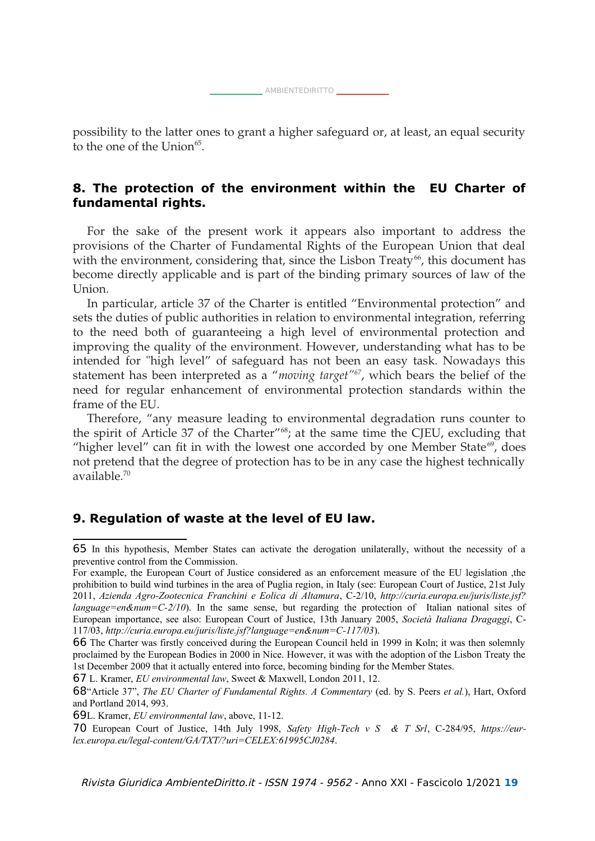possibility to the latter ones to grant a higher safeguard or, at least, an equal security to the one of the Union<sup>[65](#page-18-0)</sup>.

## **8. The protection of the environment within the EU Charter of fundamental rights.**

For the sake of the present work it appears also important to address the provisions of the Charter of Fundamental Rights of the European Union that deal with the environment, considering that, since the Lisbon Treaty<sup>[66](#page-18-1)</sup>, this document has become directly applicable and is part of the binding primary sources of law of the Union.

In particular, article 37 of the Charter is entitled "Environmental protection" and sets the duties of public authorities in relation to environmental integration, referring to the need both of guaranteeing a high level of environmental protection and improving the quality of the environment. However, understanding what has to be intended for "high level" of safeguard has not been an easy task. Nowadays this statement has been interpreted as a "*moving target"[67](#page-18-2)*, which bears the belief of the need for regular enhancement of environmental protection standards within the frame of the EU.

Therefore, "any measure leading to environmental degradation runs counter to the spirit of Article 37 of the Charter"[68](#page-18-3); at the same time the CJEU, excluding that "higher level" can fit in with the lowest one accorded by one Member State $\mathfrak{h}$ , does not pretend that the degree of protection has to be in any case the highest technically available.[70](#page-18-5)

#### **9. Regulation of waste at the level of EU law.**

<span id="page-18-2"></span>67 L. Kramer, *EU environmental law*, Sweet & Maxwell, London 2011, 12.

<span id="page-18-0"></span><sup>65</sup> In this hypothesis, Member States can activate the derogation unilaterally, without the necessity of a preventive control from the Commission.

For example, the European Court of Justice considered as an enforcement measure of the EU legislation ,the prohibition to build wind turbines in the area of Puglia region, in Italy (see: European Court of Justice, 21st July 2011, *Azienda Agro-Zootecnica Franchini e Eolica di Altamura*, C-2/10, *[http://curia.europa.eu/juris/liste.jsf?](http://curia.europa.eu/juris/liste.jsf?language=en&num=C-2/10) [language=en&num=C-2/10](http://curia.europa.eu/juris/liste.jsf?language=en&num=C-2/10)*). In the same sense, but regarding the protection of Italian national sites of European importance, see also: European Court of Justice, 13th January 2005, *Società Italiana Dragaggi*, C-117/03, *<http://curia.europa.eu/juris/liste.jsf?language=en&num=C-117/03>*).

<span id="page-18-1"></span><sup>66</sup> The Charter was firstly conceived during the European Council held in 1999 in Koln; it was then solemnly proclaimed by the European Bodies in 2000 in Nice. However, it was with the adoption of the Lisbon Treaty the 1st December 2009 that it actually entered into force, becoming binding for the Member States.

<span id="page-18-3"></span><sup>68</sup>"Article 37", *The EU Charter of Fundamental Rights. A Commentary* (ed. by S. Peers *et al.*), Hart, Oxford and Portland 2014, 993.

<span id="page-18-4"></span><sup>69</sup>L. Kramer, *EU environmental law*, above, 11-12.

<span id="page-18-5"></span><sup>70</sup> European Court of Justice, 14th July 1998, *Safety High-Tech v S & T Srl*, C-284/95, *[https://eur](https://eur-lex.europa.eu/legal-content/GA/TXT/?uri=CELEX:61995CJ0284)[lex.europa.eu/legal-content/GA/TXT/?uri=CELEX:61995CJ0284](https://eur-lex.europa.eu/legal-content/GA/TXT/?uri=CELEX:61995CJ0284)*.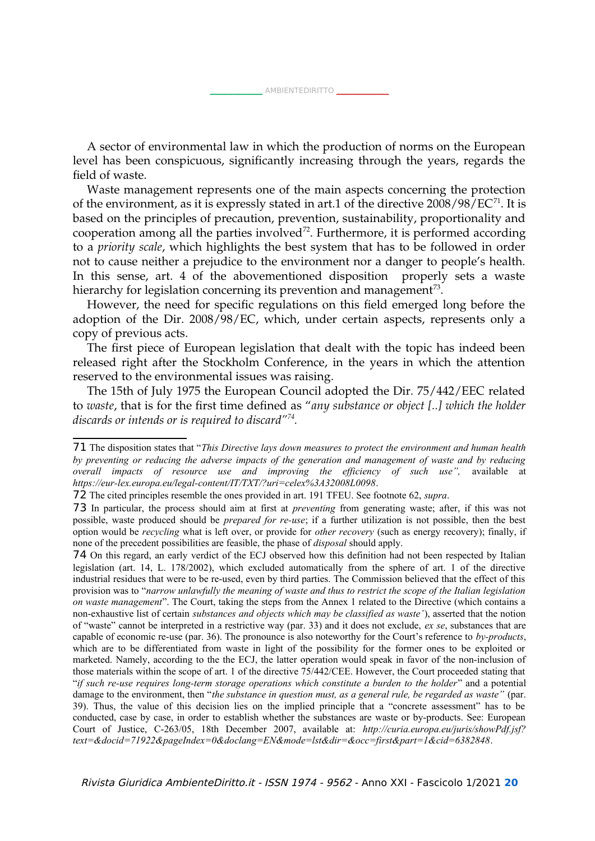A sector of environmental law in which the production of norms on the European level has been conspicuous, significantly increasing through the years, regards the field of waste.

Waste management represents one of the main aspects concerning the protection of the environment, as it is expressly stated in art.1 of the directive  $2008/98/EC^{71}$  $2008/98/EC^{71}$  $2008/98/EC^{71}$ . It is based on the principles of precaution, prevention, sustainability, proportionality and cooperation among all the parties involved<sup> $72$ </sup>. Furthermore, it is performed according to a *priority scale*, which highlights the best system that has to be followed in order not to cause neither a prejudice to the environment nor a danger to people's health. In this sense, art. 4 of the abovementioned disposition properly sets a waste hierarchy for legislation concerning its prevention and management $^{73}$  $^{73}$  $^{73}$ .

However, the need for specific regulations on this field emerged long before the adoption of the Dir. 2008/98/EC, which, under certain aspects, represents only a copy of previous acts.

The first piece of European legislation that dealt with the topic has indeed been released right after the Stockholm Conference, in the years in which the attention reserved to the environmental issues was raising.

The 15th of July 1975 the European Council adopted the Dir. 75/442/EEC related to *waste*, that is for the first time defined as "*any substance or object [..] which the holder discards or intends or is required to discard"[74](#page-19-3) .* 

<span id="page-19-0"></span><sup>71</sup> The disposition states that "*This Directive lays down measures to protect the environment and human health by preventing or reducing the adverse impacts of the generation and management of waste and by reducing overall impacts of resource use and improving the efficiency of such use",* available at *https://eur-lex.europa.eu/legal-content/IT/TXT/?uri=celex%3A32008L0098*.

<span id="page-19-1"></span><sup>72</sup> The cited principles resemble the ones provided in art. 191 TFEU. See footnote 62, *supra*.

<span id="page-19-2"></span><sup>73</sup> In particular, the process should aim at first at *preventing* from generating waste; after, if this was not possible, waste produced should be *prepared for re-use*; if a further utilization is not possible, then the best option would be *recycling* what is left over, or provide for *other recovery* (such as energy recovery); finally, if none of the precedent possibilities are feasible, the phase of *disposal* should apply.

<span id="page-19-3"></span><sup>74</sup> On this regard, an early verdict of the ECJ observed how this definition had not been respected by Italian legislation (art. 14, L. 178/2002), which excluded automatically from the sphere of art. 1 of the directive industrial residues that were to be re-used, even by third parties. The Commission believed that the effect of this provision was to "*narrow unlawfully the meaning of waste and thus to restrict the scope of the Italian legislation on waste management*". The Court, taking the steps from the Annex 1 related to the Directive (which contains a non-exhaustive list of certain *substances and objects which may be classified as waste'*), asserted that the notion of "waste" cannot be interpreted in a restrictive way (par. 33) and it does not exclude, *ex se*, substances that are capable of economic re-use (par. 36). The pronounce is also noteworthy for the Court's reference to *by-products*, which are to be differentiated from waste in light of the possibility for the former ones to be exploited or marketed. Namely, according to the the ECJ, the latter operation would speak in favor of the non-inclusion of those materials within the scope of art. 1 of the directive 75/442/CEE. However, the Court proceeded stating that "*if such re-use requires long-term storage operations which constitute a burden to the holder*" and a potential damage to the environment, then "*the substance in question must, as a general rule, be regarded as waste"* (par. 39). Thus, the value of this decision lies on the implied principle that a "concrete assessment" has to be conducted, case by case, in order to establish whether the substances are waste or by-products. See: European Court of Justice, C-263/05, 18th December 2007, available at: *[http://curia.europa.eu/juris/showPdf.jsf?](http://curia.europa.eu/juris/showPdf.jsf?text=&docid=71922&pageIndex=0&doclang=EN&mode=lst&dir=&occ=first&part=1&cid=6382848) [text=&docid=71922&pageIndex=0&doclang=EN&mode=lst&dir=&occ=first&part=1&cid=6382848](http://curia.europa.eu/juris/showPdf.jsf?text=&docid=71922&pageIndex=0&doclang=EN&mode=lst&dir=&occ=first&part=1&cid=6382848)*.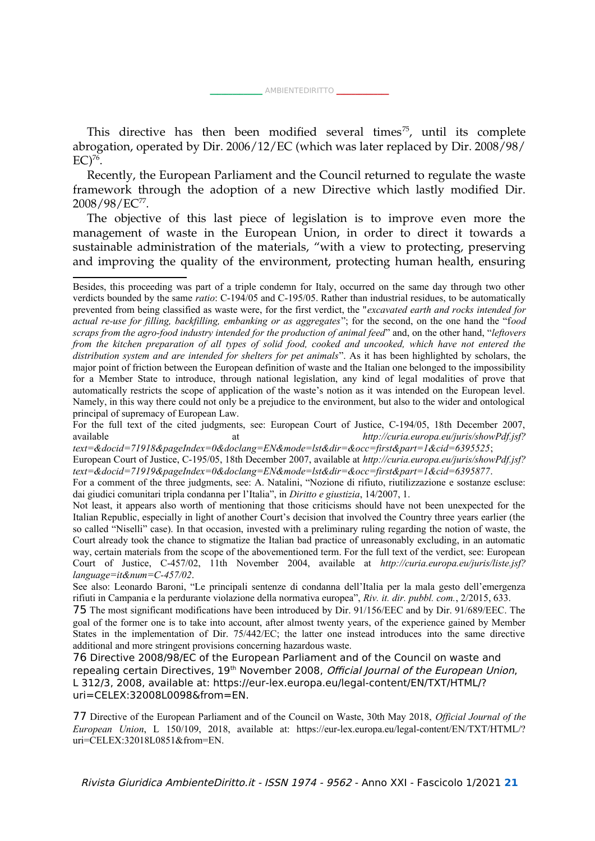This directive has then been modified several times<sup>[75](#page-20-0)</sup>, until its complete abrogation, operated by Dir. 2006/12/EC (which was later replaced by Dir. 2008/98/  $EC$ <sup>[76](#page-20-1)</sup>.

Recently, the European Parliament and the Council returned to regulate the waste framework through the adoption of a new Directive which lastly modified Dir. 2008/98/EC[77](#page-20-2) .

The objective of this last piece of legislation is to improve even more the management of waste in the European Union, in order to direct it towards a sustainable administration of the materials, "with a view to protecting, preserving and improving the quality of the environment, protecting human health, ensuring

Besides, this proceeding was part of a triple condemn for Italy, occurred on the same day through two other verdicts bounded by the same *ratio*: C-194/05 and C-195/05. Rather than industrial residues, to be automatically prevented from being classified as waste were, for the first verdict, the "*excavated earth and rocks intended for actual re-use for filling, backfilling, embanking or as aggregates*"; for the second, on the one hand the "f*ood scraps from the agro-food industry intended for the production of animal feed*" and, on the other hand, "*leftovers from the kitchen preparation of all types of solid food, cooked and uncooked, which have not entered the distribution system and are intended for shelters for pet animals*". As it has been highlighted by scholars, the major point of friction between the European definition of waste and the Italian one belonged to the impossibility for a Member State to introduce, through national legislation, any kind of legal modalities of prove that automatically restricts the scope of application of the waste's notion as it was intended on the European level. Namely, in this way there could not only be a prejudice to the environment, but also to the wider and ontological principal of supremacy of European Law.

For the full text of the cited judgments, see: European Court of Justice, C-194/05, 18th December 2007, available at *[http://curia.europa.eu/juris/showPdf.jsf?](http://curia.europa.eu/juris/showPdf.jsf?text=&docid=71918&pageIndex=0&doclang=EN&mode=lst&dir=&occ=first&part=1&cid=6395525)*

*[text=&docid=71918&pageIndex=0&doclang=EN&mode=lst&dir=&occ=first&part=1&cid=6395525](http://curia.europa.eu/juris/showPdf.jsf?text=&docid=71918&pageIndex=0&doclang=EN&mode=lst&dir=&occ=first&part=1&cid=6395525)*; European Court of Justice, C-195/05, 18th December 2007, available at *[http://curia.europa.eu/juris/showPdf.jsf?](http://curia.europa.eu/juris/showPdf.jsf?text=&docid=71919&pageIndex=0&doclang=EN&mode=lst&dir=&occ=first&part=1&cid=6395877) [text=&docid=71919&pageIndex=0&doclang=EN&mode=lst&dir=&occ=first&part=1&cid=6395877](http://curia.europa.eu/juris/showPdf.jsf?text=&docid=71919&pageIndex=0&doclang=EN&mode=lst&dir=&occ=first&part=1&cid=6395877)*.

For a comment of the three judgments, see: A. Natalini, "Nozione di rifiuto, riutilizzazione e sostanze escluse: dai giudici comunitari tripla condanna per l'Italia", in *Diritto e giustizia*, 14/2007, 1.

Not least, it appears also worth of mentioning that those criticisms should have not been unexpected for the Italian Republic, especially in light of another Court's decision that involved the Country three years earlier (the so called "Niselli" case). In that occasion, invested with a preliminary ruling regarding the notion of waste, the Court already took the chance to stigmatize the Italian bad practice of unreasonably excluding, in an automatic way, certain materials from the scope of the abovementioned term. For the full text of the verdict, see: European Court of Justice, C-457/02, 11th November 2004, available at *[http://curia.europa.eu/juris/liste.jsf?](http://curia.europa.eu/juris/liste.jsf?language=it&num=C-457/02) [language=it&num=C-457/02](http://curia.europa.eu/juris/liste.jsf?language=it&num=C-457/02)*.

See also: Leonardo Baroni, "Le principali sentenze di condanna dell'Italia per la mala gesto dell'emergenza rifiuti in Campania e la perdurante violazione della normativa europea", *Riv. it. dir. pubbl. com.*, 2/2015, 633.

<span id="page-20-0"></span><sup>75</sup> The most significant modifications have been introduced by Dir. 91/156/EEC and by Dir. 91/689/EEC. The goal of the former one is to take into account, after almost twenty years, of the experience gained by Member States in the implementation of Dir. 75/442/EC; the latter one instead introduces into the same directive additional and more stringent provisions concerning hazardous waste.

<span id="page-20-1"></span><sup>76</sup> Directive 2008/98/EC of the European Parliament and of the Council on waste and repealing certain Directives, 19<sup>th</sup> November 2008, Official Journal of the European Union, L 312/3, 2008, available at: https://eur-lex.europa.eu/legal-content/EN/TXT/HTML/? uri=CELEX:32008L0098&from=EN.

<span id="page-20-2"></span><sup>77</sup> Directive of the European Parliament and of the Council on Waste, 30th May 2018, *Official Journal of the European Union*, L 150/109, 2018, available at: https://eur-lex.europa.eu/legal-content/EN/TXT/HTML/? uri=CELEX:32018L0851&from=EN.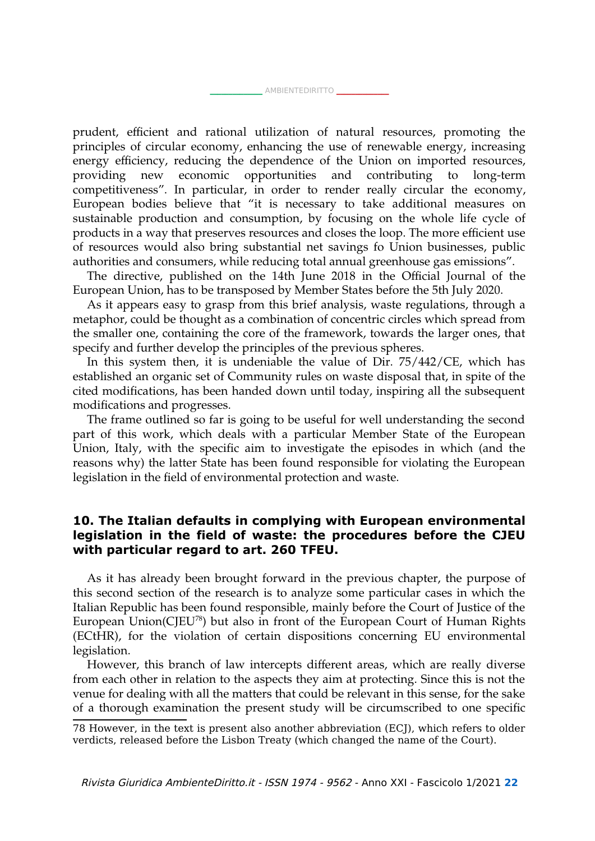prudent, efficient and rational utilization of natural resources, promoting the principles of circular economy, enhancing the use of renewable energy, increasing energy efficiency, reducing the dependence of the Union on imported resources, providing new economic opportunities and contributing to long-term competitiveness". In particular, in order to render really circular the economy, European bodies believe that "it is necessary to take additional measures on sustainable production and consumption, by focusing on the whole life cycle of products in a way that preserves resources and closes the loop. The more efficient use of resources would also bring substantial net savings fo Union businesses, public authorities and consumers, while reducing total annual greenhouse gas emissions".

\_[AMBIENTEDIRITTO](http://www.AMBIENTEDIRITTO.it/) \_\_

The directive, published on the 14th June 2018 in the Official Journal of the European Union, has to be transposed by Member States before the 5th July 2020.

As it appears easy to grasp from this brief analysis, waste regulations, through a metaphor, could be thought as a combination of concentric circles which spread from the smaller one, containing the core of the framework, towards the larger ones, that specify and further develop the principles of the previous spheres.

In this system then, it is undeniable the value of Dir. 75/442/CE, which has established an organic set of Community rules on waste disposal that, in spite of the cited modifications, has been handed down until today, inspiring all the subsequent modifications and progresses.

The frame outlined so far is going to be useful for well understanding the second part of this work, which deals with a particular Member State of the European Union, Italy, with the specific aim to investigate the episodes in which (and the reasons why) the latter State has been found responsible for violating the European legislation in the field of environmental protection and waste.

## **10. The Italian defaults in complying with European environmental legislation in the field of waste: the procedures before the CJEU with particular regard to art. 260 TFEU.**

As it has already been brought forward in the previous chapter, the purpose of this second section of the research is to analyze some particular cases in which the Italian Republic has been found responsible, mainly before the Court of Justice of the European Union(CJEU[78](#page-21-0)) but also in front of the European Court of Human Rights (ECtHR), for the violation of certain dispositions concerning EU environmental legislation.

However, this branch of law intercepts different areas, which are really diverse from each other in relation to the aspects they aim at protecting. Since this is not the venue for dealing with all the matters that could be relevant in this sense, for the sake of a thorough examination the present study will be circumscribed to one specific

<span id="page-21-0"></span><sup>78</sup> However, in the text is present also another abbreviation (ECJ), which refers to older verdicts, released before the Lisbon Treaty (which changed the name of the Court).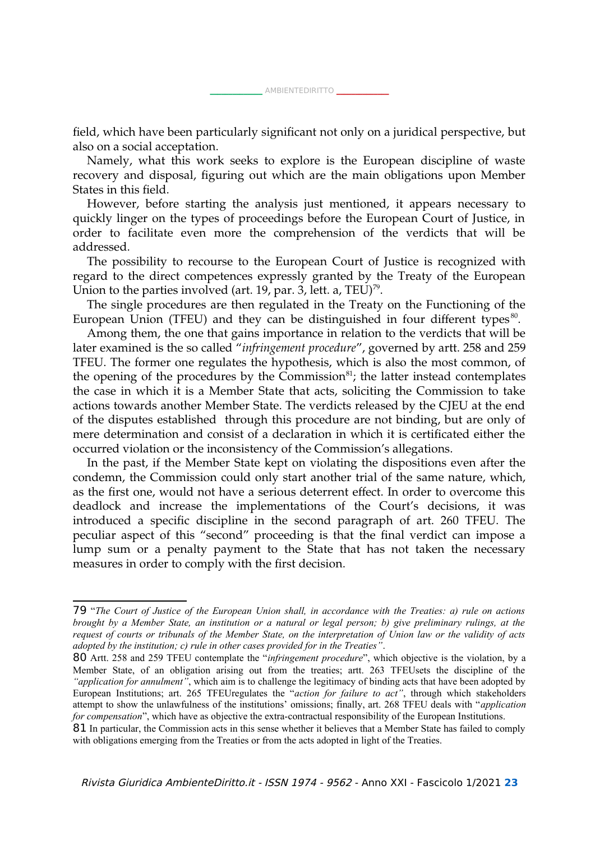field, which have been particularly significant not only on a juridical perspective, but also on a social acceptation.

\_\_\_\_\_\_\_\_\_\_\_\_\_\_ [AMBIENTEDIRITTO](http://www.AMBIENTEDIRITTO.it/) \_\_\_\_\_\_\_\_\_\_\_\_\_\_

Namely, what this work seeks to explore is the European discipline of waste recovery and disposal, figuring out which are the main obligations upon Member States in this field.

However, before starting the analysis just mentioned, it appears necessary to quickly linger on the types of proceedings before the European Court of Justice, in order to facilitate even more the comprehension of the verdicts that will be addressed.

The possibility to recourse to the European Court of Justice is recognized with regard to the direct competences expressly granted by the Treaty of the European Union to the parties involved (art. 19, par. 3, lett. a, TEU) $^{79}$  $^{79}$  $^{79}$ .

The single procedures are then regulated in the Treaty on the Functioning of the European Union (TFEU) and they can be distinguished in four different types $^{80}$  $^{80}$  $^{80}$ .

Among them, the one that gains importance in relation to the verdicts that will be later examined is the so called "*infringement procedure*", governed by artt. 258 and 259 TFEU. The former one regulates the hypothesis, which is also the most common, of the opening of the procedures by the Commission $^{81}$  $^{81}$  $^{81}$ ; the latter instead contemplates the case in which it is a Member State that acts, soliciting the Commission to take actions towards another Member State. The verdicts released by the CJEU at the end of the disputes established through this procedure are not binding, but are only of mere determination and consist of a declaration in which it is certificated either the occurred violation or the inconsistency of the Commission's allegations.

In the past, if the Member State kept on violating the dispositions even after the condemn, the Commission could only start another trial of the same nature, which, as the first one, would not have a serious deterrent effect. In order to overcome this deadlock and increase the implementations of the Court's decisions, it was introduced a specific discipline in the second paragraph of art. 260 TFEU. The peculiar aspect of this "second" proceeding is that the final verdict can impose a lump sum or a penalty payment to the State that has not taken the necessary measures in order to comply with the first decision.

<span id="page-22-0"></span><sup>79</sup> "*The Court of Justice of the European Union shall, in accordance with the Treaties: a) rule on actions brought by a Member State, an institution or a natural or legal person; b) give preliminary rulings, at the request of courts or tribunals of the Member State, on the interpretation of Union law or the validity of acts adopted by the institution; c) rule in other cases provided for in the Treaties"*.

<span id="page-22-1"></span><sup>80</sup> Artt. 258 and 259 TFEU contemplate the "*infringement procedure*", which objective is the violation, by a Member State, of an obligation arising out from the treaties; artt. 263 TFEUsets the discipline of the *"application for annulment"*, which aim is to challenge the legitimacy of binding acts that have been adopted by European Institutions; art. 265 TFEUregulates the "*action for failure to act"*, through which stakeholders attempt to show the unlawfulness of the institutions' omissions; finally, art. 268 TFEU deals with "*application for compensation*", which have as objective the extra-contractual responsibility of the European Institutions.

<span id="page-22-2"></span><sup>81</sup> In particular, the Commission acts in this sense whether it believes that a Member State has failed to comply with obligations emerging from the Treaties or from the acts adopted in light of the Treaties.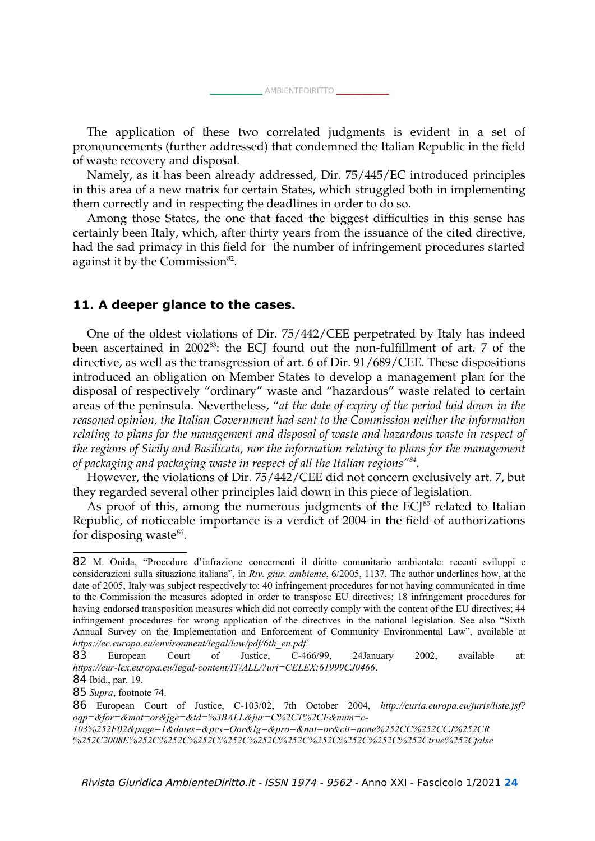The application of these two correlated judgments is evident in a set of pronouncements (further addressed) that condemned the Italian Republic in the field of waste recovery and disposal.

Namely, as it has been already addressed, Dir. 75/445/EC introduced principles in this area of a new matrix for certain States, which struggled both in implementing them correctly and in respecting the deadlines in order to do so.

Among those States, the one that faced the biggest difficulties in this sense has certainly been Italy, which, after thirty years from the issuance of the cited directive, had the sad primacy in this field for the number of infringement procedures started against it by the Commission<sup>[82](#page-23-0)</sup>.

#### **11. A deeper glance to the cases.**

One of the oldest violations of Dir. 75/442/CEE perpetrated by Italy has indeed been ascertained in 2002<sup>[83](#page-23-1)</sup>: the ECJ found out the non-fulfillment of art. 7 of the directive, as well as the transgression of art. 6 of Dir. 91/689/CEE. These dispositions introduced an obligation on Member States to develop a management plan for the disposal of respectively "ordinary" waste and "hazardous" waste related to certain areas of the peninsula. Nevertheless, "*at the date of expiry of the period laid down in the reasoned opinion, the Italian Government had sent to the Commission neither the information relating to plans for the management and disposal of waste and hazardous waste in respect of the regions of Sicily and Basilicata, nor the information relating to plans for the management of packaging and packaging waste in respect of all the Italian regions"[84](#page-23-2)* .

However, the violations of Dir. 75/442/CEE did not concern exclusively art. 7, but they regarded several other principles laid down in this piece of legislation.

As proof of this, among the numerous judgments of the  $ECJ^{85}$  $ECJ^{85}$  $ECJ^{85}$  related to Italian Republic, of noticeable importance is a verdict of 2004 in the field of authorizations for disposing waste<sup>[86](#page-23-4)</sup>.

<span id="page-23-0"></span><sup>82</sup> M. Onida, "Procedure d'infrazione concernenti il diritto comunitario ambientale: recenti sviluppi e considerazioni sulla situazione italiana", in *Riv. giur. ambiente*, 6/2005, 1137. The author underlines how, at the date of 2005, Italy was subject respectively to: 40 infringement procedures for not having communicated in time to the Commission the measures adopted in order to transpose EU directives; 18 infringement procedures for having endorsed transposition measures which did not correctly comply with the content of the EU directives; 44 infringement procedures for wrong application of the directives in the national legislation. See also "Sixth Annual Survey on the Implementation and Enforcement of Community Environmental Law", available at *[https://ec.europa.eu/environment/legal/law/pdf/6th\\_en.pdf](https://ec.europa.eu/environment/legal/law/pdf/6th_en.pdf).* 

<span id="page-23-1"></span><sup>83</sup> European Court of Justice, C-466/99, 24January 2002, available at: *<https://eur-lex.europa.eu/legal-content/IT/ALL/?uri=CELEX:61999CJ0466>*.

<span id="page-23-2"></span><sup>84</sup> Ibid., par. 19.

<span id="page-23-3"></span><sup>85</sup> *Supra*, footnote 74.

<span id="page-23-4"></span><sup>86</sup> European Court of Justice, C-103/02, 7th October 2004, *[http://curia.europa.eu/juris/liste.jsf?](http://curia.europa.eu/juris/liste.jsf?oqp=&for=&mat=or&jge=&td=%253BALL&jur=C%252CT%252CF&num=c-103%25252F02&page=1&dates=&pcs=Oor&lg=&pro=&nat=or&cit=none%25252CC%25252CCJ%25252CR%25252C2008E%25252C%25252C%25252C%25252C%25252C%25252C%25252C%25252C%25252C%25252Ctrue%25252Cfalse%25252Cfalse&language=it&avg=&cid=3624895) oqp=&for=&mat=or&jge=&td=%3BALL&jur=C%2CT%2CF&num=c-*

*<sup>103%252</sup>F02&page=1&dates=&pcs=Oor&lg=&pro=&nat=or&cit=none%252CC%252CCJ%252CR [%252C2008E%252C%252C%252C%252C%252C%252C%252C%252C%252C%252Ctrue%252Cfalse](http://curia.europa.eu/juris/liste.jsf?oqp=&for=&mat=or&jge=&td=%253BALL&jur=C%252CT%252CF&num=c-103%25252F02&page=1&dates=&pcs=Oor&lg=&pro=&nat=or&cit=none%25252CC%25252CCJ%25252CR%25252C2008E%25252C%25252C%25252C%25252C%25252C%25252C%25252C%25252C%25252C%25252Ctrue%25252Cfalse%25252Cfalse&language=it&avg=&cid=3624895)*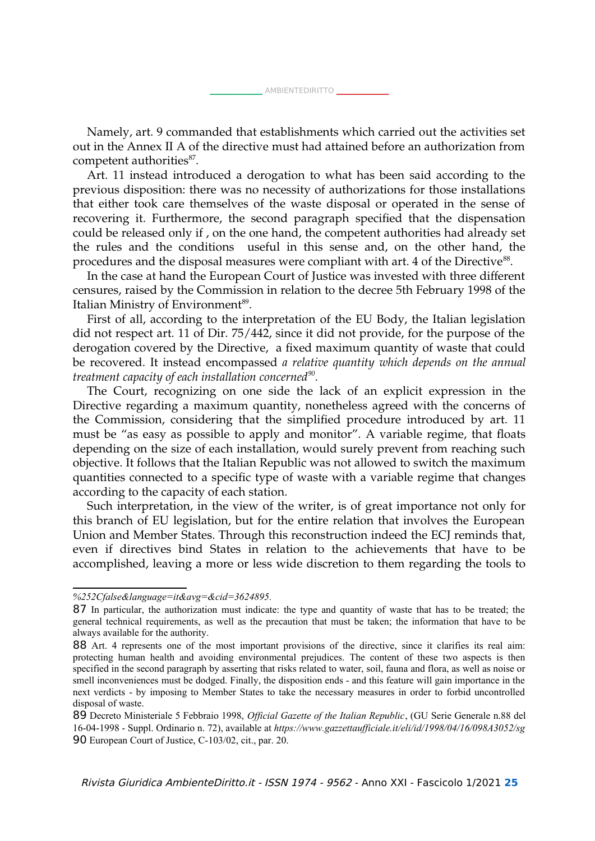Namely, art. 9 commanded that establishments which carried out the activities set out in the Annex II A of the directive must had attained before an authorization from competent authorities<sup>[87](#page-24-0)</sup>.

Art. 11 instead introduced a derogation to what has been said according to the previous disposition: there was no necessity of authorizations for those installations that either took care themselves of the waste disposal or operated in the sense of recovering it. Furthermore, the second paragraph specified that the dispensation could be released only if , on the one hand, the competent authorities had already set the rules and the conditions useful in this sense and, on the other hand, the procedures and the disposal measures were compliant with art. 4 of the Directive $^{88}$  $^{88}$  $^{88}$ .

In the case at hand the European Court of Justice was invested with three different censures, raised by the Commission in relation to the decree 5th February 1998 of the Italian Ministry of Environment $^{89}$  $^{89}$  $^{89}$ .

First of all, according to the interpretation of the EU Body, the Italian legislation did not respect art. 11 of Dir. 75/442, since it did not provide, for the purpose of the derogation covered by the Directive, a fixed maximum quantity of waste that could be recovered. It instead encompassed *a relative quantity which depends on the annual treatment capacity of each installation concerned[90](#page-24-3)* .

The Court, recognizing on one side the lack of an explicit expression in the Directive regarding a maximum quantity, nonetheless agreed with the concerns of the Commission, considering that the simplified procedure introduced by art. 11 must be "as easy as possible to apply and monitor". A variable regime, that floats depending on the size of each installation, would surely prevent from reaching such objective. It follows that the Italian Republic was not allowed to switch the maximum quantities connected to a specific type of waste with a variable regime that changes according to the capacity of each station.

Such interpretation, in the view of the writer, is of great importance not only for this branch of EU legislation, but for the entire relation that involves the European Union and Member States. Through this reconstruction indeed the ECJ reminds that, even if directives bind States in relation to the achievements that have to be accomplished, leaving a more or less wide discretion to them regarding the tools to

*[<sup>%252</sup>Cfalse&language=it&avg=&cid=3624895.](http://curia.europa.eu/juris/liste.jsf?oqp=&for=&mat=or&jge=&td=%253BALL&jur=C%252CT%252CF&num=c-103%25252F02&page=1&dates=&pcs=Oor&lg=&pro=&nat=or&cit=none%25252CC%25252CCJ%25252CR%25252C2008E%25252C%25252C%25252C%25252C%25252C%25252C%25252C%25252C%25252C%25252Ctrue%25252Cfalse%25252Cfalse&language=it&avg=&cid=3624895)*

<span id="page-24-0"></span><sup>87</sup> In particular, the authorization must indicate: the type and quantity of waste that has to be treated; the general technical requirements, as well as the precaution that must be taken; the information that have to be always available for the authority.

<span id="page-24-1"></span><sup>88</sup> Art. 4 represents one of the most important provisions of the directive, since it clarifies its real aim: protecting human health and avoiding environmental prejudices. The content of these two aspects is then specified in the second paragraph by asserting that risks related to water, soil, fauna and flora, as well as noise or smell inconveniences must be dodged. Finally, the disposition ends - and this feature will gain importance in the next verdicts - by imposing to Member States to take the necessary measures in order to forbid uncontrolled disposal of waste.

<span id="page-24-3"></span><span id="page-24-2"></span><sup>89</sup> Decreto Ministeriale 5 Febbraio 1998, *Official Gazette of the Italian Republic*, (GU Serie Generale n.88 del 16-04-1998 - Suppl. Ordinario n. 72), available at *<https://www.gazzettaufficiale.it/eli/id/1998/04/16/098A3052/sg>* 90 European Court of Justice, C-103/02, cit., par. 20.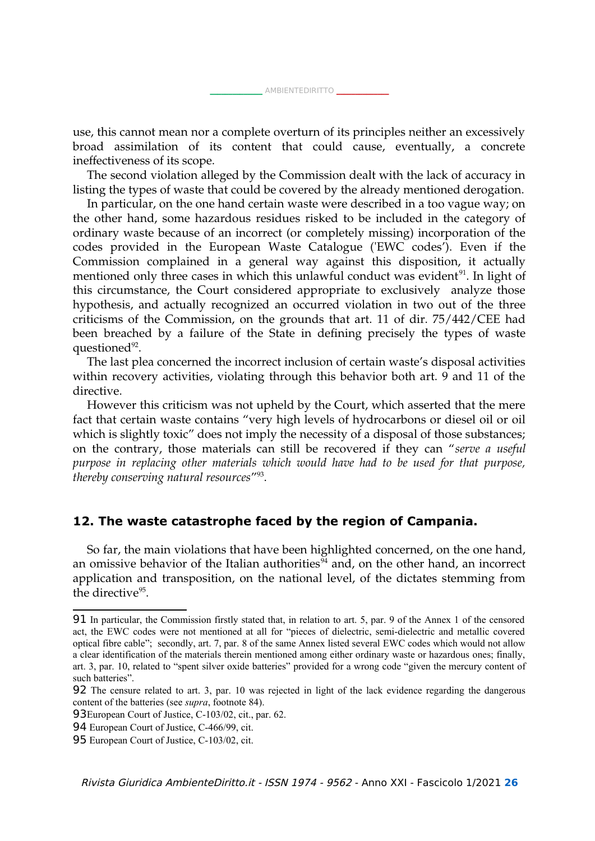use, this cannot mean nor a complete overturn of its principles neither an excessively broad assimilation of its content that could cause, eventually, a concrete ineffectiveness of its scope.

The second violation alleged by the Commission dealt with the lack of accuracy in listing the types of waste that could be covered by the already mentioned derogation.

In particular, on the one hand certain waste were described in a too vague way; on the other hand, some hazardous residues risked to be included in the category of ordinary waste because of an incorrect (or completely missing) incorporation of the codes provided in the European Waste Catalogue ('EWC codes'). Even if the Commission complained in a general way against this disposition, it actually mentioned only three cases in which this unlawful conduct was evident<sup>[91](#page-25-0)</sup>. In light of this circumstance, the Court considered appropriate to exclusively analyze those hypothesis, and actually recognized an occurred violation in two out of the three criticisms of the Commission, on the grounds that art. 11 of dir. 75/442/CEE had been breached by a failure of the State in defining precisely the types of waste questioned<sup>[92](#page-25-1)</sup>.

The last plea concerned the incorrect inclusion of certain waste's disposal activities within recovery activities, violating through this behavior both art. 9 and 11 of the directive.

However this criticism was not upheld by the Court, which asserted that the mere fact that certain waste contains "very high levels of hydrocarbons or diesel oil or oil which is slightly toxic" does not imply the necessity of a disposal of those substances; on the contrary, those materials can still be recovered if they can "*serve a useful purpose in replacing other materials which would have had to be used for that purpose, thereby conserving natural resources*" [93](#page-25-2) .

#### **12. The waste catastrophe faced by the region of Campania.**

So far, the main violations that have been highlighted concerned, on the one hand, an omissive behavior of the Italian authorities<sup> $94$ </sup> and, on the other hand, an incorrect application and transposition, on the national level, of the dictates stemming from the directive $95$ .

<span id="page-25-0"></span><sup>91</sup> In particular, the Commission firstly stated that, in relation to art. 5, par. 9 of the Annex 1 of the censored act, the EWC codes were not mentioned at all for "pieces of dielectric, semi-dielectric and metallic covered optical fibre cable"; secondly, art. 7, par. 8 of the same Annex listed several EWC codes which would not allow a clear identification of the materials therein mentioned among either ordinary waste or hazardous ones; finally, art. 3, par. 10, related to "spent silver oxide batteries" provided for a wrong code "given the mercury content of such batteries".

<span id="page-25-1"></span><sup>92</sup> The censure related to art. 3, par. 10 was rejected in light of the lack evidence regarding the dangerous content of the batteries (see *supra*, footnote 84).

<span id="page-25-2"></span><sup>93</sup>European Court of Justice, C-103/02, cit., par. 62.

<span id="page-25-3"></span><sup>94</sup> European Court of Justice, C-466/99, cit.

<span id="page-25-4"></span><sup>95</sup> European Court of Justice, C-103/02, cit.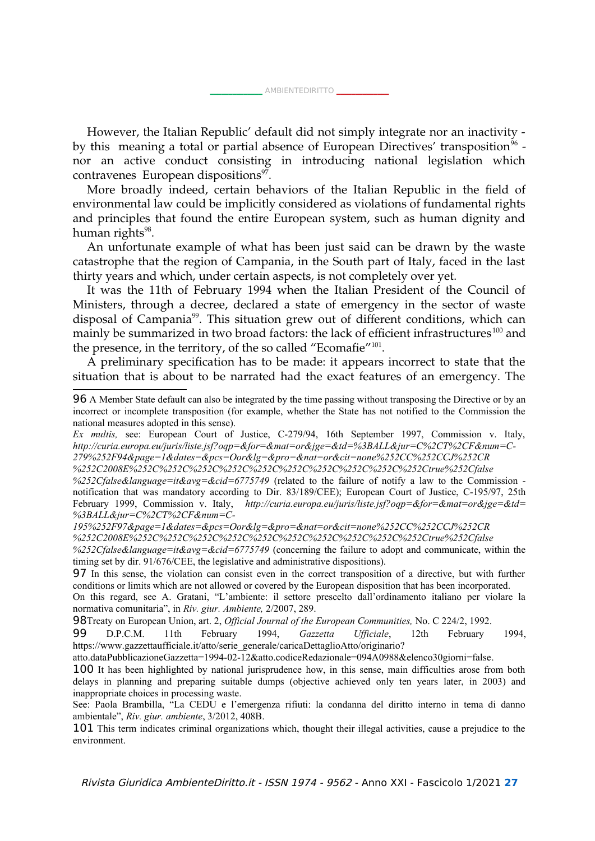However, the Italian Republic' default did not simply integrate nor an inactivity - by this meaning a total or partial absence of European Directives' transposition<sup>[96](#page-26-0)</sup> nor an active conduct consisting in introducing national legislation which contravenes European dispositions<sup>[97](#page-26-1)</sup>.

More broadly indeed, certain behaviors of the Italian Republic in the field of environmental law could be implicitly considered as violations of fundamental rights and principles that found the entire European system, such as human dignity and human rights<sup>[98](#page-26-2)</sup>.

An unfortunate example of what has been just said can be drawn by the waste catastrophe that the region of Campania, in the South part of Italy, faced in the last thirty years and which, under certain aspects, is not completely over yet.

It was the 11th of February 1994 when the Italian President of the Council of Ministers, through a decree, declared a state of emergency in the sector of waste disposal of Campania<sup>[99](#page-26-3)</sup>. This situation grew out of different conditions, which can mainly be summarized in two broad factors: the lack of efficient infrastructures<sup>[100](#page-26-4)</sup> and the presence, in the territory, of the so called "Ecomafie"<sup>[101](#page-26-5)</sup>.

A preliminary specification has to be made: it appears incorrect to state that the situation that is about to be narrated had the exact features of an emergency. The

*[%252C2008E%252C%252C%252C%252C%252C%252C%252C%252C%252C%252Ctrue%252Cfalse](http://curia.europa.eu/juris/liste.jsf?oqp=&for=&mat=or&jge=&td=%253BALL&jur=C%252CT%252CF&num=C-279%25252F94&page=1&dates=&pcs=Oor&lg=&pro=&nat=or&cit=none%25252CC%25252CCJ%25252CR%25252C2008E%25252C%25252C%25252C%25252C%25252C%25252C%25252C%25252C%25252C%25252Ctrue%25252Cfalse%25252Cfalse&language=it&avg=&cid=6775749) [%252Cfalse&language=it&avg=&cid=6775749](http://curia.europa.eu/juris/liste.jsf?oqp=&for=&mat=or&jge=&td=%253BALL&jur=C%252CT%252CF&num=C-279%25252F94&page=1&dates=&pcs=Oor&lg=&pro=&nat=or&cit=none%25252CC%25252CCJ%25252CR%25252C2008E%25252C%25252C%25252C%25252C%25252C%25252C%25252C%25252C%25252C%25252Ctrue%25252Cfalse%25252Cfalse&language=it&avg=&cid=6775749)* (related to the failure of notify a law to the Commission notification that was mandatory according to Dir. 83/189/CEE); European Court of Justice, C-195/97, 25th February 1999, Commission v. Italy, *[http://curia.europa.eu/juris/liste.jsf?oqp=&for=&mat=or&jge=&td=](http://curia.europa.eu/juris/liste.jsf?oqp=&for=&mat=or&jge=&td=%253BALL&jur=C%252CT%252CF&num=C-195%25252F97&page=1&dates=&pcs=Oor&lg=&pro=&nat=or&cit=none%25252CC%25252CCJ%25252CR%25252C2008E%25252C%25252C%25252C%25252C%25252C%25252C%25252C%25252C%25252C%25252Ctrue%25252Cfalse%25252Cfalse&language=it&avg=&cid=6775749) %3BALL&jur=C%2CT%2CF&num=C-*

*[195%252F97&page=1&dates=&pcs=Oor&lg=&pro=&nat=or&cit=none%252CC%252CCJ%252CR](http://curia.europa.eu/juris/liste.jsf?oqp=&for=&mat=or&jge=&td=%253BALL&jur=C%252CT%252CF&num=C-195%25252F97&page=1&dates=&pcs=Oor&lg=&pro=&nat=or&cit=none%25252CC%25252CCJ%25252CR%25252C2008E%25252C%25252C%25252C%25252C%25252C%25252C%25252C%25252C%25252C%25252Ctrue%25252Cfalse%25252Cfalse&language=it&avg=&cid=6775749) %252C2008E%252C%252C%252C%252C%252C%252C%252C%252C%252C%252Ctrue%252Cfalse [%252Cfalse&language=it&avg=&cid=6775749](http://curia.europa.eu/juris/liste.jsf?oqp=&for=&mat=or&jge=&td=%253BALL&jur=C%252CT%252CF&num=C-195%25252F97&page=1&dates=&pcs=Oor&lg=&pro=&nat=or&cit=none%25252CC%25252CCJ%25252CR%25252C2008E%25252C%25252C%25252C%25252C%25252C%25252C%25252C%25252C%25252C%25252Ctrue%25252Cfalse%25252Cfalse&language=it&avg=&cid=6775749)* (concerning the failure to adopt and communicate, within the timing set by dir. 91/676/CEE, the legislative and administrative dispositions).

<span id="page-26-1"></span>97 In this sense, the violation can consist even in the correct transposition of a directive, but with further conditions or limits which are not allowed or covered by the European disposition that has been incorporated.

On this regard, see A. Gratani, "L'ambiente: il settore prescelto dall'ordinamento italiano per violare la normativa comunitaria", in *Riv. giur. Ambiente,* 2/2007, 289.

<span id="page-26-2"></span>98Treaty on European Union, art. 2, *Official Journal of the European Communities,* No. C 224/2, 1992.

<span id="page-26-3"></span>99 D.P.C.M. 11th February 1994, *Gazzetta Ufficiale*, 12th February 1994, https://www.gazzettaufficiale.it/atto/serie\_generale/caricaDettaglioAtto/originario?

atto.dataPubblicazioneGazzetta=1994-02-12&atto.codiceRedazionale=094A0988&elenco30giorni=false.

<span id="page-26-4"></span>100 It has been highlighted by national jurisprudence how, in this sense, main difficulties arose from both delays in planning and preparing suitable dumps (objective achieved only ten years later, in 2003) and inappropriate choices in processing waste.

See: Paola Brambilla, "La CEDU e l'emergenza rifiuti: la condanna del diritto interno in tema di danno ambientale", *Riv. giur. ambiente*, 3/2012, 408B.

<span id="page-26-5"></span>101 This term indicates criminal organizations which, thought their illegal activities, cause a prejudice to the environment.

<span id="page-26-0"></span><sup>96</sup> A Member State default can also be integrated by the time passing without transposing the Directive or by an incorrect or incomplete transposition (for example, whether the State has not notified to the Commission the national measures adopted in this sense).

*Ex multis,* see: European Court of Justice, C-279/94, 16th September 1997, Commission v. Italy, *[http://curia.europa.eu/juris/liste.jsf?oqp=&for=&mat=or&jge=&td=%3BALL&jur=C%2CT%2CF&num=C-](http://curia.europa.eu/juris/liste.jsf?oqp=&for=&mat=or&jge=&td=%253BALL&jur=C%252CT%252CF&num=C-279%25252F94&page=1&dates=&pcs=Oor&lg=&pro=&nat=or&cit=none%25252CC%25252CCJ%25252CR%25252C2008E%25252C%25252C%25252C%25252C%25252C%25252C%25252C%25252C%25252C%25252Ctrue%25252Cfalse%25252Cfalse&language=it&avg=&cid=6775749)279%252F94&page=1&dates=&pcs=Oor&lg=&pro=&nat=or&cit=none%252CC%252CCJ%252CR*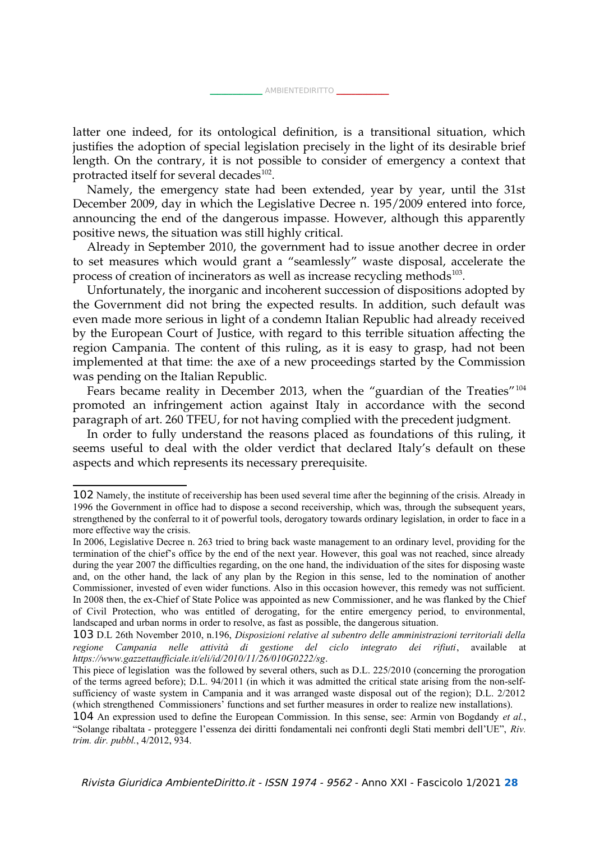latter one indeed, for its ontological definition, is a transitional situation, which justifies the adoption of special legislation precisely in the light of its desirable brief length. On the contrary, it is not possible to consider of emergency a context that protracted itself for several decades $^{\scriptscriptstyle{102}}$  $^{\scriptscriptstyle{102}}$  $^{\scriptscriptstyle{102}}$ .

Namely, the emergency state had been extended, year by year, until the 31st December 2009, day in which the Legislative Decree n. 195/2009 entered into force, announcing the end of the dangerous impasse. However, although this apparently positive news, the situation was still highly critical.

Already in September 2010, the government had to issue another decree in order to set measures which would grant a "seamlessly" waste disposal, accelerate the process of creation of incinerators as well as increase recycling methods $^{103}$  $^{103}$  $^{103}$ .

Unfortunately, the inorganic and incoherent succession of dispositions adopted by the Government did not bring the expected results. In addition, such default was even made more serious in light of a condemn Italian Republic had already received by the European Court of Justice, with regard to this terrible situation affecting the region Campania. The content of this ruling, as it is easy to grasp, had not been implemented at that time: the axe of a new proceedings started by the Commission was pending on the Italian Republic.

Fears became reality in December 2013, when the "guardian of the Treaties"<sup>[104](#page-27-2)</sup> promoted an infringement action against Italy in accordance with the second paragraph of art. 260 TFEU, for not having complied with the precedent judgment.

In order to fully understand the reasons placed as foundations of this ruling, it seems useful to deal with the older verdict that declared Italy's default on these aspects and which represents its necessary prerequisite.

<span id="page-27-0"></span><sup>102</sup> Namely, the institute of receivership has been used several time after the beginning of the crisis. Already in 1996 the Government in office had to dispose a second receivership, which was, through the subsequent years, strengthened by the conferral to it of powerful tools, derogatory towards ordinary legislation, in order to face in a more effective way the crisis.

In 2006, Legislative Decree n. 263 tried to bring back waste management to an ordinary level, providing for the termination of the chief's office by the end of the next year. However, this goal was not reached, since already during the year 2007 the difficulties regarding, on the one hand, the individuation of the sites for disposing waste and, on the other hand, the lack of any plan by the Region in this sense, led to the nomination of another Commissioner, invested of even wider functions. Also in this occasion however, this remedy was not sufficient. In 2008 then, the ex-Chief of State Police was appointed as new Commissioner, and he was flanked by the Chief of Civil Protection, who was entitled of derogating, for the entire emergency period, to environmental, landscaped and urban norms in order to resolve, as fast as possible, the dangerous situation.

<span id="page-27-1"></span><sup>103</sup> D.L 26th November 2010, n.196, *Disposizioni relative al subentro delle amministrazioni territoriali della regione Campania nelle attività di gestione del ciclo integrato dei rifiuti*, available at *<https://www.gazzettaufficiale.it/eli/id/2010/11/26/010G0222/sg>*.

This piece of legislation was the followed by several others, such as D.L. 225/2010 (concerning the prorogation of the terms agreed before); D.L. 94/2011 (in which it was admitted the critical state arising from the non-selfsufficiency of waste system in Campania and it was arranged waste disposal out of the region); D.L. 2/2012 (which strengthened Commissioners' functions and set further measures in order to realize new installations).

<span id="page-27-2"></span><sup>104</sup> An expression used to define the European Commission. In this sense, see: Armin von Bogdandy *et al.*, "Solange ribaltata - proteggere l'essenza dei diritti fondamentali nei confronti degli Stati membri dell'UE", *Riv. trim. dir. pubbl.*, 4/2012, 934.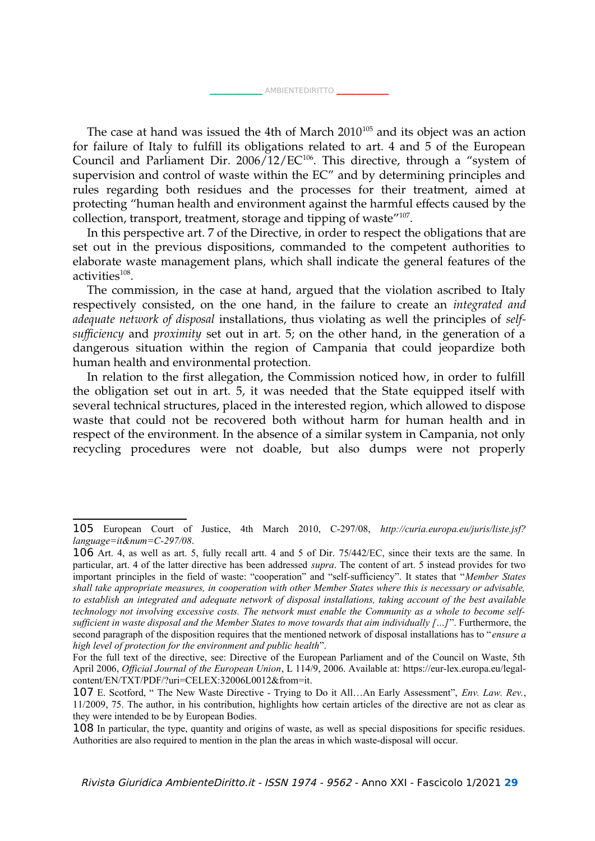\_\_\_\_\_\_\_\_\_\_\_\_\_\_ [AMBIENTEDIRITTO](http://www.AMBIENTEDIRITTO.it/) \_\_\_\_\_\_\_\_\_\_\_\_\_\_

The case at hand was issued the 4th of March 2010<sup>[105](#page-28-0)</sup> and its object was an action for failure of Italy to fulfill its obligations related to art. 4 and 5 of the European Council and Parliament Dir.  $2006/12/EC^{106}$  $2006/12/EC^{106}$  $2006/12/EC^{106}$ . This directive, through a "system of supervision and control of waste within the EC" and by determining principles and rules regarding both residues and the processes for their treatment, aimed at protecting "human health and environment against the harmful effects caused by the collection, transport, treatment, storage and tipping of waste $^{\prime\prime\,107}.$  $^{\prime\prime\,107}.$  $^{\prime\prime\,107}.$ 

In this perspective art. 7 of the Directive, in order to respect the obligations that are set out in the previous dispositions, commanded to the competent authorities to elaborate waste management plans, which shall indicate the general features of the activities<sup>[108](#page-28-3)</sup>.

The commission, in the case at hand, argued that the violation ascribed to Italy respectively consisted, on the one hand, in the failure to create an *integrated and adequate network of disposal* installations, thus violating as well the principles of *selfsufficiency* and *proximity* set out in art. 5; on the other hand, in the generation of a dangerous situation within the region of Campania that could jeopardize both human health and environmental protection.

In relation to the first allegation, the Commission noticed how, in order to fulfill the obligation set out in art. 5, it was needed that the State equipped itself with several technical structures, placed in the interested region, which allowed to dispose waste that could not be recovered both without harm for human health and in respect of the environment. In the absence of a similar system in Campania, not only recycling procedures were not doable, but also dumps were not properly

<span id="page-28-0"></span><sup>105</sup> European Court of Justice, 4th March 2010, C-297/08, *[http://curia.europa.eu/juris/liste.jsf?](http://curia.europa.eu/juris/liste.jsf?language=it&num=C-297/08) [language=it&num=C-297/08](http://curia.europa.eu/juris/liste.jsf?language=it&num=C-297/08)*.

<span id="page-28-1"></span><sup>106</sup> Art. 4, as well as art. 5, fully recall artt. 4 and 5 of Dir. 75/442/EC, since their texts are the same. In particular, art. 4 of the latter directive has been addressed *supra*. The content of art. 5 instead provides for two important principles in the field of waste: "cooperation" and "self-sufficiency". It states that "*Member States shall take appropriate measures, in cooperation with other Member States where this is necessary or advisable, to establish an integrated and adequate network of disposal installations, taking account of the best available technology not involving excessive costs. The network must enable the Community as a whole to become selfsufficient in waste disposal and the Member States to move towards that aim individually […]*". Furthermore, the second paragraph of the disposition requires that the mentioned network of disposal installations has to "*ensure a high level of protection for the environment and public health*".

For the full text of the directive, see: Directive of the European Parliament and of the Council on Waste, 5th April 2006, *Official Journal of the European Union*, L 114/9, 2006. Available at: https://eur-lex.europa.eu/legalcontent/EN/TXT/PDF/?uri=CELEX:32006L0012&from=it.

<span id="page-28-2"></span><sup>107</sup> E. Scotford, " The New Waste Directive - Trying to Do it All…An Early Assessment", *Env. Law. Rev.*, 11/2009, 75. The author, in his contribution, highlights how certain articles of the directive are not as clear as they were intended to be by European Bodies.

<span id="page-28-3"></span><sup>108</sup> In particular, the type, quantity and origins of waste, as well as special dispositions for specific residues. Authorities are also required to mention in the plan the areas in which waste-disposal will occur.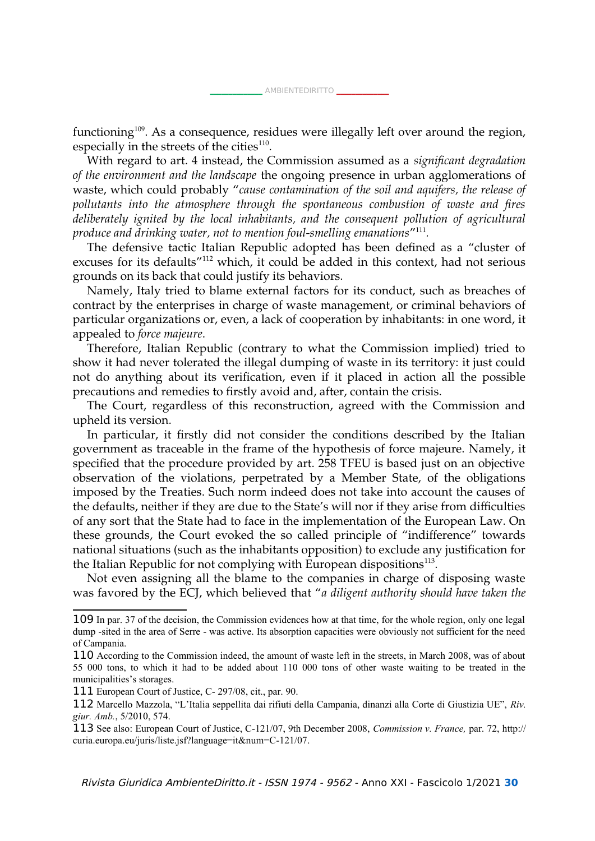functioning<sup>[109](#page-29-0)</sup>. As a consequence, residues were illegally left over around the region, especially in the streets of the cities $^{110}$  $^{110}$  $^{110}$ .

With regard to art. 4 instead, the Commission assumed as a *significant degradation of the environment and the landscape* the ongoing presence in urban agglomerations of waste, which could probably "*cause contamination of the soil and aquifers, the release of pollutants into the atmosphere through the spontaneous combustion of waste and fires deliberately ignited by the local inhabitants, and the consequent pollution of agricultural produce and drinking water, not to mention foul-smelling emanations*" [111](#page-29-2) *.*

The defensive tactic Italian Republic adopted has been defined as a "cluster of excuses for its defaults"[112](#page-29-3) which, it could be added in this context, had not serious grounds on its back that could justify its behaviors.

Namely, Italy tried to blame external factors for its conduct, such as breaches of contract by the enterprises in charge of waste management, or criminal behaviors of particular organizations or, even, a lack of cooperation by inhabitants: in one word, it appealed to *force majeure*.

Therefore, Italian Republic (contrary to what the Commission implied) tried to show it had never tolerated the illegal dumping of waste in its territory: it just could not do anything about its verification, even if it placed in action all the possible precautions and remedies to firstly avoid and, after, contain the crisis.

The Court, regardless of this reconstruction, agreed with the Commission and upheld its version.

In particular, it firstly did not consider the conditions described by the Italian government as traceable in the frame of the hypothesis of force majeure. Namely, it specified that the procedure provided by art. 258 TFEU is based just on an objective observation of the violations, perpetrated by a Member State, of the obligations imposed by the Treaties. Such norm indeed does not take into account the causes of the defaults, neither if they are due to the State's will nor if they arise from difficulties of any sort that the State had to face in the implementation of the European Law. On these grounds, the Court evoked the so called principle of "indifference" towards national situations (such as the inhabitants opposition) to exclude any justification for the Italian Republic for not complying with European dispositions<sup>[113](#page-29-4)</sup>.

Not even assigning all the blame to the companies in charge of disposing waste was favored by the ECJ, which believed that "*a diligent authority should have taken the*

<span id="page-29-2"></span>111 European Court of Justice, C- 297/08, cit., par. 90.

<span id="page-29-0"></span><sup>109</sup> In par. 37 of the decision, the Commission evidences how at that time, for the whole region, only one legal dump -sited in the area of Serre - was active. Its absorption capacities were obviously not sufficient for the need of Campania.

<span id="page-29-1"></span><sup>110</sup> According to the Commission indeed, the amount of waste left in the streets, in March 2008, was of about 55 000 tons, to which it had to be added about 110 000 tons of other waste waiting to be treated in the municipalities's storages.

<span id="page-29-3"></span><sup>112</sup> Marcello Mazzola, "L'Italia seppellita dai rifiuti della Campania, dinanzi alla Corte di Giustizia UE", *Riv. giur. Amb.*, 5/2010, 574.

<span id="page-29-4"></span><sup>113</sup> See also: European Court of Justice, C-121/07, 9th December 2008, *Commission v. France,* par. 72, http:// curia.europa.eu/juris/liste.jsf?language=it&num=C-121/07.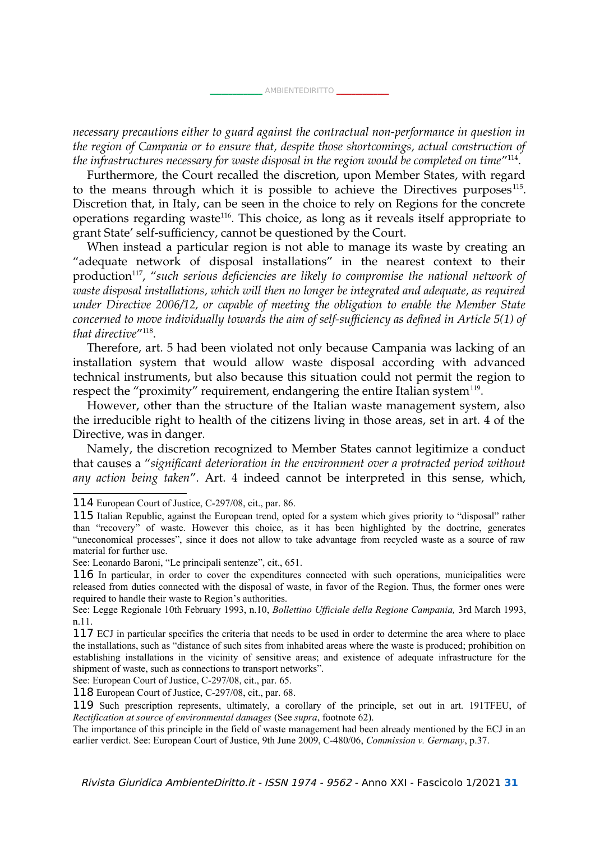*necessary precautions either to guard against the contractual non-performance in question in the region of Campania or to ensure that, despite those shortcomings, actual construction of the infrastructures necessary for waste disposal in the region would be completed on time*" [114](#page-30-0) .

Furthermore, the Court recalled the discretion, upon Member States, with regard to the means through which it is possible to achieve the Directives  $\text{purposes}^{115}$  $\text{purposes}^{115}$  $\text{purposes}^{115}$ . Discretion that, in Italy, can be seen in the choice to rely on Regions for the concrete operations regarding waste[116](#page-30-2). This choice, as long as it reveals itself appropriate to grant State' self-sufficiency, cannot be questioned by the Court.

When instead a particular region is not able to manage its waste by creating an "adequate network of disposal installations" in the nearest context to their production[117](#page-30-3), "*such serious deficiencies are likely to compromise the national network of waste disposal installations, which will then no longer be integrated and adequate, as required under Directive 2006/12, or capable of meeting the obligation to enable the Member State concerned to move individually towards the aim of self-sufficiency as defined in Article 5(1) of that directive*" [118](#page-30-4) .

Therefore, art. 5 had been violated not only because Campania was lacking of an installation system that would allow waste disposal according with advanced technical instruments, but also because this situation could not permit the region to respect the "proximity" requirement, endangering the entire Italian system $^{\rm 119}.$  $^{\rm 119}.$  $^{\rm 119}.$ 

However, other than the structure of the Italian waste management system, also the irreducible right to health of the citizens living in those areas, set in art. 4 of the Directive, was in danger.

Namely, the discretion recognized to Member States cannot legitimize a conduct that causes a "*significant deterioration in the environment over a protracted period without any action being taken*". Art. 4 indeed cannot be interpreted in this sense, which,

See: European Court of Justice, C-297/08, cit., par. 65.

<span id="page-30-4"></span>118 European Court of Justice, C-297/08, cit., par. 68.

<span id="page-30-5"></span>119 Such prescription represents, ultimately, a corollary of the principle, set out in art. 191TFEU, of *Rectification at source of environmental damages* (See *supra*, footnote 62).

The importance of this principle in the field of waste management had been already mentioned by the ECJ in an earlier verdict. See: European Court of Justice, 9th June 2009, C-480/06, *Commission v. Germany*, p.37.

<span id="page-30-0"></span><sup>114</sup> European Court of Justice, C-297/08, cit., par. 86.

<span id="page-30-1"></span><sup>115</sup> Italian Republic, against the European trend, opted for a system which gives priority to "disposal" rather than "recovery" of waste. However this choice, as it has been highlighted by the doctrine, generates "uneconomical processes", since it does not allow to take advantage from recycled waste as a source of raw material for further use.

See: Leonardo Baroni, "Le principali sentenze", cit., 651.

<span id="page-30-2"></span><sup>116</sup> In particular, in order to cover the expenditures connected with such operations, municipalities were released from duties connected with the disposal of waste, in favor of the Region. Thus, the former ones were required to handle their waste to Region's authorities.

See: Legge Regionale 10th February 1993, n.10, *Bollettino Ufficiale della Regione Campania,* 3rd March 1993, n.11.

<span id="page-30-3"></span><sup>117</sup> ECJ in particular specifies the criteria that needs to be used in order to determine the area where to place the installations, such as "distance of such sites from inhabited areas where the waste is produced; prohibition on establishing installations in the vicinity of sensitive areas; and existence of adequate infrastructure for the shipment of waste, such as connections to transport networks".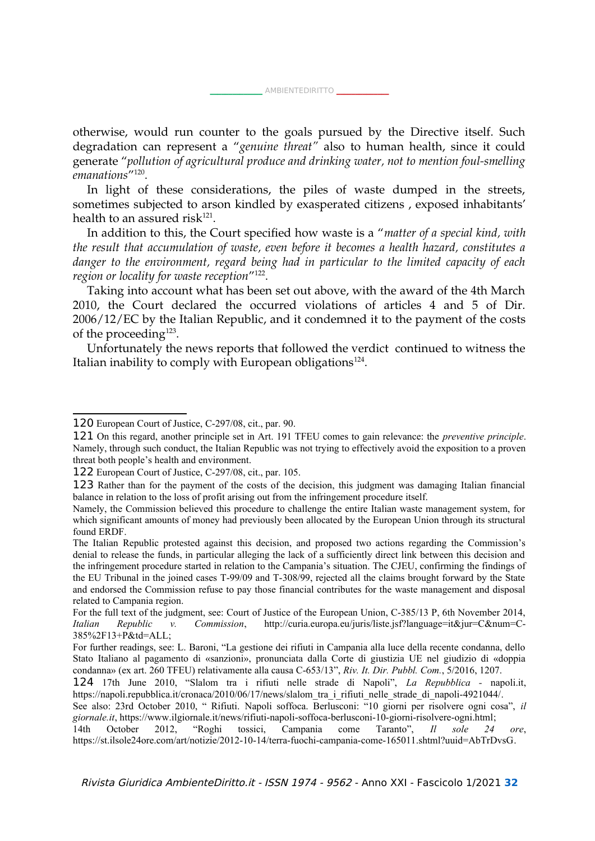otherwise, would run counter to the goals pursued by the Directive itself. Such degradation can represent a "*genuine threat"* also to human health, since it could generate "*pollution of agricultural produce and drinking water, not to mention foul-smelling emanations*" [120](#page-31-0) .

In light of these considerations, the piles of waste dumped in the streets, sometimes subjected to arson kindled by exasperated citizens , exposed inhabitants' health to an assured risk $^{121}$  $^{121}$  $^{121}$ .

In addition to this, the Court specified how waste is a "*matter of a special kind, with the result that accumulation of waste, even before it becomes a health hazard, constitutes a danger to the environment, regard being had in particular to the limited capacity of each region or locality for waste reception*" [122](#page-31-2) .

Taking into account what has been set out above, with the award of the 4th March 2010, the Court declared the occurred violations of articles 4 and 5 of Dir. 2006/12/EC by the Italian Republic, and it condemned it to the payment of the costs of the proceeding<sup>[123](#page-31-3)</sup>.

Unfortunately the news reports that followed the verdict continued to witness the Italian inability to comply with European obligations $^{124}.$  $^{124}.$  $^{124}.$ 

<span id="page-31-0"></span><sup>120</sup> European Court of Justice, C-297/08, cit., par. 90.

<span id="page-31-1"></span><sup>121</sup> On this regard, another principle set in Art. 191 TFEU comes to gain relevance: the *preventive principle*. Namely, through such conduct, the Italian Republic was not trying to effectively avoid the exposition to a proven threat both people's health and environment.

<span id="page-31-2"></span><sup>122</sup> European Court of Justice, C-297/08, cit., par. 105.

<span id="page-31-3"></span><sup>123</sup> Rather than for the payment of the costs of the decision, this judgment was damaging Italian financial balance in relation to the loss of profit arising out from the infringement procedure itself.

Namely, the Commission believed this procedure to challenge the entire Italian waste management system, for which significant amounts of money had previously been allocated by the European Union through its structural found ERDF.

The Italian Republic protested against this decision, and proposed two actions regarding the Commission's denial to release the funds, in particular alleging the lack of a sufficiently direct link between this decision and the infringement procedure started in relation to the Campania's situation. The CJEU, confirming the findings of the EU Tribunal in the joined cases T-99/09 and T-308/99, rejected all the claims brought forward by the State and endorsed the Commission refuse to pay those financial contributes for the waste management and disposal related to Campania region.

For the full text of the judgment, see: Court of Justice of the European Union, C-385/13 P, 6th November 2014, *Italian Republic v. Commission*, http://curia.europa.eu/juris/liste.jsf?language=it&jur=C&num=C-385%2F13+P&td=ALL;

For further readings, see: L. Baroni, "La gestione dei rifiuti in Campania alla luce della recente condanna, dello Stato Italiano al pagamento di «sanzioni», pronunciata dalla Corte di giustizia UE nel giudizio di «doppia condanna» (ex art. 260 TFEU) relativamente alla causa C-653/13", *Riv. It. Dir. Pubbl. Com.*, 5/2016, 1207.

<span id="page-31-4"></span><sup>124</sup> 17th June 2010, "Slalom tra i rifiuti nelle strade di Napoli", *La Repubblica -* napoli.it, https://napoli.repubblica.it/cronaca/2010/06/17/news/slalom\_tra\_i\_rifiuti\_nelle\_strade\_di\_napoli-4921044/.

See also: 23rd October 2010, " Rifiuti. Napoli soffoca. Berlusconi: "10 giorni per risolvere ogni cosa", *il [giornale.it](http://giornale.it/)*, [https://www.ilgiornale.it/news/rifiuti-napoli-soffoca-berlusconi-10-giorni-risolvere-ogni.html;](https://www.ilgiornale.it/news/rifiuti-napoli-soffoca-berlusconi-10-giorni-risolvere-ogni.html)

<sup>14</sup>th October 2012, "Roghi tossici, Campania come Taranto", *Il sole 24 ore*, https://st.ilsole24ore.com/art/notizie/2012-10-14/terra-fuochi-campania-come-165011.shtml?uuid=AbTrDvsG.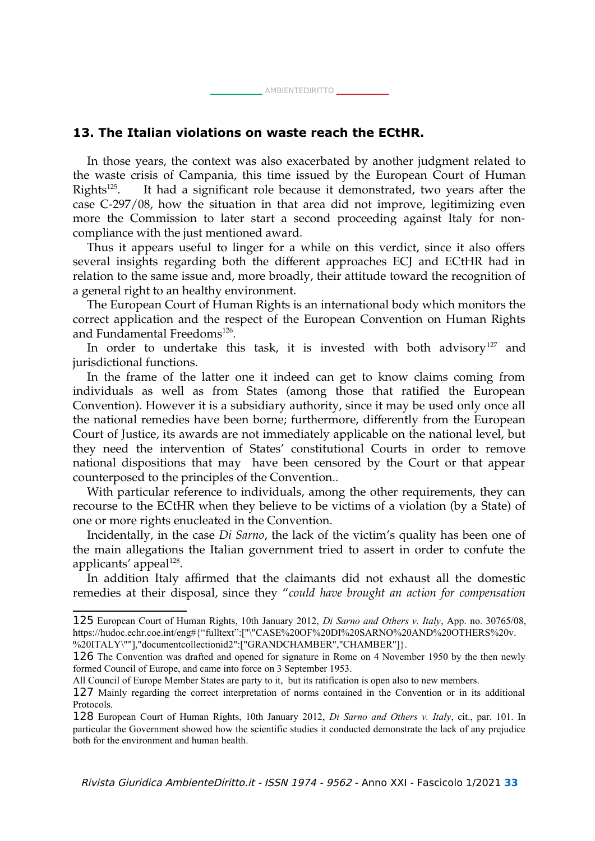#### **13. The Italian violations on waste reach the ECtHR.**

In those years, the context was also exacerbated by another judgment related to the waste crisis of Campania, this time issued by the European Court of Human  $Right<sup>125</sup>$  $Right<sup>125</sup>$  $Right<sup>125</sup>$ . . It had a significant role because it demonstrated, two years after the case C-297/08, how the situation in that area did not improve, legitimizing even more the Commission to later start a second proceeding against Italy for noncompliance with the just mentioned award.

Thus it appears useful to linger for a while on this verdict, since it also offers several insights regarding both the different approaches ECJ and ECtHR had in relation to the same issue and, more broadly, their attitude toward the recognition of a general right to an healthy environment.

The European Court of Human Rights is an international body which monitors the correct application and the respect of the European Convention on Human Rights and Fundamental Freedoms<sup>[126](#page-32-1)</sup>.

In order to undertake this task, it is invested with both advisory<sup>[127](#page-32-2)</sup> and jurisdictional functions.

In the frame of the latter one it indeed can get to know claims coming from individuals as well as from States (among those that ratified the European Convention). However it is a subsidiary authority, since it may be used only once all the national remedies have been borne; furthermore, differently from the European Court of Justice, its awards are not immediately applicable on the national level, but they need the intervention of States' constitutional Courts in order to remove national dispositions that may have been censored by the Court or that appear counterposed to the principles of the Convention..

With particular reference to individuals, among the other requirements, they can recourse to the ECtHR when they believe to be victims of a violation (by a State) of one or more rights enucleated in the Convention.

Incidentally, in the case *Di Sarno*, the lack of the victim's quality has been one of the main allegations the Italian government tried to assert in order to confute the applicants' appeal<sup>[128](#page-32-3)</sup>.

In addition Italy affirmed that the claimants did not exhaust all the domestic remedies at their disposal, since they "*could have brought an action for compensation*

<span id="page-32-0"></span><sup>125</sup> European Court of Human Rights, 10th January 2012, *Di Sarno and Others v. Italy*, App. no. 30765/08, https://hudoc.echr.coe.int/eng#{"fulltext":["\"CASE%20OF%20DI%20SARNO%20AND%20OTHERS%20v. %20ITALY\""],"documentcollectionid2":["GRANDCHAMBER","CHAMBER"]}.

<span id="page-32-1"></span><sup>126</sup> The Convention was drafted and opened for signature in Rome on 4 November 1950 by the then newly formed Council of Europe, and came into force on 3 September 1953.

All Council of Europe Member States are party to it, but its ratification is open also to new members.

<span id="page-32-2"></span><sup>127</sup> Mainly regarding the correct interpretation of norms contained in the Convention or in its additional Protocols.

<span id="page-32-3"></span><sup>128</sup> European Court of Human Rights, 10th January 2012, *Di Sarno and Others v. Italy*, cit., par. 101. In particular the Government showed how the scientific studies it conducted demonstrate the lack of any prejudice both for the environment and human health.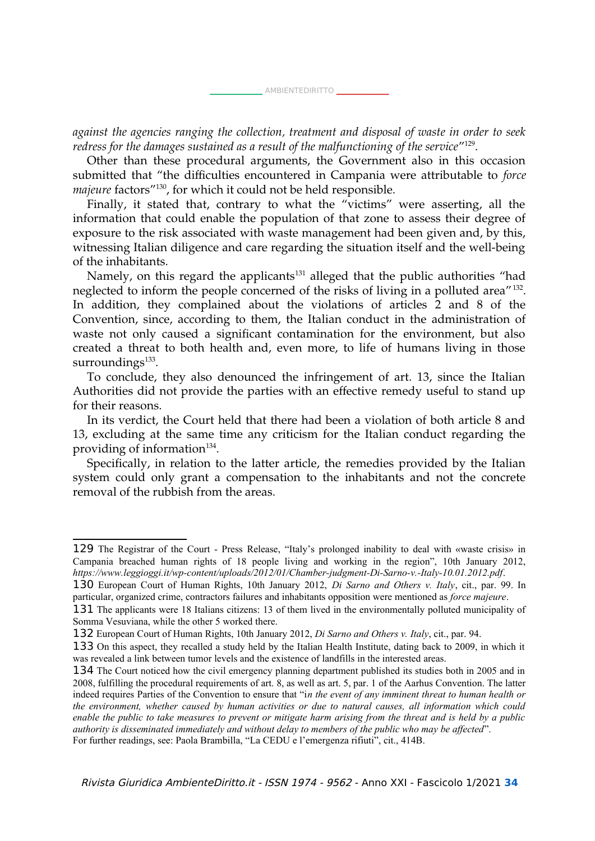\_\_\_\_\_\_\_\_\_\_\_\_\_\_ [AMBIENTEDIRITTO](http://www.AMBIENTEDIRITTO.it/) \_\_\_\_\_\_\_\_\_\_\_\_\_\_

*against the agencies ranging the collection, treatment and disposal of waste in order to seek redress for the damages sustained as a result of the malfunctioning of the service*" [129](#page-33-0) .

Other than these procedural arguments, the Government also in this occasion submitted that "the difficulties encountered in Campania were attributable to *force majeure* factors"<sup>[130](#page-33-1)</sup>, for which it could not be held responsible.

Finally, it stated that, contrary to what the "victims" were asserting, all the information that could enable the population of that zone to assess their degree of exposure to the risk associated with waste management had been given and, by this, witnessing Italian diligence and care regarding the situation itself and the well-being of the inhabitants.

Namely, on this regard the applicants<sup>[131](#page-33-2)</sup> alleged that the public authorities "had neglected to inform the people concerned of the risks of living in a polluted area"<sup>[132](#page-33-3)</sup>. In addition, they complained about the violations of articles 2 and 8 of the Convention, since, according to them, the Italian conduct in the administration of waste not only caused a significant contamination for the environment, but also created a threat to both health and, even more, to life of humans living in those surroundings<sup>[133](#page-33-4)</sup>.

To conclude, they also denounced the infringement of art. 13, since the Italian Authorities did not provide the parties with an effective remedy useful to stand up for their reasons.

In its verdict, the Court held that there had been a violation of both article 8 and 13, excluding at the same time any criticism for the Italian conduct regarding the providing of information $^{134}$  $^{134}$  $^{134}$ .

Specifically, in relation to the latter article, the remedies provided by the Italian system could only grant a compensation to the inhabitants and not the concrete removal of the rubbish from the areas.

<span id="page-33-0"></span><sup>129</sup> The Registrar of the Court - Press Release, "Italy's prolonged inability to deal with «waste crisis» in Campania breached human rights of 18 people living and working in the region", 10th January 2012, *<https://www.leggioggi.it/wp-content/uploads/2012/01/Chamber-judgment-Di-Sarno-v.-Italy-10.01.2012.pdf>*.

<span id="page-33-1"></span><sup>130</sup> European Court of Human Rights, 10th January 2012, *Di Sarno and Others v. Italy*, cit., par. 99. In particular, organized crime, contractors failures and inhabitants opposition were mentioned as *force majeure*.

<span id="page-33-2"></span><sup>131</sup> The applicants were 18 Italians citizens: 13 of them lived in the environmentally polluted municipality of Somma Vesuviana, while the other 5 worked there.

<span id="page-33-3"></span><sup>132</sup> European Court of Human Rights, 10th January 2012, *Di Sarno and Others v. Italy*, cit., par. 94.

<span id="page-33-4"></span><sup>133</sup> On this aspect, they recalled a study held by the Italian Health Institute, dating back to 2009, in which it was revealed a link between tumor levels and the existence of landfills in the interested areas.

<span id="page-33-5"></span><sup>134</sup> The Court noticed how the civil emergency planning department published its studies both in 2005 and in 2008, fulfilling the procedural requirements of art. 8, as well as art. 5, par. 1 of the Aarhus Convention. The latter indeed requires Parties of the Convention to ensure that "i*n the event of any imminent threat to human health or the environment, whether caused by human activities or due to natural causes, all information which could enable the public to take measures to prevent or mitigate harm arising from the threat and is held by a public authority is disseminated immediately and without delay to members of the public who may be affected*". For further readings, see: Paola Brambilla, "La CEDU e l'emergenza rifiuti", cit., 414B.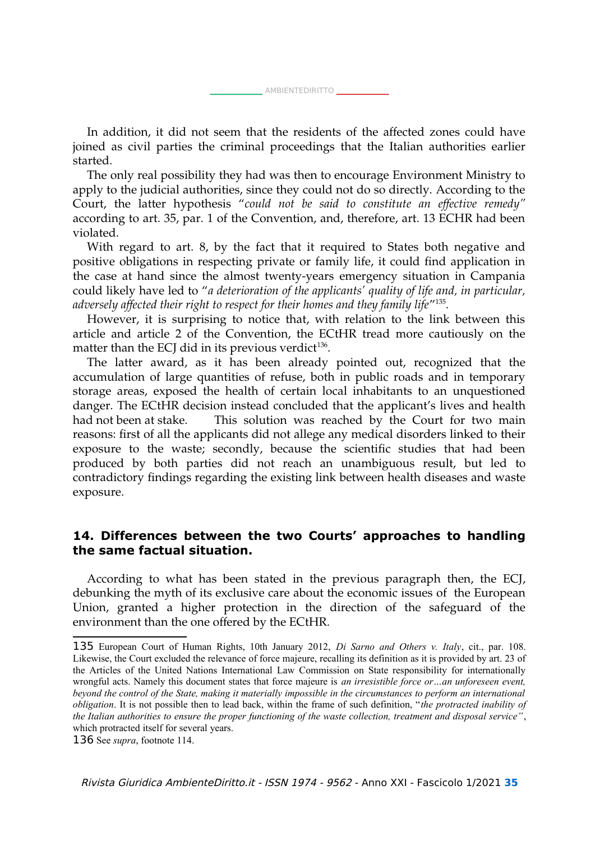In addition, it did not seem that the residents of the affected zones could have joined as civil parties the criminal proceedings that the Italian authorities earlier started.

\_[AMBIENTEDIRITTO](http://www.AMBIENTEDIRITTO.it/) \_\_

The only real possibility they had was then to encourage Environment Ministry to apply to the judicial authorities, since they could not do so directly. According to the Court, the latter hypothesis "*could not be said to constitute an effective remedy"* according to art. 35, par. 1 of the Convention, and, therefore, art. 13 ECHR had been violated.

With regard to art. 8, by the fact that it required to States both negative and positive obligations in respecting private or family life, it could find application in the case at hand since the almost twenty-years emergency situation in Campania could likely have led to "*a deterioration of the applicants' quality of life and, in particular,* adversely affected their right to respect for their homes and they family life″ <sup>[135](#page-34-0)</sup>.

However, it is surprising to notice that, with relation to the link between this article and article 2 of the Convention, the ECtHR tread more cautiously on the matter than the ECJ did in its previous verdict $^{\rm 136}.$  $^{\rm 136}.$  $^{\rm 136}.$ 

The latter award, as it has been already pointed out, recognized that the accumulation of large quantities of refuse, both in public roads and in temporary storage areas, exposed the health of certain local inhabitants to an unquestioned danger. The ECtHR decision instead concluded that the applicant's lives and health had not been at stake. This solution was reached by the Court for two main reasons: first of all the applicants did not allege any medical disorders linked to their exposure to the waste; secondly, because the scientific studies that had been produced by both parties did not reach an unambiguous result, but led to contradictory findings regarding the existing link between health diseases and waste exposure.

## **14. Differences between the two Courts' approaches to handling the same factual situation.**

According to what has been stated in the previous paragraph then, the ECJ, debunking the myth of its exclusive care about the economic issues of the European Union, granted a higher protection in the direction of the safeguard of the environment than the one offered by the ECtHR.

<span id="page-34-0"></span><sup>135</sup> European Court of Human Rights, 10th January 2012, *Di Sarno and Others v. Italy*, cit., par. 108. Likewise, the Court excluded the relevance of force majeure, recalling its definition as it is provided by art. 23 of the Articles of the United Nations International Law Commission on State responsibility for internationally wrongful acts. Namely this document states that force majeure is *an irresistible force or…an unforeseen event, beyond the control of the State, making it materially impossible in the circumstances to perform an international obligation*. It is not possible then to lead back, within the frame of such definition, "*the protracted inability of the Italian authorities to ensure the proper functioning of the waste collection, treatment and disposal service"*, which protracted itself for several years.

<span id="page-34-1"></span><sup>136</sup> See *supra*, footnote 114.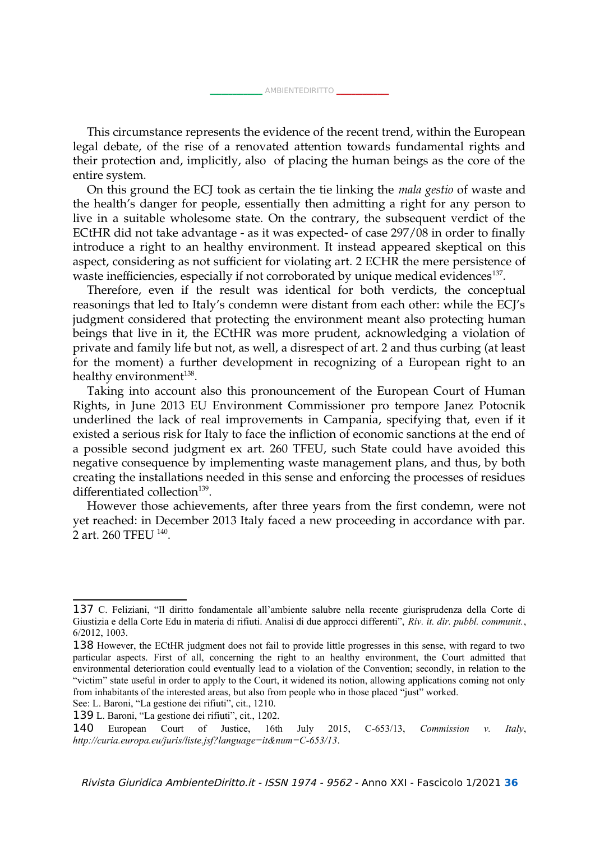This circumstance represents the evidence of the recent trend, within the European legal debate, of the rise of a renovated attention towards fundamental rights and their protection and, implicitly, also of placing the human beings as the core of the entire system.

On this ground the ECJ took as certain the tie linking the *mala gestio* of waste and the health's danger for people, essentially then admitting a right for any person to live in a suitable wholesome state. On the contrary, the subsequent verdict of the ECtHR did not take advantage - as it was expected- of case 297/08 in order to finally introduce a right to an healthy environment. It instead appeared skeptical on this aspect, considering as not sufficient for violating art. 2 ECHR the mere persistence of waste inefficiencies, especially if not corroborated by unique medical evidences $^{137}$  $^{137}$  $^{137}$ .

Therefore, even if the result was identical for both verdicts, the conceptual reasonings that led to Italy's condemn were distant from each other: while the ECJ's judgment considered that protecting the environment meant also protecting human beings that live in it, the ECtHR was more prudent, acknowledging a violation of private and family life but not, as well, a disrespect of art. 2 and thus curbing (at least for the moment) a further development in recognizing of a European right to an healthy environment<sup>[138](#page-35-1)</sup>.

Taking into account also this pronouncement of the European Court of Human Rights, in June 2013 EU Environment Commissioner pro tempore Janez Potocnik underlined the lack of real improvements in Campania, specifying that, even if it existed a serious risk for Italy to face the infliction of economic sanctions at the end of a possible second judgment ex art. 260 TFEU, such State could have avoided this negative consequence by implementing waste management plans, and thus, by both creating the installations needed in this sense and enforcing the processes of residues differentiated collection<sup>[139](#page-35-2)</sup>.

However those achievements, after three years from the first condemn, were not yet reached: in December 2013 Italy faced a new proceeding in accordance with par. 2 art. 260 TFEU  $^{140}$  $^{140}$  $^{140}$ .

<span id="page-35-0"></span><sup>137</sup> C. Feliziani, "Il diritto fondamentale all'ambiente salubre nella recente giurisprudenza della Corte di Giustizia e della Corte Edu in materia di rifiuti. Analisi di due approcci differenti", *Riv. it. dir. pubbl. communit.*, 6/2012, 1003.

<span id="page-35-1"></span><sup>138</sup> However, the ECtHR judgment does not fail to provide little progresses in this sense, with regard to two particular aspects. First of all, concerning the right to an healthy environment, the Court admitted that environmental deterioration could eventually lead to a violation of the Convention; secondly, in relation to the "victim" state useful in order to apply to the Court, it widened its notion, allowing applications coming not only from inhabitants of the interested areas, but also from people who in those placed "just" worked.

See: L. Baroni, "La gestione dei rifiuti", cit., 1210.

<span id="page-35-2"></span><sup>139</sup> L. Baroni, "La gestione dei rifiuti", cit., 1202.

<span id="page-35-3"></span><sup>140</sup> European Court of Justice, 16th July 2015, C-653/13, *Commission v. Italy*, *<http://curia.europa.eu/juris/liste.jsf?language=it&num=C-653/13>*.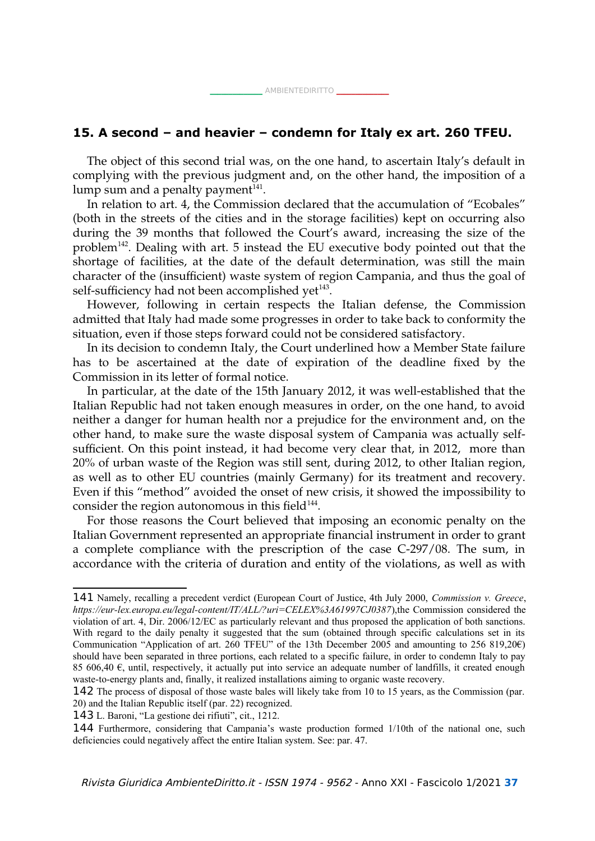#### **15. A second – and heavier – condemn for Italy ex art. 260 TFEU.**

\_[AMBIENTEDIRITTO](http://www.AMBIENTEDIRITTO.it/) \_\_

The object of this second trial was, on the one hand, to ascertain Italy's default in complying with the previous judgment and, on the other hand, the imposition of a lump sum and a penalty payment $^{141}$  $^{141}$  $^{141}$ .

In relation to art. 4, the Commission declared that the accumulation of "Ecobales" (both in the streets of the cities and in the storage facilities) kept on occurring also during the 39 months that followed the Court's award, increasing the size of the problem[142](#page-36-1). Dealing with art. 5 instead the EU executive body pointed out that the shortage of facilities, at the date of the default determination, was still the main character of the (insufficient) waste system of region Campania, and thus the goal of  $self\text{-}sufficientcy$  had not been accomplished  $\text{yet}^{143}.$  $\text{yet}^{143}.$  $\text{yet}^{143}.$ 

However, following in certain respects the Italian defense, the Commission admitted that Italy had made some progresses in order to take back to conformity the situation, even if those steps forward could not be considered satisfactory.

In its decision to condemn Italy, the Court underlined how a Member State failure has to be ascertained at the date of expiration of the deadline fixed by the Commission in its letter of formal notice.

In particular, at the date of the 15th January 2012, it was well-established that the Italian Republic had not taken enough measures in order, on the one hand, to avoid neither a danger for human health nor a prejudice for the environment and, on the other hand, to make sure the waste disposal system of Campania was actually selfsufficient. On this point instead, it had become very clear that, in 2012, more than 20% of urban waste of the Region was still sent, during 2012, to other Italian region, as well as to other EU countries (mainly Germany) for its treatment and recovery. Even if this "method" avoided the onset of new crisis, it showed the impossibility to consider the region autonomous in this field $144$ .

For those reasons the Court believed that imposing an economic penalty on the Italian Government represented an appropriate financial instrument in order to grant a complete compliance with the prescription of the case C-297/08. The sum, in accordance with the criteria of duration and entity of the violations, as well as with

<span id="page-36-0"></span><sup>141</sup> Namely, recalling a precedent verdict (European Court of Justice, 4th July 2000, *Commission v. Greece*, *[https://eur-lex.europa.eu/legal-content/IT/ALL/?uri=CELEX%3A61997CJ0387](https://eur-lex.europa.eu/legal-content/IT/ALL/?uri=CELEX%253A61997CJ0387)*),the Commission considered the violation of art. 4, Dir. 2006/12/EC as particularly relevant and thus proposed the application of both sanctions. With regard to the daily penalty it suggested that the sum (obtained through specific calculations set in its Communication "Application of art. 260 TFEU" of the 13th December 2005 and amounting to 256 819,20€) should have been separated in three portions, each related to a specific failure, in order to condemn Italy to pay 85 606,40  $\epsilon$ , until, respectively, it actually put into service an adequate number of landfills, it created enough waste-to-energy plants and, finally, it realized installations aiming to organic waste recovery.

<span id="page-36-1"></span><sup>142</sup> The process of disposal of those waste bales will likely take from 10 to 15 years, as the Commission (par. 20) and the Italian Republic itself (par. 22) recognized.

<span id="page-36-2"></span><sup>143</sup> L. Baroni, "La gestione dei rifiuti", cit., 1212.

<span id="page-36-3"></span><sup>144</sup> Furthermore, considering that Campania's waste production formed 1/10th of the national one, such deficiencies could negatively affect the entire Italian system. See: par. 47.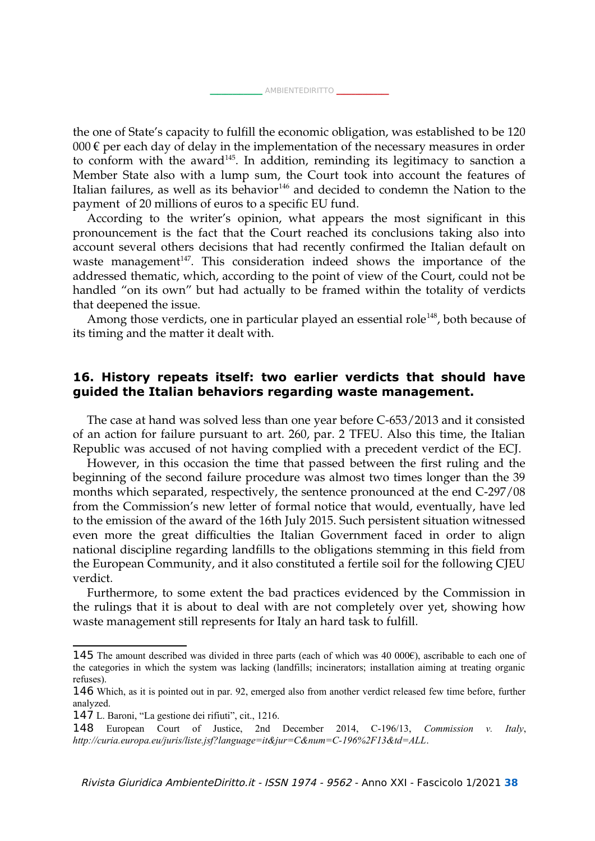the one of State's capacity to fulfill the economic obligation, was established to be 120  $000 \, \epsilon$  per each day of delay in the implementation of the necessary measures in order to conform with the award<sup>[145](#page-37-0)</sup>. In addition, reminding its legitimacy to sanction a Member State also with a lump sum, the Court took into account the features of Italian failures, as well as its behavior $146$  and decided to condemn the Nation to the payment of 20 millions of euros to a specific EU fund.

According to the writer's opinion, what appears the most significant in this pronouncement is the fact that the Court reached its conclusions taking also into account several others decisions that had recently confirmed the Italian default on waste management $147$ . This consideration indeed shows the importance of the addressed thematic, which, according to the point of view of the Court, could not be handled "on its own" but had actually to be framed within the totality of verdicts that deepened the issue.

Among those verdicts, one in particular played an essential role<sup>[148](#page-37-3)</sup>, both because of its timing and the matter it dealt with.

## **16. History repeats itself: two earlier verdicts that should have guided the Italian behaviors regarding waste management.**

The case at hand was solved less than one year before C-653/2013 and it consisted of an action for failure pursuant to art. 260, par. 2 TFEU. Also this time, the Italian Republic was accused of not having complied with a precedent verdict of the ECJ.

However, in this occasion the time that passed between the first ruling and the beginning of the second failure procedure was almost two times longer than the 39 months which separated, respectively, the sentence pronounced at the end C-297/08 from the Commission's new letter of formal notice that would, eventually, have led to the emission of the award of the 16th July 2015. Such persistent situation witnessed even more the great difficulties the Italian Government faced in order to align national discipline regarding landfills to the obligations stemming in this field from the European Community, and it also constituted a fertile soil for the following CJEU verdict.

Furthermore, to some extent the bad practices evidenced by the Commission in the rulings that it is about to deal with are not completely over yet, showing how waste management still represents for Italy an hard task to fulfill.

<span id="page-37-0"></span><sup>145</sup> The amount described was divided in three parts (each of which was 40 000 $\epsilon$ ), ascribable to each one of the categories in which the system was lacking (landfills; incinerators; installation aiming at treating organic refuses).

<span id="page-37-1"></span><sup>146</sup> Which, as it is pointed out in par. 92, emerged also from another verdict released few time before, further analyzed.

<span id="page-37-2"></span><sup>147</sup> L. Baroni, "La gestione dei rifiuti", cit., 1216.

<span id="page-37-3"></span><sup>148</sup> European Court of Justice, 2nd December 2014, C-196/13, *Commission v. Italy*, *[http://curia.europa.eu/juris/liste.jsf?language=it&jur=C&num=C-196%2F13&td=ALL](http://curia.europa.eu/juris/liste.jsf?language=it&jur=C&num=C-196%252F13&td=ALL)*.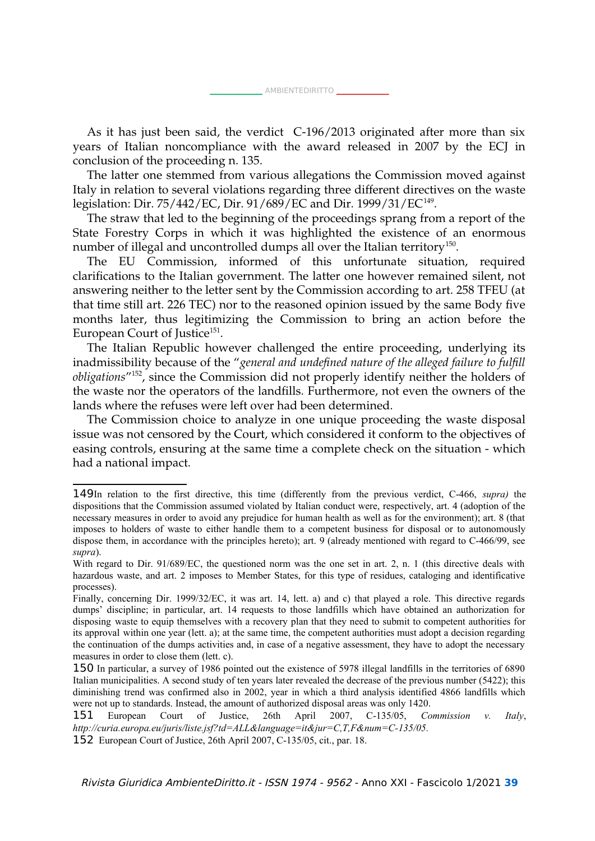As it has just been said, the verdict C-196/2013 originated after more than six years of Italian noncompliance with the award released in 2007 by the ECJ in conclusion of the proceeding n. 135.

The latter one stemmed from various allegations the Commission moved against Italy in relation to several violations regarding three different directives on the waste legislation: Dir. 75/442/EC, Dir. 91/689/EC and Dir. 1999/31/EC[149](#page-38-0) .

The straw that led to the beginning of the proceedings sprang from a report of the State Forestry Corps in which it was highlighted the existence of an enormous number of illegal and uncontrolled dumps all over the Italian territory $^{\rm 150}.$  $^{\rm 150}.$  $^{\rm 150}.$ 

The EU Commission, informed of this unfortunate situation, required clarifications to the Italian government. The latter one however remained silent, not answering neither to the letter sent by the Commission according to art. 258 TFEU (at that time still art. 226 TEC) nor to the reasoned opinion issued by the same Body five months later, thus legitimizing the Commission to bring an action before the European Court of Justice<sup>[151](#page-38-2)</sup>.

The Italian Republic however challenged the entire proceeding, underlying its inadmissibility because of the "*general and undefined nature of the alleged failure to fulfill obligations*" [152](#page-38-3), since the Commission did not properly identify neither the holders of the waste nor the operators of the landfills. Furthermore, not even the owners of the lands where the refuses were left over had been determined.

The Commission choice to analyze in one unique proceeding the waste disposal issue was not censored by the Court, which considered it conform to the objectives of easing controls, ensuring at the same time a complete check on the situation - which had a national impact.

<span id="page-38-0"></span><sup>149</sup>In relation to the first directive, this time (differently from the previous verdict, C-466, *supra)* the dispositions that the Commission assumed violated by Italian conduct were, respectively, art. 4 (adoption of the necessary measures in order to avoid any prejudice for human health as well as for the environment); art. 8 (that imposes to holders of waste to either handle them to a competent business for disposal or to autonomously dispose them, in accordance with the principles hereto); art. 9 (already mentioned with regard to C-466/99, see *supra*).

With regard to Dir. 91/689/EC, the questioned norm was the one set in art. 2, n. 1 (this directive deals with hazardous waste, and art. 2 imposes to Member States, for this type of residues, cataloging and identificative processes).

Finally, concerning Dir. 1999/32/EC, it was art. 14, lett. a) and c) that played a role. This directive regards dumps' discipline; in particular, art. 14 requests to those landfills which have obtained an authorization for disposing waste to equip themselves with a recovery plan that they need to submit to competent authorities for its approval within one year (lett. a); at the same time, the competent authorities must adopt a decision regarding the continuation of the dumps activities and, in case of a negative assessment, they have to adopt the necessary measures in order to close them (lett. c).

<span id="page-38-1"></span><sup>150</sup> In particular, a survey of 1986 pointed out the existence of 5978 illegal landfills in the territories of 6890 Italian municipalities. A second study of ten years later revealed the decrease of the previous number (5422); this diminishing trend was confirmed also in 2002, year in which a third analysis identified 4866 landfills which were not up to standards. Instead, the amount of authorized disposal areas was only 1420.

<span id="page-38-2"></span><sup>151</sup> European Court of Justice, 26th April 2007, C-135/05, *Commission v. Italy*, *[http://curia.europa.eu/juris/liste.jsf?td=ALL&language=it&jur=C,T,F&num=C-135/05.](http://curia.europa.eu/juris/liste.jsf?td=ALL&language=it&jur=C,T,F&num=C-135/05)*

<span id="page-38-3"></span><sup>152</sup> European Court of Justice, 26th April 2007, C-135/05, cit., par. 18.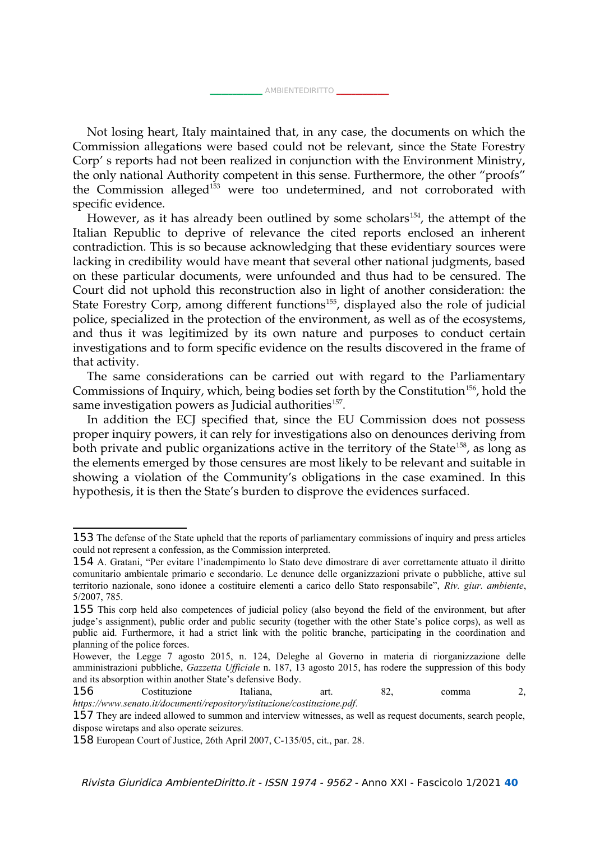Not losing heart, Italy maintained that, in any case, the documents on which the Commission allegations were based could not be relevant, since the State Forestry Corp' s reports had not been realized in conjunction with the Environment Ministry, the only national Authority competent in this sense. Furthermore, the other "proofs" the Commission alleged<sup>[153](#page-39-0)</sup> were too undetermined, and not corroborated with specific evidence.

However, as it has already been outlined by some scholars<sup>[154](#page-39-1)</sup>, the attempt of the Italian Republic to deprive of relevance the cited reports enclosed an inherent contradiction. This is so because acknowledging that these evidentiary sources were lacking in credibility would have meant that several other national judgments, based on these particular documents, were unfounded and thus had to be censured. The Court did not uphold this reconstruction also in light of another consideration: the State Forestry Corp, among different functions<sup>[155](#page-39-2)</sup>, displayed also the role of judicial police, specialized in the protection of the environment, as well as of the ecosystems, and thus it was legitimized by its own nature and purposes to conduct certain investigations and to form specific evidence on the results discovered in the frame of that activity.

The same considerations can be carried out with regard to the Parliamentary Commissions of Inquiry, which, being bodies set forth by the Constitution<sup>[156](#page-39-3)</sup>, hold the same investigation powers as Judicial authorities $^{157}$  $^{157}$  $^{157}$ .

In addition the ECJ specified that, since the EU Commission does not possess proper inquiry powers, it can rely for investigations also on denounces deriving from both private and public organizations active in the territory of the State<sup>[158](#page-39-5)</sup>, as long as the elements emerged by those censures are most likely to be relevant and suitable in showing a violation of the Community's obligations in the case examined. In this hypothesis, it is then the State's burden to disprove the evidences surfaced.

<span id="page-39-0"></span><sup>153</sup> The defense of the State upheld that the reports of parliamentary commissions of inquiry and press articles could not represent a confession, as the Commission interpreted.

<span id="page-39-1"></span><sup>154</sup> A. Gratani, "Per evitare l'inadempimento lo Stato deve dimostrare di aver correttamente attuato il diritto comunitario ambientale primario e secondario. Le denunce delle organizzazioni private o pubbliche, attive sul territorio nazionale, sono idonee a costituire elementi a carico dello Stato responsabile", *Riv. giur. ambiente*, 5/2007, 785.

<span id="page-39-2"></span><sup>155</sup> This corp held also competences of judicial policy (also beyond the field of the environment, but after judge's assignment), public order and public security (together with the other State's police corps), as well as public aid. Furthermore, it had a strict link with the politic branche, participating in the coordination and planning of the police forces.

However, the Legge 7 agosto 2015, n. 124, Deleghe al Governo in materia di riorganizzazione delle amministrazioni pubbliche, *Gazzetta Ufficiale* n. 187, 13 agosto 2015, has rodere the suppression of this body and its absorption within another State's defensive Body.

<span id="page-39-3"></span><sup>156</sup> Costituzione Italiana, art. 82, comma 2, *[https://www.senato.it/documenti/repository/istituzione/costituzione.pdf.](https://www.senato.it/documenti/repository/istituzione/costituzione.pdf)* 

<span id="page-39-4"></span><sup>157</sup> They are indeed allowed to summon and interview witnesses, as well as request documents, search people, dispose wiretaps and also operate seizures.

<span id="page-39-5"></span><sup>158</sup> European Court of Justice, 26th April 2007, C-135/05, cit., par. 28.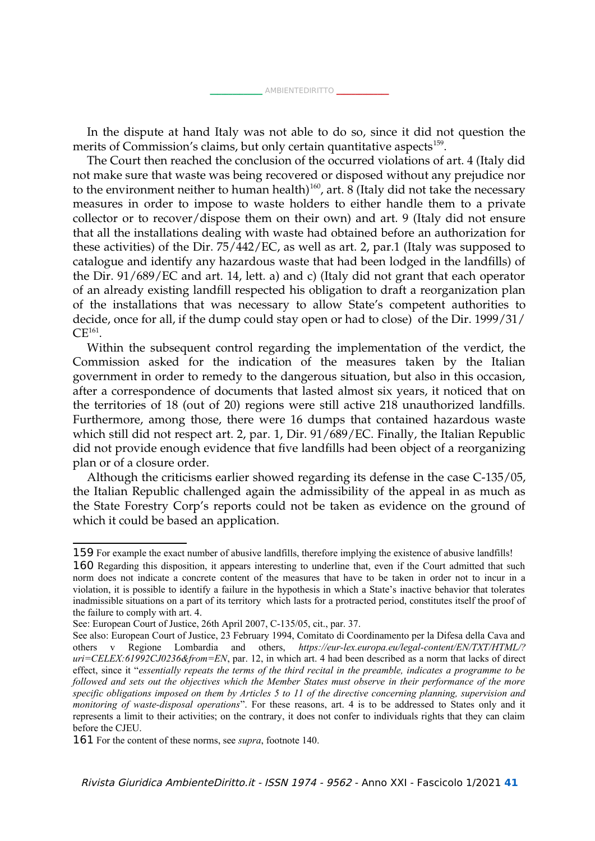In the dispute at hand Italy was not able to do so, since it did not question the merits of Commission's claims, but only certain quantitative aspects<sup>[159](#page-40-0)</sup>.

The Court then reached the conclusion of the occurred violations of art. 4 (Italy did not make sure that waste was being recovered or disposed without any prejudice nor to the environment neither to human health)<sup>[160](#page-40-1)</sup>, art. 8 (Italy did not take the necessary measures in order to impose to waste holders to either handle them to a private collector or to recover/dispose them on their own) and art. 9 (Italy did not ensure that all the installations dealing with waste had obtained before an authorization for these activities) of the Dir. 75/442/EC, as well as art. 2, par.1 (Italy was supposed to catalogue and identify any hazardous waste that had been lodged in the landfills) of the Dir. 91/689/EC and art. 14, lett. a) and c) (Italy did not grant that each operator of an already existing landfill respected his obligation to draft a reorganization plan of the installations that was necessary to allow State's competent authorities to decide, once for all, if the dump could stay open or had to close) of the Dir. 1999/31/  $\mathsf{CE}^{161}$  $\mathsf{CE}^{161}$  $\mathsf{CE}^{161}$ .

Within the subsequent control regarding the implementation of the verdict, the Commission asked for the indication of the measures taken by the Italian government in order to remedy to the dangerous situation, but also in this occasion, after a correspondence of documents that lasted almost six years, it noticed that on the territories of 18 (out of 20) regions were still active 218 unauthorized landfills. Furthermore, among those, there were 16 dumps that contained hazardous waste which still did not respect art. 2, par. 1, Dir. 91/689/EC. Finally, the Italian Republic did not provide enough evidence that five landfills had been object of a reorganizing plan or of a closure order.

Although the criticisms earlier showed regarding its defense in the case C-135/05, the Italian Republic challenged again the admissibility of the appeal in as much as the State Forestry Corp's reports could not be taken as evidence on the ground of which it could be based an application.

<span id="page-40-0"></span><sup>159</sup> For example the exact number of abusive landfills, therefore implying the existence of abusive landfills!

<span id="page-40-1"></span><sup>160</sup> Regarding this disposition, it appears interesting to underline that, even if the Court admitted that such norm does not indicate a concrete content of the measures that have to be taken in order not to incur in a violation, it is possible to identify a failure in the hypothesis in which a State's inactive behavior that tolerates inadmissible situations on a part of its territory which lasts for a protracted period, constitutes itself the proof of the failure to comply with art. 4.

See: European Court of Justice, 26th April 2007, C-135/05, cit., par. 37.

See also: European Court of Justice, 23 February 1994, Comitato di Coordinamento per la Difesa della Cava and others v Regione Lombardia and others, *[https://eur-lex.europa.eu/legal-content/EN/TXT/HTML/?](https://eur-lex.europa.eu/legal-content/EN/TXT/HTML/?uri=CELEX:61992CJ0236&from=EN) [uri=CELEX:61992CJ0236&from=EN](https://eur-lex.europa.eu/legal-content/EN/TXT/HTML/?uri=CELEX:61992CJ0236&from=EN)*, par. 12, in which art. 4 had been described as a norm that lacks of direct effect, since it "*essentially repeats the terms of the third recital in the preamble, indicates a programme to be followed and sets out the objectives which the Member States must observe in their performance of the more specific obligations imposed on them by Articles 5 to 11 of the directive concerning planning, supervision and monitoring of waste-disposal operations*". For these reasons, art. 4 is to be addressed to States only and it represents a limit to their activities; on the contrary, it does not confer to individuals rights that they can claim before the CJEU.

<span id="page-40-2"></span><sup>161</sup> For the content of these norms, see *supra*, footnote 140.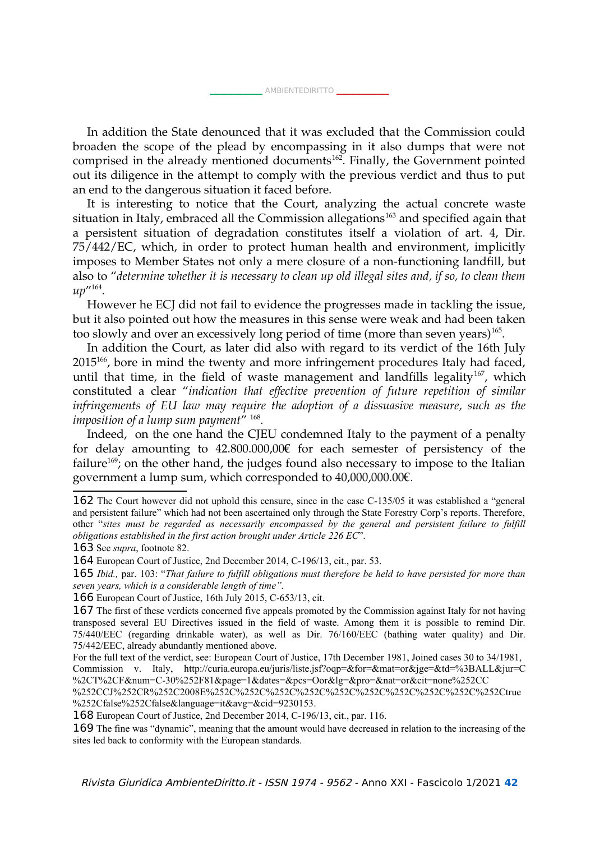In addition the State denounced that it was excluded that the Commission could broaden the scope of the plead by encompassing in it also dumps that were not comprised in the already mentioned documents<sup>[162](#page-41-0)</sup>. Finally, the Government pointed out its diligence in the attempt to comply with the previous verdict and thus to put an end to the dangerous situation it faced before.

It is interesting to notice that the Court, analyzing the actual concrete waste situation in Italy, embraced all the Commission allegations<sup>[163](#page-41-1)</sup> and specified again that a persistent situation of degradation constitutes itself a violation of art. 4, Dir. 75/442/EC, which, in order to protect human health and environment, implicitly imposes to Member States not only a mere closure of a non-functioning landfill, but also to "*determine whether it is necessary to clean up old illegal sites and, if so, to clean them up*" [164](#page-41-2) .

However he ECJ did not fail to evidence the progresses made in tackling the issue, but it also pointed out how the measures in this sense were weak and had been taken too slowly and over an excessively long period of time (more than seven years) $^{165}$  $^{165}$  $^{165}$ .

In addition the Court, as later did also with regard to its verdict of the 16th July 2015[166](#page-41-4), bore in mind the twenty and more infringement procedures Italy had faced, until that time, in the field of waste management and landfills legality<sup>[167](#page-41-5)</sup>, which constituted a clear "*indication that effective prevention of future repetition of similar infringements of EU law may require the adoption of a dissuasive measure, such as the imposition of a lump sum payment*" [168](#page-41-6) .

Indeed, on the one hand the CJEU condemned Italy to the payment of a penalty for delay amounting to 42.800.000,00€ for each semester of persistency of the failure<sup>[169](#page-41-7)</sup>; on the other hand, the judges found also necessary to impose to the Italian government a lump sum, which corresponded to 40,000,000.00€.

%252CCJ%252CR%252C2008E%252C%252C%252C%252C%252C%252C%252C%252C%252C%252Ctrue %252Cfalse%252Cfalse&language=it&avg=&cid=9230153.

<span id="page-41-7"></span>169 The fine was "dynamic", meaning that the amount would have decreased in relation to the increasing of the sites led back to conformity with the European standards.

<span id="page-41-0"></span><sup>162</sup> The Court however did not uphold this censure, since in the case C-135/05 it was established a "general and persistent failure" which had not been ascertained only through the State Forestry Corp's reports. Therefore, other "*sites must be regarded as necessarily encompassed by the general and persistent failure to fulfill obligations established in the first action brought under Article 226 EC*".

<span id="page-41-1"></span><sup>163</sup> See *supra*, footnote 82.

<span id="page-41-2"></span><sup>164</sup> European Court of Justice, 2nd December 2014, C-196/13, cit., par. 53.

<span id="page-41-3"></span><sup>165</sup> *Ibid.,* par. 103: "*That failure to fulfill obligations must therefore be held to have persisted for more than seven years, which is a considerable length of time".*

<span id="page-41-4"></span><sup>166</sup> European Court of Justice, 16th July 2015, C-653/13, cit.

<span id="page-41-5"></span><sup>167</sup> The first of these verdicts concerned five appeals promoted by the Commission against Italy for not having transposed several EU Directives issued in the field of waste. Among them it is possible to remind Dir. 75/440/EEC (regarding drinkable water), as well as Dir. 76/160/EEC (bathing water quality) and Dir. 75/442/EEC, already abundantly mentioned above.

For the full text of the verdict, see: European Court of Justice, 17th December 1981, Joined cases 30 to 34/1981, Commission v. Italy, http://curia.europa.eu/juris/liste.jsf?oqp=&for=&mat=or&jge=&td=%3BALL&jur=C %2CT%2CF&num=C-30%252F81&page=1&dates=&pcs=Oor&lg=&pro=&nat=or&cit=none%252CC

<span id="page-41-6"></span><sup>168</sup> European Court of Justice, 2nd December 2014, C-196/13, cit., par. 116.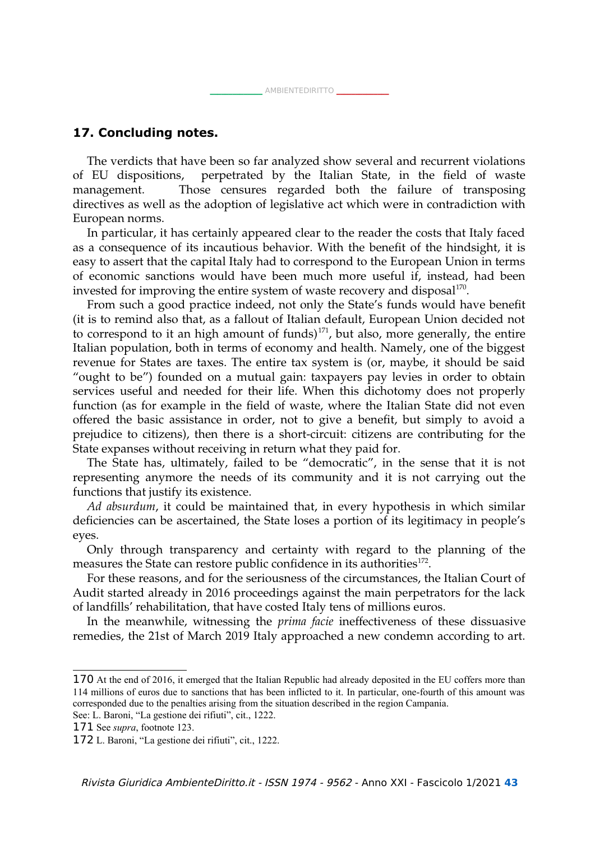#### **17. Concluding notes.**

The verdicts that have been so far analyzed show several and recurrent violations of EU dispositions, perpetrated by the Italian State, in the field of waste management. Those censures regarded both the failure of transposing directives as well as the adoption of legislative act which were in contradiction with European norms.

In particular, it has certainly appeared clear to the reader the costs that Italy faced as a consequence of its incautious behavior. With the benefit of the hindsight, it is easy to assert that the capital Italy had to correspond to the European Union in terms of economic sanctions would have been much more useful if, instead, had been invested for improving the entire system of waste recovery and disposal $170$ .

From such a good practice indeed, not only the State's funds would have benefit (it is to remind also that, as a fallout of Italian default, European Union decided not to correspond to it an high amount of funds) $171$ , but also, more generally, the entire Italian population, both in terms of economy and health. Namely, one of the biggest revenue for States are taxes. The entire tax system is (or, maybe, it should be said "ought to be") founded on a mutual gain: taxpayers pay levies in order to obtain services useful and needed for their life. When this dichotomy does not properly function (as for example in the field of waste, where the Italian State did not even offered the basic assistance in order, not to give a benefit, but simply to avoid a prejudice to citizens), then there is a short-circuit: citizens are contributing for the State expanses without receiving in return what they paid for.

The State has, ultimately, failed to be "democratic", in the sense that it is not representing anymore the needs of its community and it is not carrying out the functions that justify its existence.

*Ad absurdum*, it could be maintained that, in every hypothesis in which similar deficiencies can be ascertained, the State loses a portion of its legitimacy in people's eyes.

Only through transparency and certainty with regard to the planning of the measures the State can restore public confidence in its authorities $^{172}.$  $^{172}.$  $^{172}.$ 

For these reasons, and for the seriousness of the circumstances, the Italian Court of Audit started already in 2016 proceedings against the main perpetrators for the lack of landfills' rehabilitation, that have costed Italy tens of millions euros.

In the meanwhile, witnessing the *prima facie* ineffectiveness of these dissuasive remedies, the 21st of March 2019 Italy approached a new condemn according to art.

<span id="page-42-0"></span><sup>170</sup> At the end of 2016, it emerged that the Italian Republic had already deposited in the EU coffers more than 114 millions of euros due to sanctions that has been inflicted to it. In particular, one-fourth of this amount was corresponded due to the penalties arising from the situation described in the region Campania. See: L. Baroni, "La gestione dei rifiuti", cit., 1222.

<span id="page-42-1"></span><sup>171</sup> See *supra*, footnote 123.

<span id="page-42-2"></span><sup>172</sup> L. Baroni, "La gestione dei rifiuti", cit., 1222.